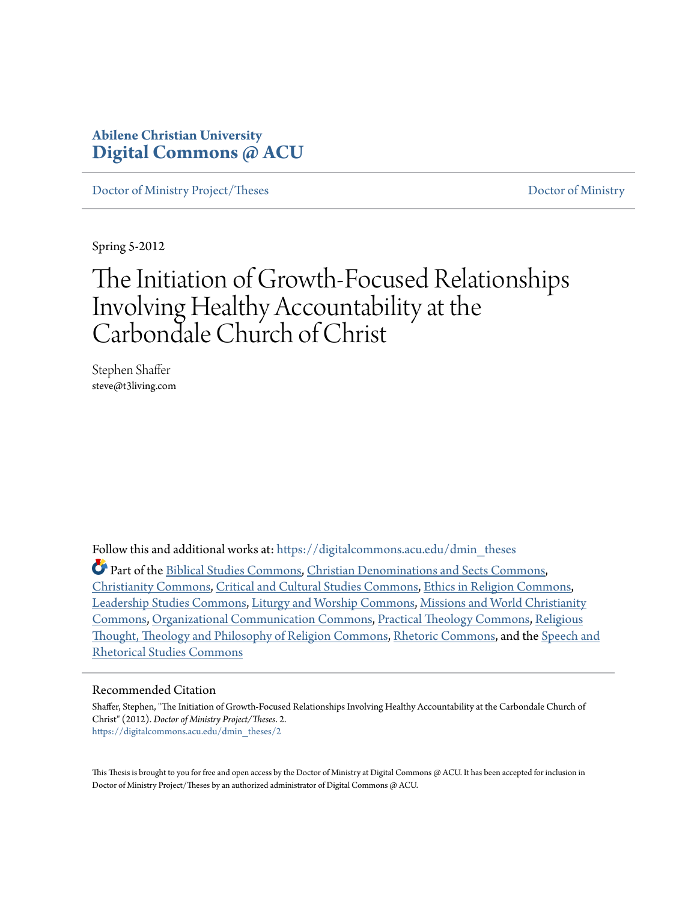# **Abilene Christian University [Digital Commons @ ACU](https://digitalcommons.acu.edu?utm_source=digitalcommons.acu.edu%2Fdmin_theses%2F2&utm_medium=PDF&utm_campaign=PDFCoverPages)**

[Doctor of Ministry Project/Theses](https://digitalcommons.acu.edu/dmin_theses?utm_source=digitalcommons.acu.edu%2Fdmin_theses%2F2&utm_medium=PDF&utm_campaign=PDFCoverPages) and the control of Ministry [Doctor of Ministry](https://digitalcommons.acu.edu/dmin?utm_source=digitalcommons.acu.edu%2Fdmin_theses%2F2&utm_medium=PDF&utm_campaign=PDFCoverPages)

Spring 5-2012

# The Initiation of Growth-Focused Relationships Involving Healthy Accountability at the Carbondale Church of Christ

Stephen Shaffer steve@t3living.com

Follow this and additional works at: [https://digitalcommons.acu.edu/dmin\\_theses](https://digitalcommons.acu.edu/dmin_theses?utm_source=digitalcommons.acu.edu%2Fdmin_theses%2F2&utm_medium=PDF&utm_campaign=PDFCoverPages)

Part of the [Biblical Studies Commons,](http://network.bepress.com/hgg/discipline/539?utm_source=digitalcommons.acu.edu%2Fdmin_theses%2F2&utm_medium=PDF&utm_campaign=PDFCoverPages) [Christian Denominations and Sects Commons](http://network.bepress.com/hgg/discipline/1184?utm_source=digitalcommons.acu.edu%2Fdmin_theses%2F2&utm_medium=PDF&utm_campaign=PDFCoverPages), [Christianity Commons](http://network.bepress.com/hgg/discipline/1181?utm_source=digitalcommons.acu.edu%2Fdmin_theses%2F2&utm_medium=PDF&utm_campaign=PDFCoverPages), [Critical and Cultural Studies Commons,](http://network.bepress.com/hgg/discipline/328?utm_source=digitalcommons.acu.edu%2Fdmin_theses%2F2&utm_medium=PDF&utm_campaign=PDFCoverPages) [Ethics in Religion Commons,](http://network.bepress.com/hgg/discipline/541?utm_source=digitalcommons.acu.edu%2Fdmin_theses%2F2&utm_medium=PDF&utm_campaign=PDFCoverPages) [Leadership Studies Commons](http://network.bepress.com/hgg/discipline/1250?utm_source=digitalcommons.acu.edu%2Fdmin_theses%2F2&utm_medium=PDF&utm_campaign=PDFCoverPages), [Liturgy and Worship Commons](http://network.bepress.com/hgg/discipline/1188?utm_source=digitalcommons.acu.edu%2Fdmin_theses%2F2&utm_medium=PDF&utm_campaign=PDFCoverPages), [Missions and World Christianity](http://network.bepress.com/hgg/discipline/1187?utm_source=digitalcommons.acu.edu%2Fdmin_theses%2F2&utm_medium=PDF&utm_campaign=PDFCoverPages) [Commons,](http://network.bepress.com/hgg/discipline/1187?utm_source=digitalcommons.acu.edu%2Fdmin_theses%2F2&utm_medium=PDF&utm_campaign=PDFCoverPages) [Organizational Communication Commons](http://network.bepress.com/hgg/discipline/335?utm_source=digitalcommons.acu.edu%2Fdmin_theses%2F2&utm_medium=PDF&utm_campaign=PDFCoverPages), [Practical Theology Commons](http://network.bepress.com/hgg/discipline/1186?utm_source=digitalcommons.acu.edu%2Fdmin_theses%2F2&utm_medium=PDF&utm_campaign=PDFCoverPages), [Religious](http://network.bepress.com/hgg/discipline/544?utm_source=digitalcommons.acu.edu%2Fdmin_theses%2F2&utm_medium=PDF&utm_campaign=PDFCoverPages) [Thought, Theology and Philosophy of Religion Commons,](http://network.bepress.com/hgg/discipline/544?utm_source=digitalcommons.acu.edu%2Fdmin_theses%2F2&utm_medium=PDF&utm_campaign=PDFCoverPages) [Rhetoric Commons](http://network.bepress.com/hgg/discipline/575?utm_source=digitalcommons.acu.edu%2Fdmin_theses%2F2&utm_medium=PDF&utm_campaign=PDFCoverPages), and the [Speech and](http://network.bepress.com/hgg/discipline/338?utm_source=digitalcommons.acu.edu%2Fdmin_theses%2F2&utm_medium=PDF&utm_campaign=PDFCoverPages) [Rhetorical Studies Commons](http://network.bepress.com/hgg/discipline/338?utm_source=digitalcommons.acu.edu%2Fdmin_theses%2F2&utm_medium=PDF&utm_campaign=PDFCoverPages)

#### Recommended Citation

Shaffer, Stephen, "The Initiation of Growth-Focused Relationships Involving Healthy Accountability at the Carbondale Church of Christ" (2012). *Doctor of Ministry Project/Theses*. 2. [https://digitalcommons.acu.edu/dmin\\_theses/2](https://digitalcommons.acu.edu/dmin_theses/2?utm_source=digitalcommons.acu.edu%2Fdmin_theses%2F2&utm_medium=PDF&utm_campaign=PDFCoverPages)

This Thesis is brought to you for free and open access by the Doctor of Ministry at Digital Commons @ ACU. It has been accepted for inclusion in Doctor of Ministry Project/Theses by an authorized administrator of Digital Commons @ ACU.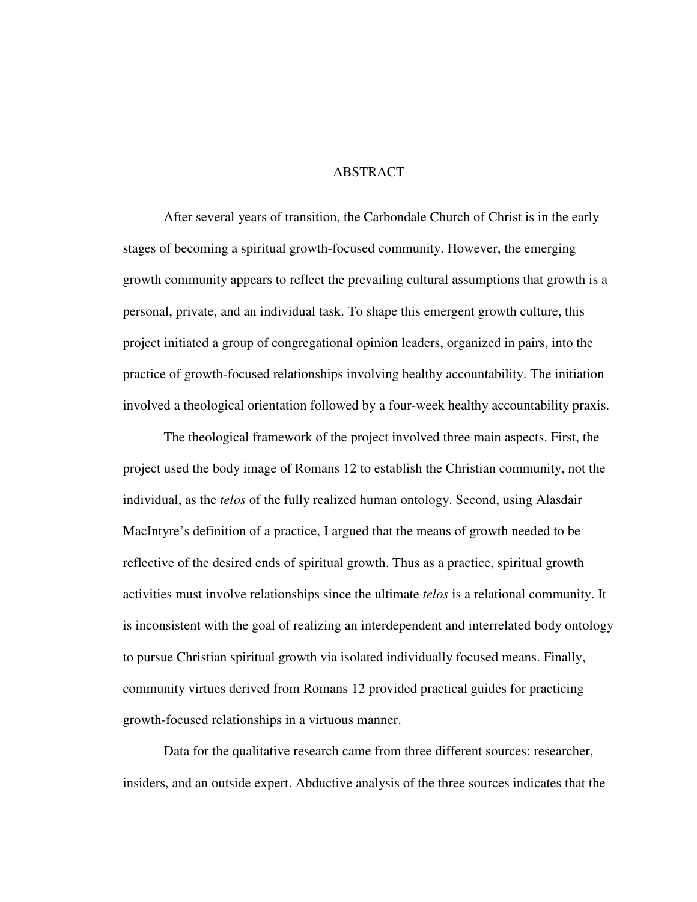# ABSTRACT

After several years of transition, the Carbondale Church of Christ is in the early stages of becoming a spiritual growth-focused community. However, the emerging growth community appears to reflect the prevailing cultural assumptions that growth is a personal, private, and an individual task. To shape this emergent growth culture, this project initiated a group of congregational opinion leaders, organized in pairs, into the practice of growth-focused relationships involving healthy accountability. The initiation involved a theological orientation followed by a four-week healthy accountability praxis.

The theological framework of the project involved three main aspects. First, the project used the body image of Romans 12 to establish the Christian community, not the individual, as the *telos* of the fully realized human ontology. Second, using Alasdair MacIntyre's definition of a practice, I argued that the means of growth needed to be reflective of the desired ends of spiritual growth. Thus as a practice, spiritual growth activities must involve relationships since the ultimate *telos* is a relational community. It is inconsistent with the goal of realizing an interdependent and interrelated body ontology to pursue Christian spiritual growth via isolated individually focused means. Finally, community virtues derived from Romans 12 provided practical guides for practicing growth-focused relationships in a virtuous manner.

Data for the qualitative research came from three different sources: researcher, insiders, and an outside expert. Abductive analysis of the three sources indicates that the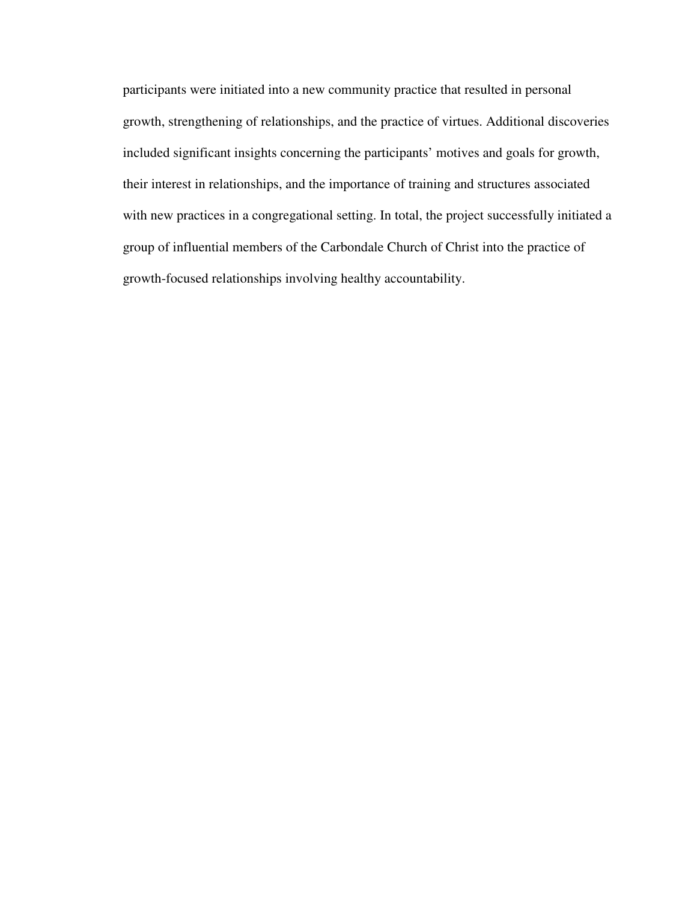participants were initiated into a new community practice that resulted in personal growth, strengthening of relationships, and the practice of virtues. Additional discoveries included significant insights concerning the participants' motives and goals for growth, their interest in relationships, and the importance of training and structures associated with new practices in a congregational setting. In total, the project successfully initiated a group of influential members of the Carbondale Church of Christ into the practice of growth-focused relationships involving healthy accountability.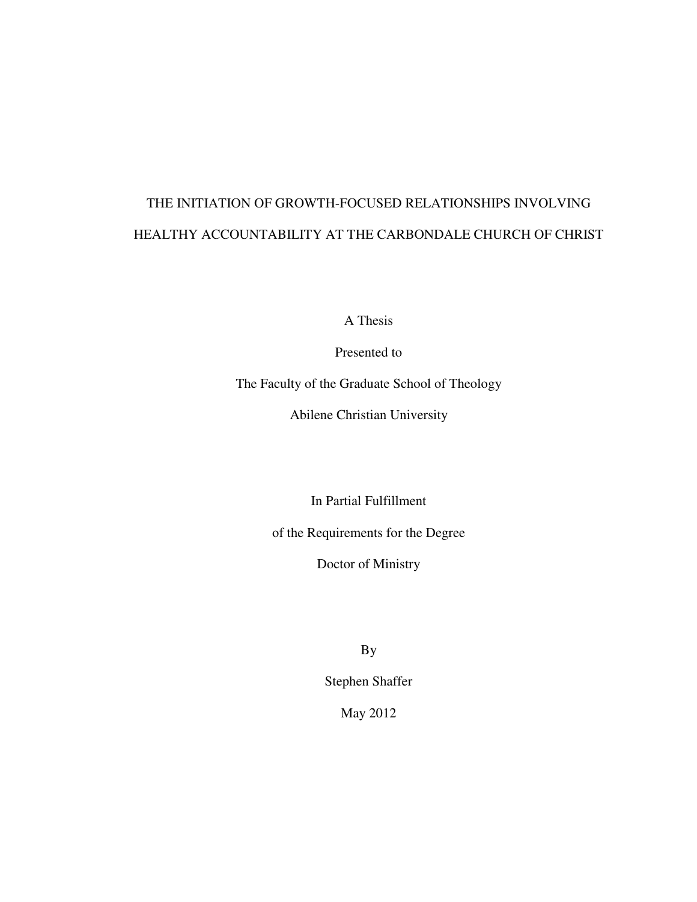# THE INITIATION OF GROWTH-FOCUSED RELATIONSHIPS INVOLVING HEALTHY ACCOUNTABILITY AT THE CARBONDALE CHURCH OF CHRIST

A Thesis

Presented to

The Faculty of the Graduate School of Theology

Abilene Christian University

In Partial Fulfillment

of the Requirements for the Degree

Doctor of Ministry

By

Stephen Shaffer

May 2012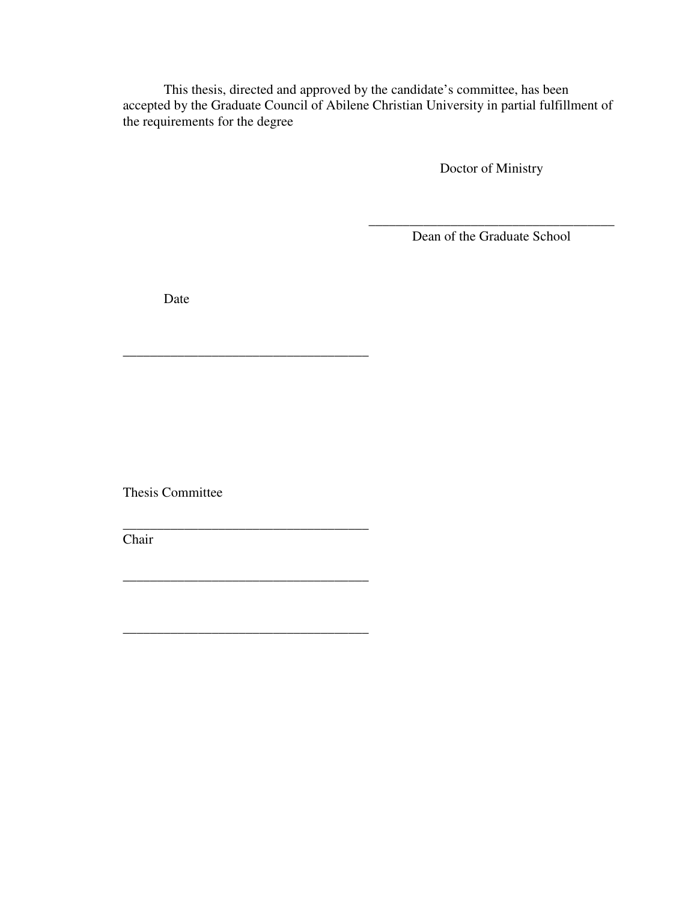This thesis, directed and approved by the candidate's committee, has been accepted by the Graduate Council of Abilene Christian University in partial fulfillment of the requirements for the degree

Doctor of Ministry

\_\_\_\_\_\_\_\_\_\_\_\_\_\_\_\_\_\_\_\_\_\_\_\_\_\_\_\_\_\_\_\_\_\_\_\_ Dean of the Graduate School

Date

\_\_\_\_\_\_\_\_\_\_\_\_\_\_\_\_\_\_\_\_\_\_\_\_\_\_\_\_\_\_\_\_\_\_\_\_

\_\_\_\_\_\_\_\_\_\_\_\_\_\_\_\_\_\_\_\_\_\_\_\_\_\_\_\_\_\_\_\_\_\_\_\_

\_\_\_\_\_\_\_\_\_\_\_\_\_\_\_\_\_\_\_\_\_\_\_\_\_\_\_\_\_\_\_\_\_\_\_\_

\_\_\_\_\_\_\_\_\_\_\_\_\_\_\_\_\_\_\_\_\_\_\_\_\_\_\_\_\_\_\_\_\_\_\_\_

Thesis Committee

Chair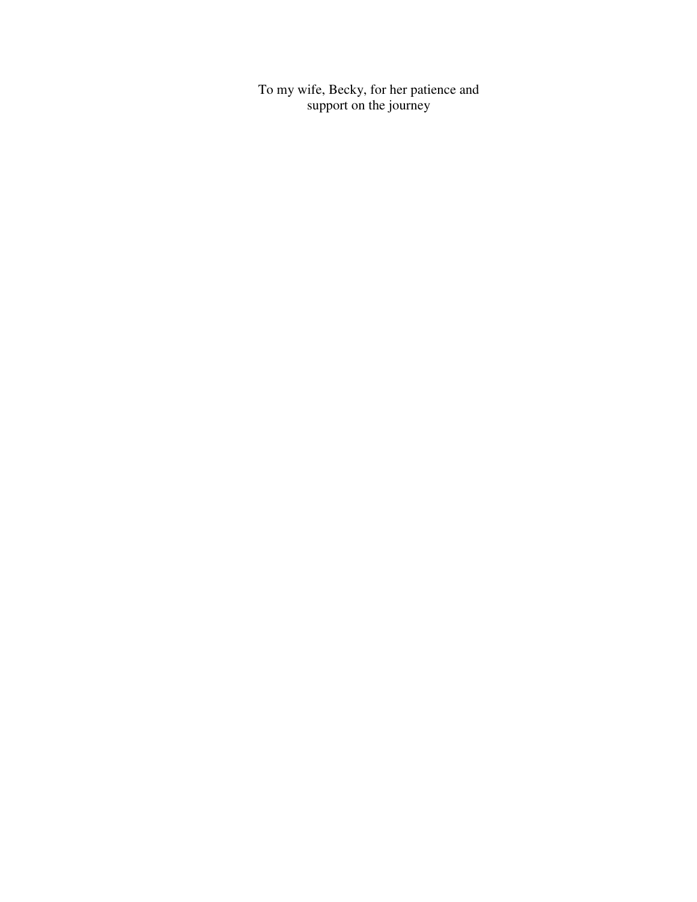To my wife, Becky, for her patience and support on the journey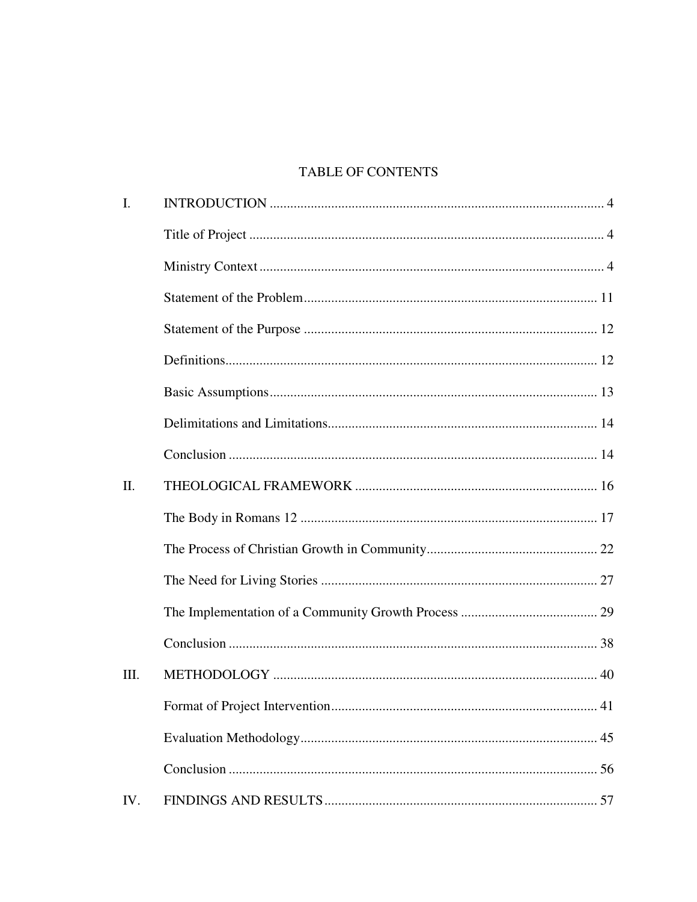# TABLE OF CONTENTS

| I.      |  |
|---------|--|
|         |  |
|         |  |
|         |  |
|         |  |
|         |  |
|         |  |
|         |  |
|         |  |
| $\Pi$ . |  |
|         |  |
|         |  |
|         |  |
|         |  |
|         |  |
| Ш.      |  |
|         |  |
|         |  |
|         |  |
| IV.     |  |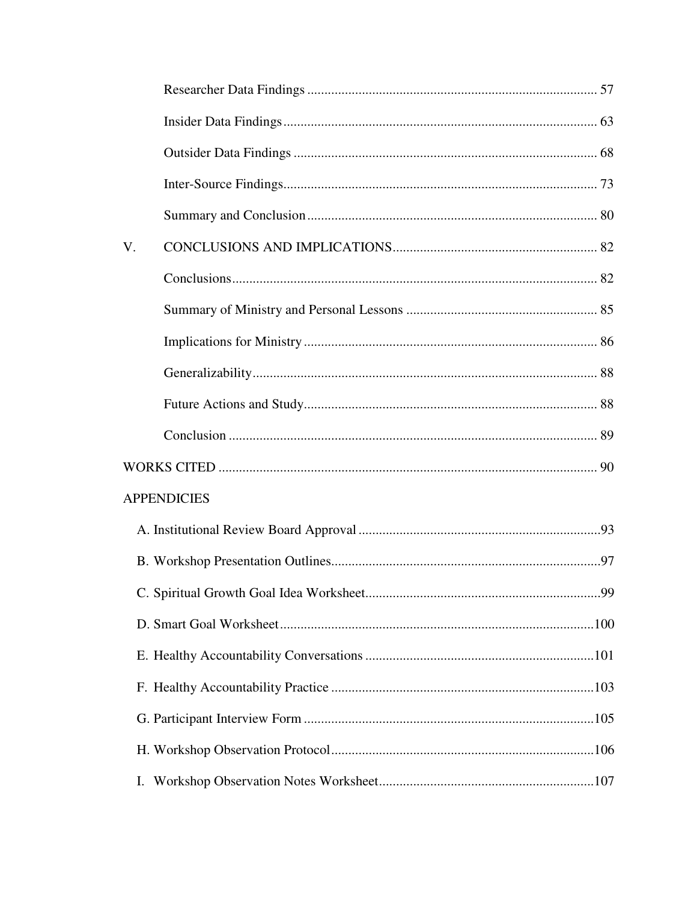| V.                 |  |  |  |  |
|--------------------|--|--|--|--|
|                    |  |  |  |  |
|                    |  |  |  |  |
|                    |  |  |  |  |
|                    |  |  |  |  |
|                    |  |  |  |  |
|                    |  |  |  |  |
|                    |  |  |  |  |
| <b>APPENDICIES</b> |  |  |  |  |
|                    |  |  |  |  |
|                    |  |  |  |  |
|                    |  |  |  |  |
|                    |  |  |  |  |
|                    |  |  |  |  |
|                    |  |  |  |  |
|                    |  |  |  |  |
|                    |  |  |  |  |
| Ι.                 |  |  |  |  |
|                    |  |  |  |  |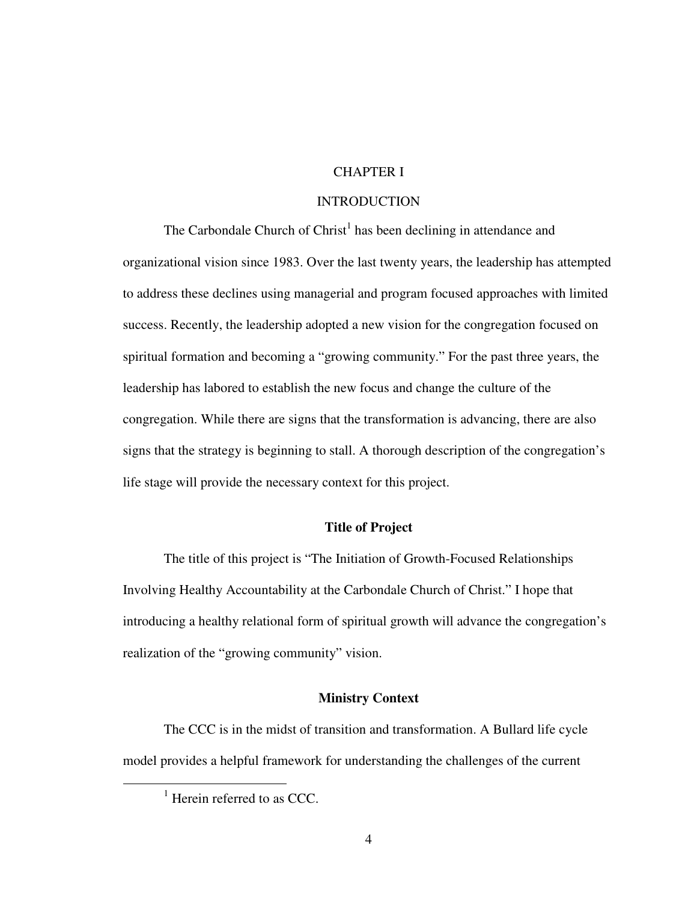# CHAPTER I

### **INTRODUCTION**

The Carbondale Church of Christ<sup>1</sup> has been declining in attendance and organizational vision since 1983. Over the last twenty years, the leadership has attempted to address these declines using managerial and program focused approaches with limited success. Recently, the leadership adopted a new vision for the congregation focused on spiritual formation and becoming a "growing community." For the past three years, the leadership has labored to establish the new focus and change the culture of the congregation. While there are signs that the transformation is advancing, there are also signs that the strategy is beginning to stall. A thorough description of the congregation's life stage will provide the necessary context for this project.

### **Title of Project**

The title of this project is "The Initiation of Growth-Focused Relationships Involving Healthy Accountability at the Carbondale Church of Christ." I hope that introducing a healthy relational form of spiritual growth will advance the congregation's realization of the "growing community" vision.

#### **Ministry Context**

The CCC is in the midst of transition and transformation. A Bullard life cycle model provides a helpful framework for understanding the challenges of the current

 $<sup>1</sup>$  Herein referred to as CCC.</sup>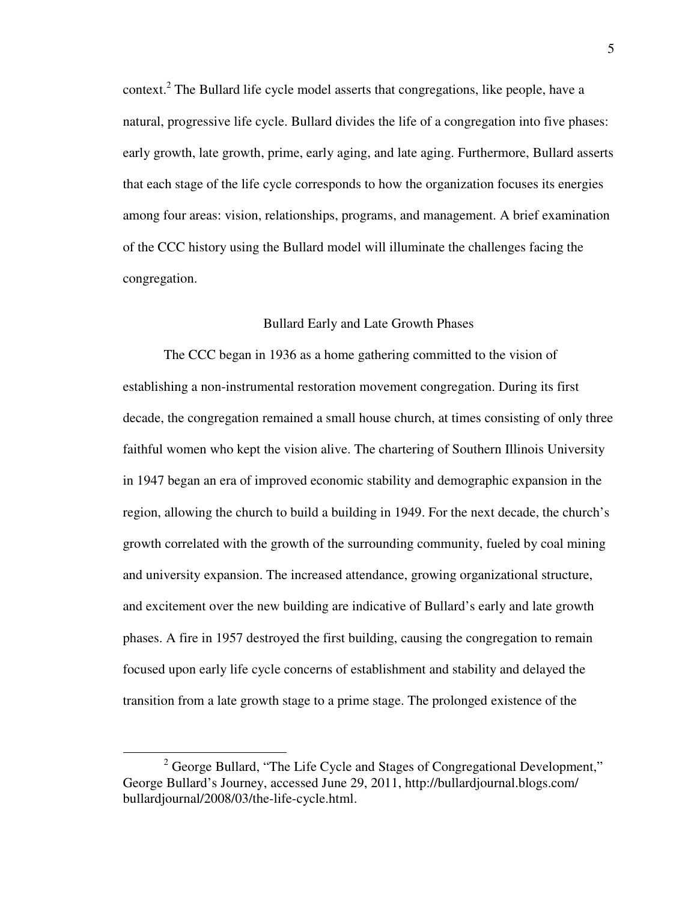context.<sup>2</sup> The Bullard life cycle model asserts that congregations, like people, have a natural, progressive life cycle. Bullard divides the life of a congregation into five phases: early growth, late growth, prime, early aging, and late aging. Furthermore, Bullard asserts that each stage of the life cycle corresponds to how the organization focuses its energies among four areas: vision, relationships, programs, and management. A brief examination of the CCC history using the Bullard model will illuminate the challenges facing the congregation.

#### Bullard Early and Late Growth Phases

The CCC began in 1936 as a home gathering committed to the vision of establishing a non-instrumental restoration movement congregation. During its first decade, the congregation remained a small house church, at times consisting of only three faithful women who kept the vision alive. The chartering of Southern Illinois University in 1947 began an era of improved economic stability and demographic expansion in the region, allowing the church to build a building in 1949. For the next decade, the church's growth correlated with the growth of the surrounding community, fueled by coal mining and university expansion. The increased attendance, growing organizational structure, and excitement over the new building are indicative of Bullard's early and late growth phases. A fire in 1957 destroyed the first building, causing the congregation to remain focused upon early life cycle concerns of establishment and stability and delayed the transition from a late growth stage to a prime stage. The prolonged existence of the

<sup>&</sup>lt;sup>2</sup> George Bullard, "The Life Cycle and Stages of Congregational Development," George Bullard's Journey, accessed June 29, 2011, http://bullardjournal.blogs.com/ bullardjournal/2008/03/the-life-cycle.html.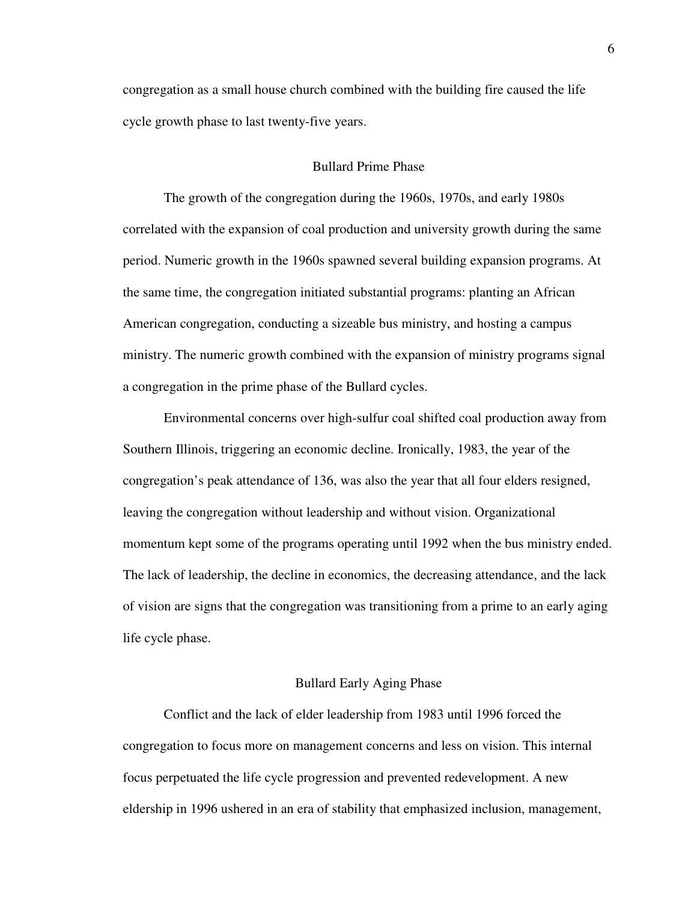congregation as a small house church combined with the building fire caused the life cycle growth phase to last twenty-five years.

#### Bullard Prime Phase

The growth of the congregation during the 1960s, 1970s, and early 1980s correlated with the expansion of coal production and university growth during the same period. Numeric growth in the 1960s spawned several building expansion programs. At the same time, the congregation initiated substantial programs: planting an African American congregation, conducting a sizeable bus ministry, and hosting a campus ministry. The numeric growth combined with the expansion of ministry programs signal a congregation in the prime phase of the Bullard cycles.

Environmental concerns over high-sulfur coal shifted coal production away from Southern Illinois, triggering an economic decline. Ironically, 1983, the year of the congregation's peak attendance of 136, was also the year that all four elders resigned, leaving the congregation without leadership and without vision. Organizational momentum kept some of the programs operating until 1992 when the bus ministry ended. The lack of leadership, the decline in economics, the decreasing attendance, and the lack of vision are signs that the congregation was transitioning from a prime to an early aging life cycle phase.

#### Bullard Early Aging Phase

Conflict and the lack of elder leadership from 1983 until 1996 forced the congregation to focus more on management concerns and less on vision. This internal focus perpetuated the life cycle progression and prevented redevelopment. A new eldership in 1996 ushered in an era of stability that emphasized inclusion, management,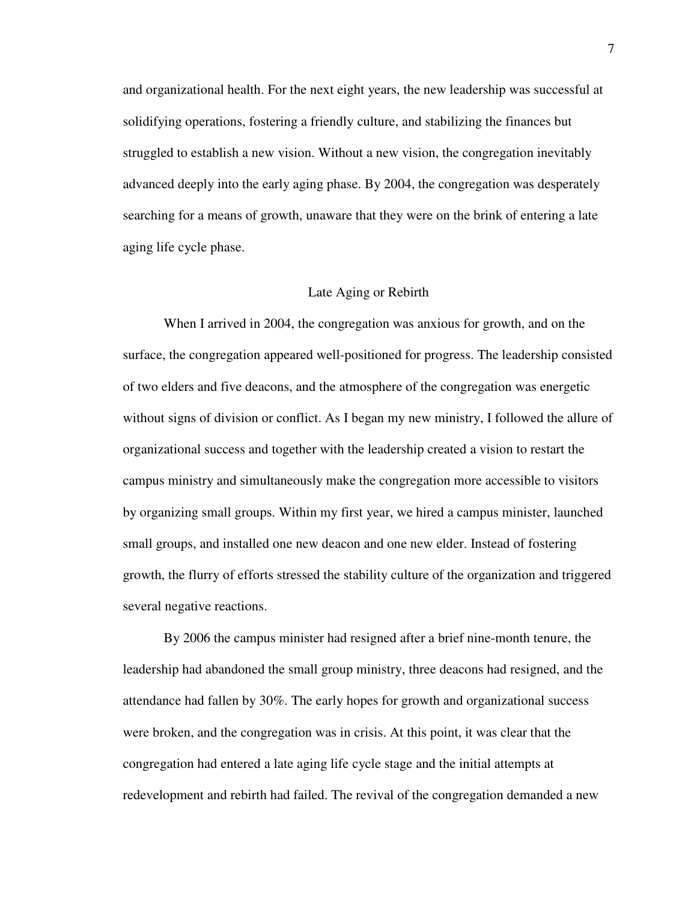and organizational health. For the next eight years, the new leadership was successful at solidifying operations, fostering a friendly culture, and stabilizing the finances but struggled to establish a new vision. Without a new vision, the congregation inevitably advanced deeply into the early aging phase. By 2004, the congregation was desperately searching for a means of growth, unaware that they were on the brink of entering a late aging life cycle phase.

#### Late Aging or Rebirth

When I arrived in 2004, the congregation was anxious for growth, and on the surface, the congregation appeared well-positioned for progress. The leadership consisted of two elders and five deacons, and the atmosphere of the congregation was energetic without signs of division or conflict. As I began my new ministry, I followed the allure of organizational success and together with the leadership created a vision to restart the campus ministry and simultaneously make the congregation more accessible to visitors by organizing small groups. Within my first year, we hired a campus minister, launched small groups, and installed one new deacon and one new elder. Instead of fostering growth, the flurry of efforts stressed the stability culture of the organization and triggered several negative reactions.

By 2006 the campus minister had resigned after a brief nine-month tenure, the leadership had abandoned the small group ministry, three deacons had resigned, and the attendance had fallen by 30%. The early hopes for growth and organizational success were broken, and the congregation was in crisis. At this point, it was clear that the congregation had entered a late aging life cycle stage and the initial attempts at redevelopment and rebirth had failed. The revival of the congregation demanded a new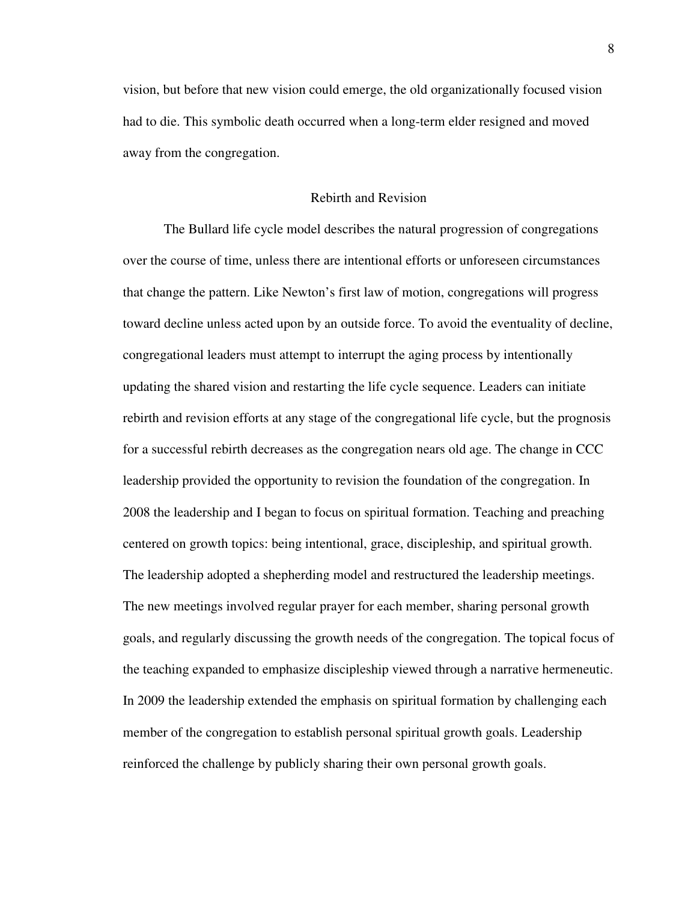vision, but before that new vision could emerge, the old organizationally focused vision had to die. This symbolic death occurred when a long-term elder resigned and moved away from the congregation.

#### Rebirth and Revision

The Bullard life cycle model describes the natural progression of congregations over the course of time, unless there are intentional efforts or unforeseen circumstances that change the pattern. Like Newton's first law of motion, congregations will progress toward decline unless acted upon by an outside force. To avoid the eventuality of decline, congregational leaders must attempt to interrupt the aging process by intentionally updating the shared vision and restarting the life cycle sequence. Leaders can initiate rebirth and revision efforts at any stage of the congregational life cycle, but the prognosis for a successful rebirth decreases as the congregation nears old age. The change in CCC leadership provided the opportunity to revision the foundation of the congregation. In 2008 the leadership and I began to focus on spiritual formation. Teaching and preaching centered on growth topics: being intentional, grace, discipleship, and spiritual growth. The leadership adopted a shepherding model and restructured the leadership meetings. The new meetings involved regular prayer for each member, sharing personal growth goals, and regularly discussing the growth needs of the congregation. The topical focus of the teaching expanded to emphasize discipleship viewed through a narrative hermeneutic. In 2009 the leadership extended the emphasis on spiritual formation by challenging each member of the congregation to establish personal spiritual growth goals. Leadership reinforced the challenge by publicly sharing their own personal growth goals.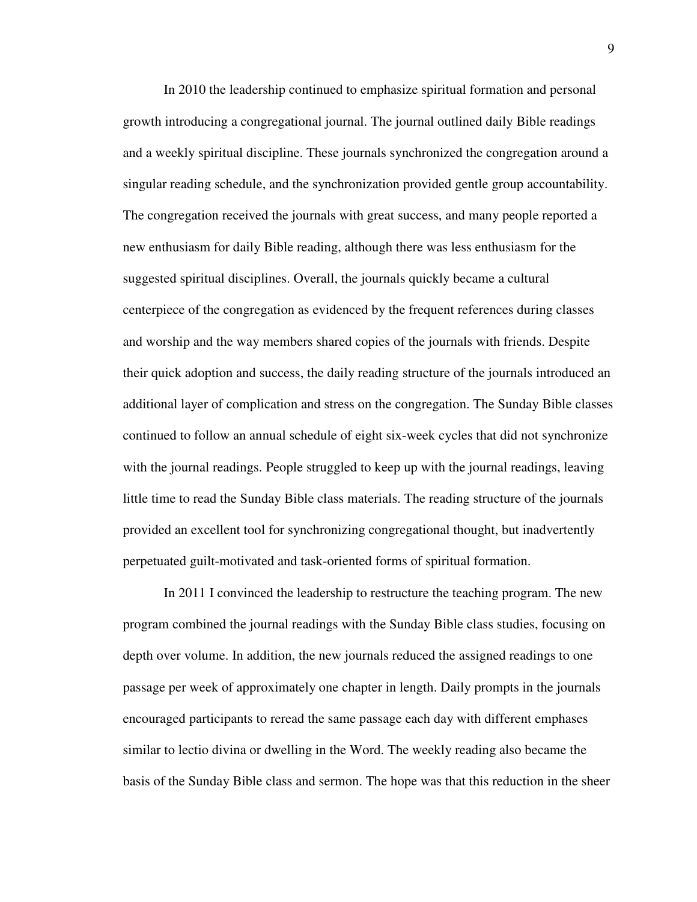In 2010 the leadership continued to emphasize spiritual formation and personal growth introducing a congregational journal. The journal outlined daily Bible readings and a weekly spiritual discipline. These journals synchronized the congregation around a singular reading schedule, and the synchronization provided gentle group accountability. The congregation received the journals with great success, and many people reported a new enthusiasm for daily Bible reading, although there was less enthusiasm for the suggested spiritual disciplines. Overall, the journals quickly became a cultural centerpiece of the congregation as evidenced by the frequent references during classes and worship and the way members shared copies of the journals with friends. Despite their quick adoption and success, the daily reading structure of the journals introduced an additional layer of complication and stress on the congregation. The Sunday Bible classes continued to follow an annual schedule of eight six-week cycles that did not synchronize with the journal readings. People struggled to keep up with the journal readings, leaving little time to read the Sunday Bible class materials. The reading structure of the journals provided an excellent tool for synchronizing congregational thought, but inadvertently perpetuated guilt-motivated and task-oriented forms of spiritual formation.

In 2011 I convinced the leadership to restructure the teaching program. The new program combined the journal readings with the Sunday Bible class studies, focusing on depth over volume. In addition, the new journals reduced the assigned readings to one passage per week of approximately one chapter in length. Daily prompts in the journals encouraged participants to reread the same passage each day with different emphases similar to lectio divina or dwelling in the Word. The weekly reading also became the basis of the Sunday Bible class and sermon. The hope was that this reduction in the sheer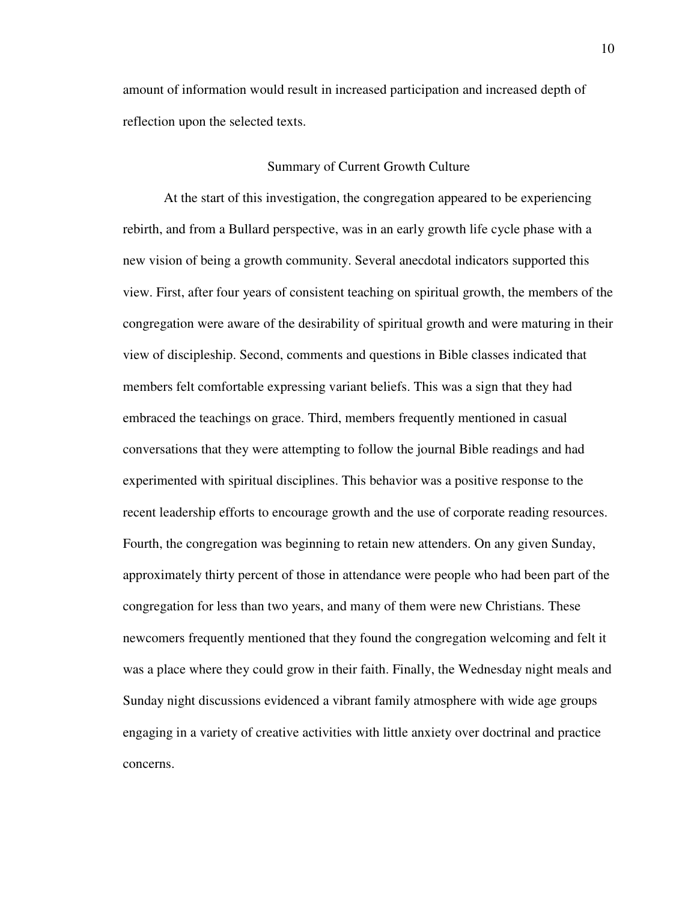amount of information would result in increased participation and increased depth of reflection upon the selected texts.

#### Summary of Current Growth Culture

At the start of this investigation, the congregation appeared to be experiencing rebirth, and from a Bullard perspective, was in an early growth life cycle phase with a new vision of being a growth community. Several anecdotal indicators supported this view. First, after four years of consistent teaching on spiritual growth, the members of the congregation were aware of the desirability of spiritual growth and were maturing in their view of discipleship. Second, comments and questions in Bible classes indicated that members felt comfortable expressing variant beliefs. This was a sign that they had embraced the teachings on grace. Third, members frequently mentioned in casual conversations that they were attempting to follow the journal Bible readings and had experimented with spiritual disciplines. This behavior was a positive response to the recent leadership efforts to encourage growth and the use of corporate reading resources. Fourth, the congregation was beginning to retain new attenders. On any given Sunday, approximately thirty percent of those in attendance were people who had been part of the congregation for less than two years, and many of them were new Christians. These newcomers frequently mentioned that they found the congregation welcoming and felt it was a place where they could grow in their faith. Finally, the Wednesday night meals and Sunday night discussions evidenced a vibrant family atmosphere with wide age groups engaging in a variety of creative activities with little anxiety over doctrinal and practice concerns.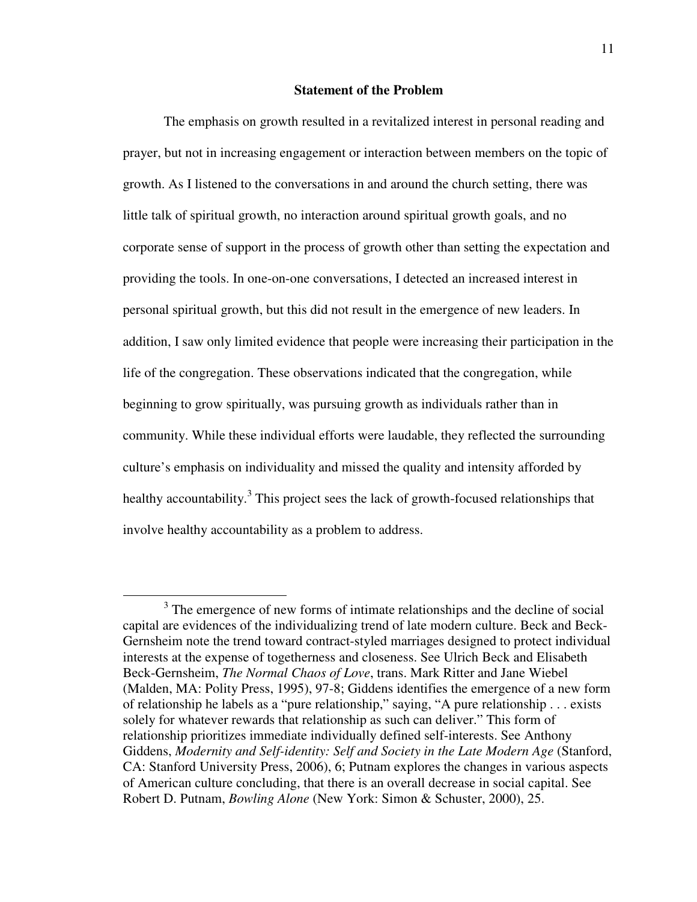#### **Statement of the Problem**

The emphasis on growth resulted in a revitalized interest in personal reading and prayer, but not in increasing engagement or interaction between members on the topic of growth. As I listened to the conversations in and around the church setting, there was little talk of spiritual growth, no interaction around spiritual growth goals, and no corporate sense of support in the process of growth other than setting the expectation and providing the tools. In one-on-one conversations, I detected an increased interest in personal spiritual growth, but this did not result in the emergence of new leaders. In addition, I saw only limited evidence that people were increasing their participation in the life of the congregation. These observations indicated that the congregation, while beginning to grow spiritually, was pursuing growth as individuals rather than in community. While these individual efforts were laudable, they reflected the surrounding culture's emphasis on individuality and missed the quality and intensity afforded by healthy accountability.<sup>3</sup> This project sees the lack of growth-focused relationships that involve healthy accountability as a problem to address.

<sup>&</sup>lt;sup>3</sup> The emergence of new forms of intimate relationships and the decline of social capital are evidences of the individualizing trend of late modern culture. Beck and Beck-Gernsheim note the trend toward contract-styled marriages designed to protect individual interests at the expense of togetherness and closeness. See Ulrich Beck and Elisabeth Beck-Gernsheim, *The Normal Chaos of Love*, trans. Mark Ritter and Jane Wiebel (Malden, MA: Polity Press, 1995), 97-8; Giddens identifies the emergence of a new form of relationship he labels as a "pure relationship," saying, "A pure relationship . . . exists solely for whatever rewards that relationship as such can deliver." This form of relationship prioritizes immediate individually defined self-interests. See Anthony Giddens, *Modernity and Self-identity: Self and Society in the Late Modern Age* (Stanford, CA: Stanford University Press, 2006), 6; Putnam explores the changes in various aspects of American culture concluding, that there is an overall decrease in social capital. See Robert D. Putnam, *Bowling Alone* (New York: Simon & Schuster, 2000), 25.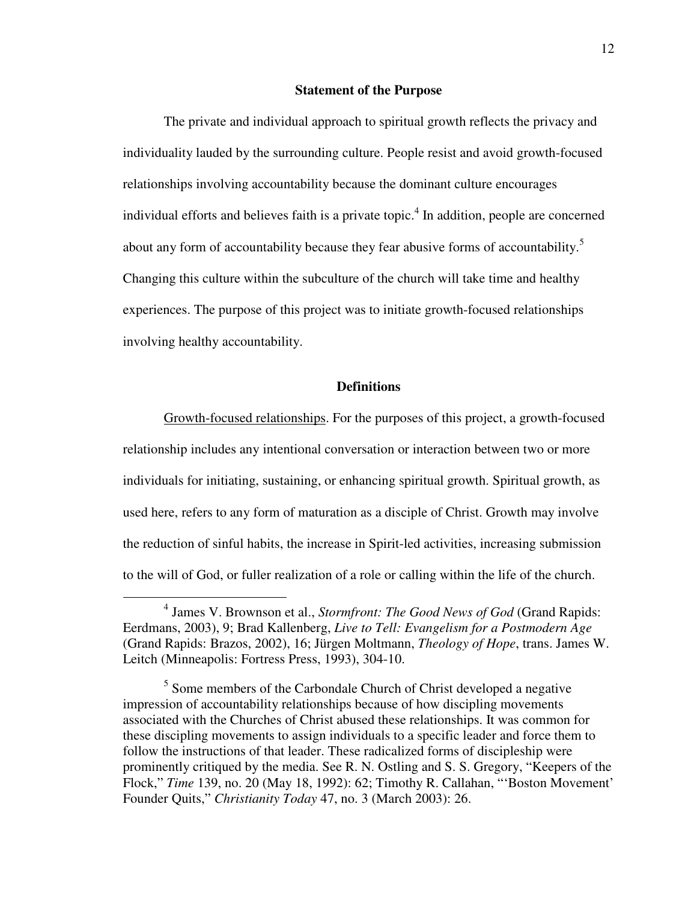#### **Statement of the Purpose**

The private and individual approach to spiritual growth reflects the privacy and individuality lauded by the surrounding culture. People resist and avoid growth-focused relationships involving accountability because the dominant culture encourages individual efforts and believes faith is a private topic.<sup>4</sup> In addition, people are concerned about any form of accountability because they fear abusive forms of accountability.<sup>5</sup> Changing this culture within the subculture of the church will take time and healthy experiences. The purpose of this project was to initiate growth-focused relationships involving healthy accountability.

#### **Definitions**

Growth-focused relationships. For the purposes of this project, a growth-focused relationship includes any intentional conversation or interaction between two or more individuals for initiating, sustaining, or enhancing spiritual growth. Spiritual growth, as used here, refers to any form of maturation as a disciple of Christ. Growth may involve the reduction of sinful habits, the increase in Spirit-led activities, increasing submission to the will of God, or fuller realization of a role or calling within the life of the church.

<sup>4</sup> James V. Brownson et al., *Stormfront: The Good News of God* (Grand Rapids: Eerdmans, 2003), 9; Brad Kallenberg, *Live to Tell: Evangelism for a Postmodern Age* (Grand Rapids: Brazos, 2002), 16; Jürgen Moltmann, *Theology of Hope*, trans. James W. Leitch (Minneapolis: Fortress Press, 1993), 304-10.

<sup>&</sup>lt;sup>5</sup> Some members of the Carbondale Church of Christ developed a negative impression of accountability relationships because of how discipling movements associated with the Churches of Christ abused these relationships. It was common for these discipling movements to assign individuals to a specific leader and force them to follow the instructions of that leader. These radicalized forms of discipleship were prominently critiqued by the media. See R. N. Ostling and S. S. Gregory, "Keepers of the Flock," *Time* 139, no. 20 (May 18, 1992): 62; Timothy R. Callahan, "'Boston Movement' Founder Quits," *Christianity Today* 47, no. 3 (March 2003): 26.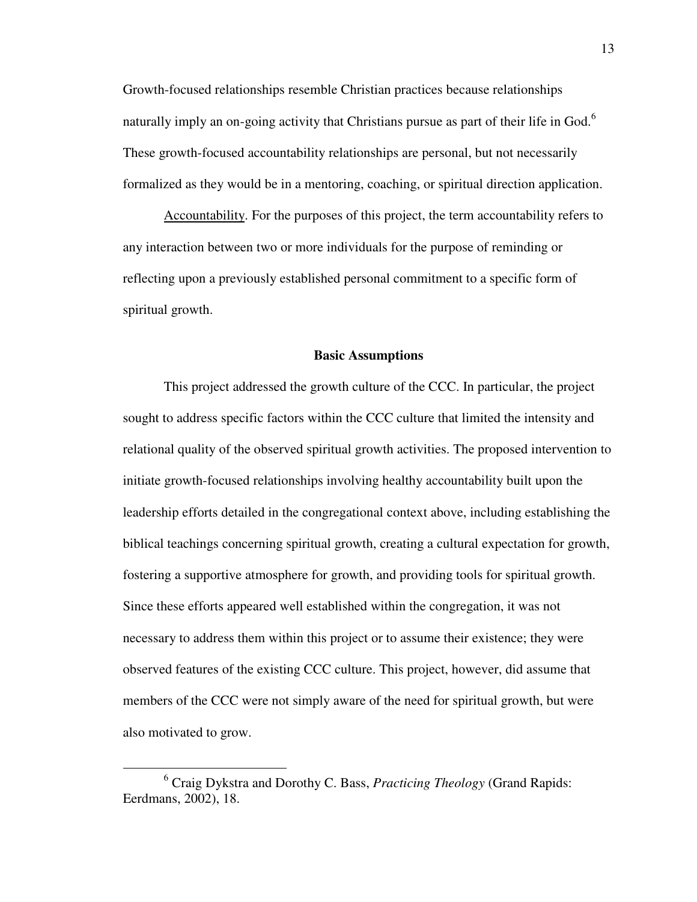Growth-focused relationships resemble Christian practices because relationships naturally imply an on-going activity that Christians pursue as part of their life in God.<sup>6</sup> These growth-focused accountability relationships are personal, but not necessarily formalized as they would be in a mentoring, coaching, or spiritual direction application.

Accountability. For the purposes of this project, the term accountability refers to any interaction between two or more individuals for the purpose of reminding or reflecting upon a previously established personal commitment to a specific form of spiritual growth.

#### **Basic Assumptions**

This project addressed the growth culture of the CCC. In particular, the project sought to address specific factors within the CCC culture that limited the intensity and relational quality of the observed spiritual growth activities. The proposed intervention to initiate growth-focused relationships involving healthy accountability built upon the leadership efforts detailed in the congregational context above, including establishing the biblical teachings concerning spiritual growth, creating a cultural expectation for growth, fostering a supportive atmosphere for growth, and providing tools for spiritual growth. Since these efforts appeared well established within the congregation, it was not necessary to address them within this project or to assume their existence; they were observed features of the existing CCC culture. This project, however, did assume that members of the CCC were not simply aware of the need for spiritual growth, but were also motivated to grow.

<sup>6</sup> Craig Dykstra and Dorothy C. Bass, *Practicing Theology* (Grand Rapids: Eerdmans, 2002), 18.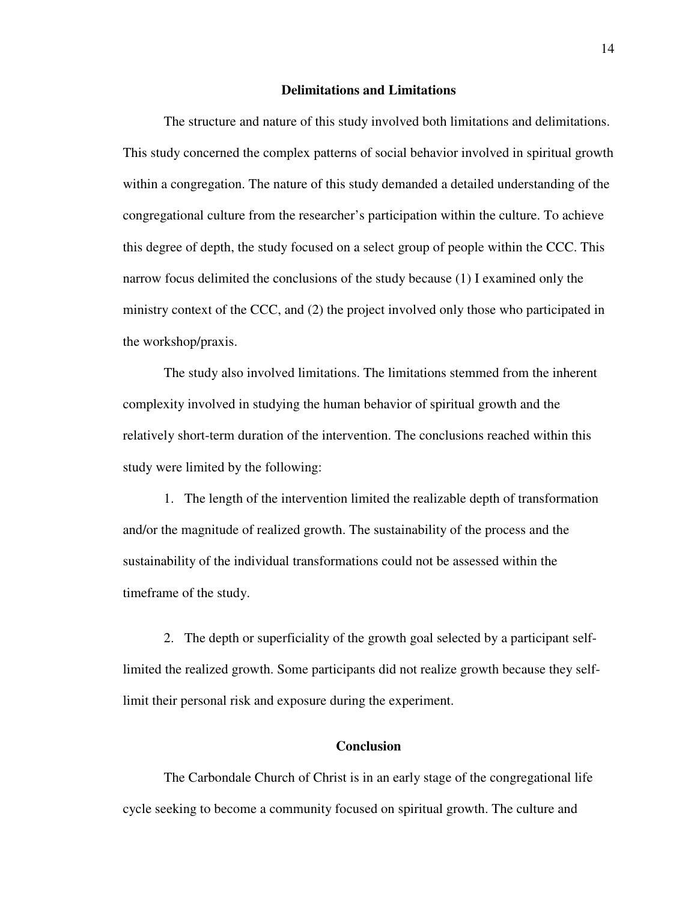#### **Delimitations and Limitations**

The structure and nature of this study involved both limitations and delimitations. This study concerned the complex patterns of social behavior involved in spiritual growth within a congregation. The nature of this study demanded a detailed understanding of the congregational culture from the researcher's participation within the culture. To achieve this degree of depth, the study focused on a select group of people within the CCC. This narrow focus delimited the conclusions of the study because (1) I examined only the ministry context of the CCC, and (2) the project involved only those who participated in the workshop/praxis.

The study also involved limitations. The limitations stemmed from the inherent complexity involved in studying the human behavior of spiritual growth and the relatively short-term duration of the intervention. The conclusions reached within this study were limited by the following:

1. The length of the intervention limited the realizable depth of transformation and/or the magnitude of realized growth. The sustainability of the process and the sustainability of the individual transformations could not be assessed within the timeframe of the study.

2. The depth or superficiality of the growth goal selected by a participant selflimited the realized growth. Some participants did not realize growth because they selflimit their personal risk and exposure during the experiment.

# **Conclusion**

The Carbondale Church of Christ is in an early stage of the congregational life cycle seeking to become a community focused on spiritual growth. The culture and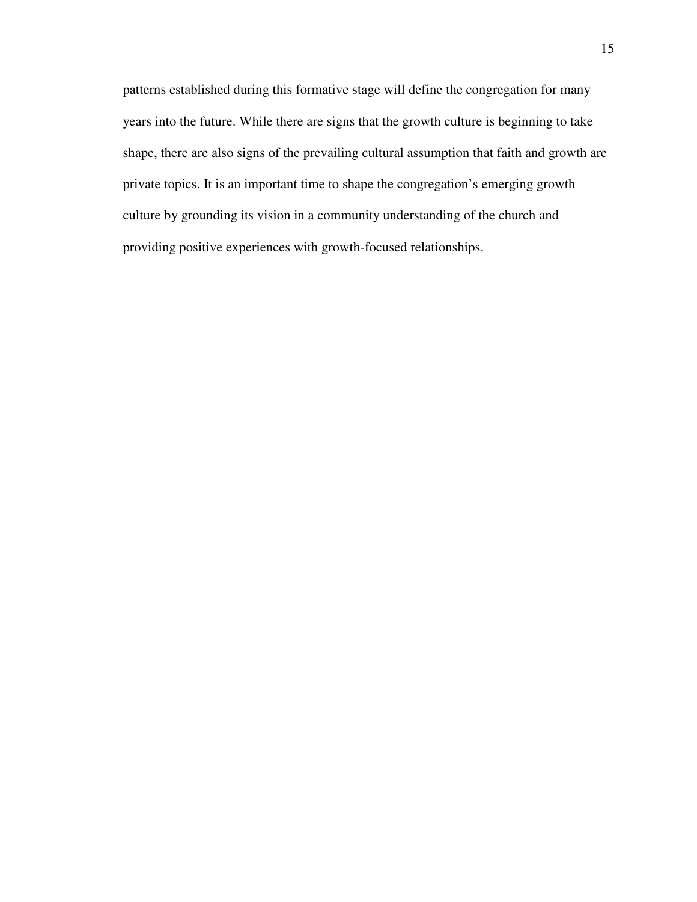patterns established during this formative stage will define the congregation for many years into the future. While there are signs that the growth culture is beginning to take shape, there are also signs of the prevailing cultural assumption that faith and growth are private topics. It is an important time to shape the congregation's emerging growth culture by grounding its vision in a community understanding of the church and providing positive experiences with growth-focused relationships.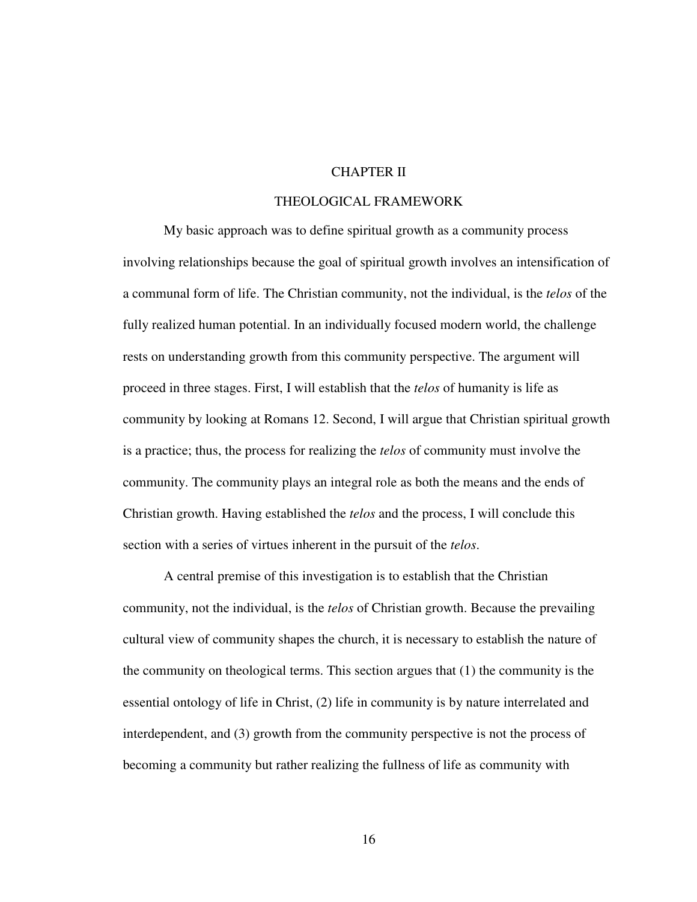# CHAPTER II

# THEOLOGICAL FRAMEWORK

My basic approach was to define spiritual growth as a community process involving relationships because the goal of spiritual growth involves an intensification of a communal form of life. The Christian community, not the individual, is the *telos* of the fully realized human potential. In an individually focused modern world, the challenge rests on understanding growth from this community perspective. The argument will proceed in three stages. First, I will establish that the *telos* of humanity is life as community by looking at Romans 12. Second, I will argue that Christian spiritual growth is a practice; thus, the process for realizing the *telos* of community must involve the community. The community plays an integral role as both the means and the ends of Christian growth. Having established the *telos* and the process, I will conclude this section with a series of virtues inherent in the pursuit of the *telos*.

A central premise of this investigation is to establish that the Christian community, not the individual, is the *telos* of Christian growth. Because the prevailing cultural view of community shapes the church, it is necessary to establish the nature of the community on theological terms. This section argues that (1) the community is the essential ontology of life in Christ, (2) life in community is by nature interrelated and interdependent, and (3) growth from the community perspective is not the process of becoming a community but rather realizing the fullness of life as community with

16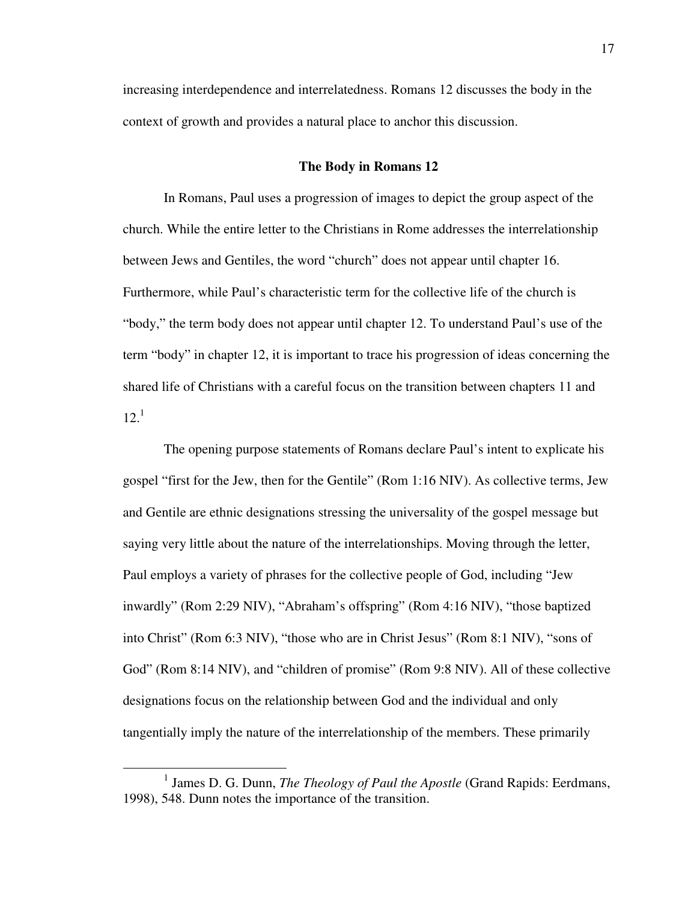increasing interdependence and interrelatedness. Romans 12 discusses the body in the context of growth and provides a natural place to anchor this discussion.

#### **The Body in Romans 12**

In Romans, Paul uses a progression of images to depict the group aspect of the church. While the entire letter to the Christians in Rome addresses the interrelationship between Jews and Gentiles, the word "church" does not appear until chapter 16. Furthermore, while Paul's characteristic term for the collective life of the church is "body," the term body does not appear until chapter 12. To understand Paul's use of the term "body" in chapter 12, it is important to trace his progression of ideas concerning the shared life of Christians with a careful focus on the transition between chapters 11 and  $12.<sup>1</sup>$ 

The opening purpose statements of Romans declare Paul's intent to explicate his gospel "first for the Jew, then for the Gentile" (Rom 1:16 NIV). As collective terms, Jew and Gentile are ethnic designations stressing the universality of the gospel message but saying very little about the nature of the interrelationships. Moving through the letter, Paul employs a variety of phrases for the collective people of God, including "Jew inwardly" (Rom 2:29 NIV), "Abraham's offspring" (Rom 4:16 NIV), "those baptized into Christ" (Rom 6:3 NIV), "those who are in Christ Jesus" (Rom 8:1 NIV), "sons of God" (Rom 8:14 NIV), and "children of promise" (Rom 9:8 NIV). All of these collective designations focus on the relationship between God and the individual and only tangentially imply the nature of the interrelationship of the members. These primarily

<sup>&</sup>lt;sup>1</sup> James D. G. Dunn, *The Theology of Paul the Apostle* (Grand Rapids: Eerdmans, 1998), 548. Dunn notes the importance of the transition.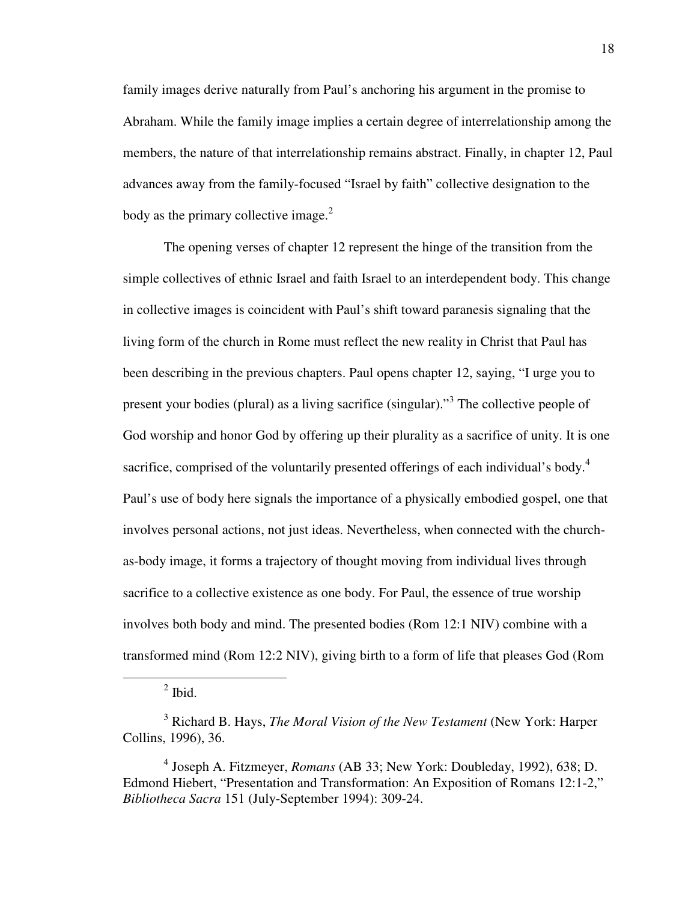family images derive naturally from Paul's anchoring his argument in the promise to Abraham. While the family image implies a certain degree of interrelationship among the members, the nature of that interrelationship remains abstract. Finally, in chapter 12, Paul advances away from the family-focused "Israel by faith" collective designation to the body as the primary collective image. $2$ 

The opening verses of chapter 12 represent the hinge of the transition from the simple collectives of ethnic Israel and faith Israel to an interdependent body. This change in collective images is coincident with Paul's shift toward paranesis signaling that the living form of the church in Rome must reflect the new reality in Christ that Paul has been describing in the previous chapters. Paul opens chapter 12, saying, "I urge you to present your bodies (plural) as a living sacrifice (singular)."<sup>3</sup> The collective people of God worship and honor God by offering up their plurality as a sacrifice of unity. It is one sacrifice, comprised of the voluntarily presented offerings of each individual's body.<sup>4</sup> Paul's use of body here signals the importance of a physically embodied gospel, one that involves personal actions, not just ideas. Nevertheless, when connected with the churchas-body image, it forms a trajectory of thought moving from individual lives through sacrifice to a collective existence as one body. For Paul, the essence of true worship involves both body and mind. The presented bodies (Rom 12:1 NIV) combine with a transformed mind (Rom 12:2 NIV), giving birth to a form of life that pleases God (Rom

 $\overline{a}$ 

4 Joseph A. Fitzmeyer, *Romans* (AB 33; New York: Doubleday, 1992), 638; D. Edmond Hiebert, "Presentation and Transformation: An Exposition of Romans 12:1-2," *Bibliotheca Sacra* 151 (July-September 1994): 309-24.

 $<sup>2</sup>$  Ibid.</sup>

<sup>3</sup> Richard B. Hays, *The Moral Vision of the New Testament* (New York: Harper Collins, 1996), 36.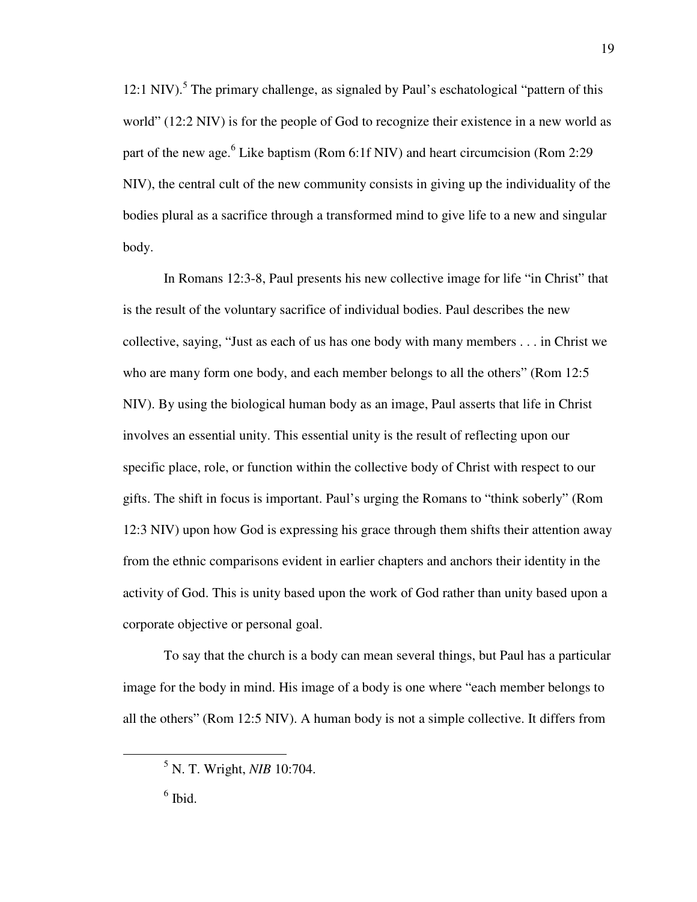12:1 NIV).<sup>5</sup> The primary challenge, as signaled by Paul's eschatological "pattern of this world" (12:2 NIV) is for the people of God to recognize their existence in a new world as part of the new age.<sup>6</sup> Like baptism (Rom 6:1f NIV) and heart circumcision (Rom 2:29 NIV), the central cult of the new community consists in giving up the individuality of the bodies plural as a sacrifice through a transformed mind to give life to a new and singular body.

In Romans 12:3-8, Paul presents his new collective image for life "in Christ" that is the result of the voluntary sacrifice of individual bodies. Paul describes the new collective, saying, "Just as each of us has one body with many members . . . in Christ we who are many form one body, and each member belongs to all the others" (Rom 12:5 NIV). By using the biological human body as an image, Paul asserts that life in Christ involves an essential unity. This essential unity is the result of reflecting upon our specific place, role, or function within the collective body of Christ with respect to our gifts. The shift in focus is important. Paul's urging the Romans to "think soberly" (Rom 12:3 NIV) upon how God is expressing his grace through them shifts their attention away from the ethnic comparisons evident in earlier chapters and anchors their identity in the activity of God. This is unity based upon the work of God rather than unity based upon a corporate objective or personal goal.

To say that the church is a body can mean several things, but Paul has a particular image for the body in mind. His image of a body is one where "each member belongs to all the others" (Rom 12:5 NIV). A human body is not a simple collective. It differs from

<sup>5</sup> N. T. Wright, *NIB* 10:704.

 $<sup>6</sup>$  Ibid.</sup>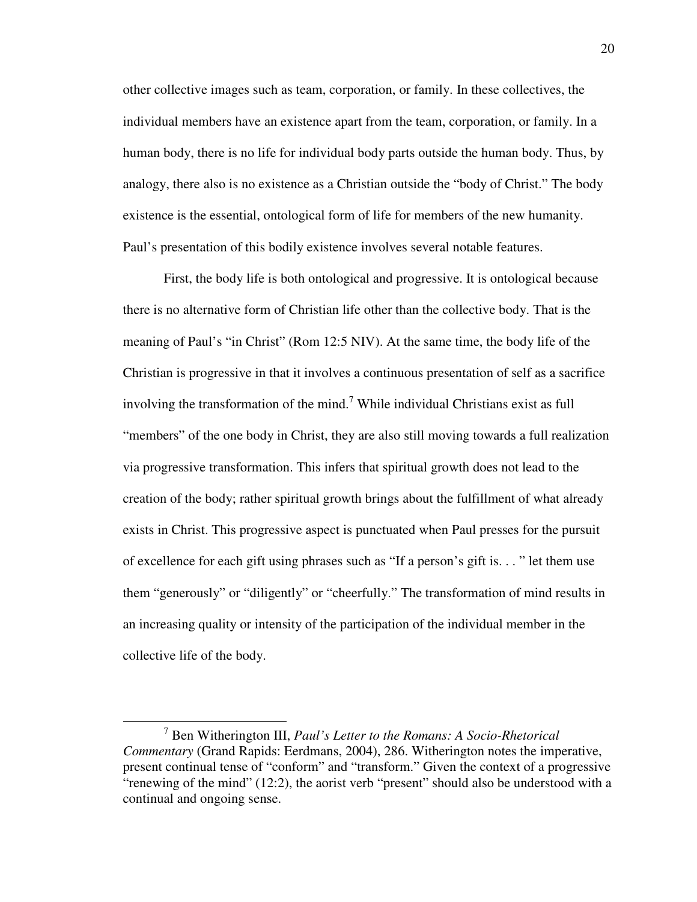other collective images such as team, corporation, or family. In these collectives, the individual members have an existence apart from the team, corporation, or family. In a human body, there is no life for individual body parts outside the human body. Thus, by analogy, there also is no existence as a Christian outside the "body of Christ." The body existence is the essential, ontological form of life for members of the new humanity. Paul's presentation of this bodily existence involves several notable features.

First, the body life is both ontological and progressive. It is ontological because there is no alternative form of Christian life other than the collective body. That is the meaning of Paul's "in Christ" (Rom 12:5 NIV). At the same time, the body life of the Christian is progressive in that it involves a continuous presentation of self as a sacrifice involving the transformation of the mind.<sup>7</sup> While individual Christians exist as full "members" of the one body in Christ, they are also still moving towards a full realization via progressive transformation. This infers that spiritual growth does not lead to the creation of the body; rather spiritual growth brings about the fulfillment of what already exists in Christ. This progressive aspect is punctuated when Paul presses for the pursuit of excellence for each gift using phrases such as "If a person's gift is. . . " let them use them "generously" or "diligently" or "cheerfully." The transformation of mind results in an increasing quality or intensity of the participation of the individual member in the collective life of the body.

<sup>7</sup> Ben Witherington III, *Paul's Letter to the Romans: A Socio-Rhetorical Commentary* (Grand Rapids: Eerdmans, 2004), 286. Witherington notes the imperative, present continual tense of "conform" and "transform." Given the context of a progressive "renewing of the mind" (12:2), the aorist verb "present" should also be understood with a continual and ongoing sense.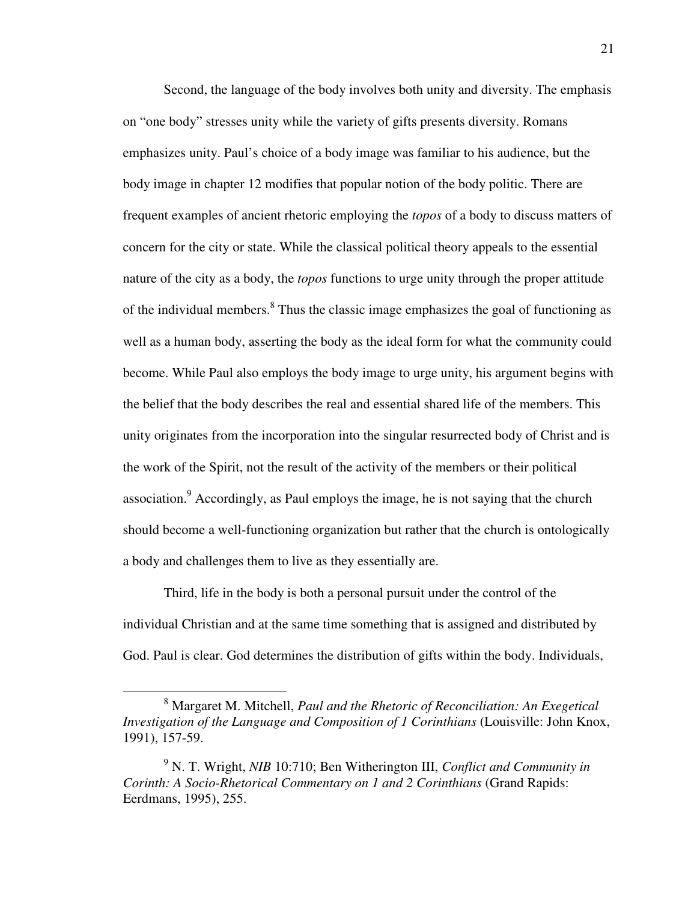Second, the language of the body involves both unity and diversity. The emphasis on "one body" stresses unity while the variety of gifts presents diversity. Romans emphasizes unity. Paul's choice of a body image was familiar to his audience, but the body image in chapter 12 modifies that popular notion of the body politic. There are frequent examples of ancient rhetoric employing the *topos* of a body to discuss matters of concern for the city or state. While the classical political theory appeals to the essential nature of the city as a body, the *topos* functions to urge unity through the proper attitude of the individual members.<sup>8</sup> Thus the classic image emphasizes the goal of functioning as well as a human body, asserting the body as the ideal form for what the community could become. While Paul also employs the body image to urge unity, his argument begins with the belief that the body describes the real and essential shared life of the members. This unity originates from the incorporation into the singular resurrected body of Christ and is the work of the Spirit, not the result of the activity of the members or their political association. $9$  Accordingly, as Paul employs the image, he is not saying that the church should become a well-functioning organization but rather that the church is ontologically a body and challenges them to live as they essentially are.

Third, life in the body is both a personal pursuit under the control of the individual Christian and at the same time something that is assigned and distributed by God. Paul is clear. God determines the distribution of gifts within the body. Individuals,

<sup>8</sup> Margaret M. Mitchell, *Paul and the Rhetoric of Reconciliation: An Exegetical Investigation of the Language and Composition of 1 Corinthians* (Louisville: John Knox, 1991), 157-59.

<sup>9</sup> N. T. Wright, *NIB* 10:710; Ben Witherington III, *Conflict and Community in Corinth: A Socio-Rhetorical Commentary on 1 and 2 Corinthians* (Grand Rapids: Eerdmans, 1995), 255.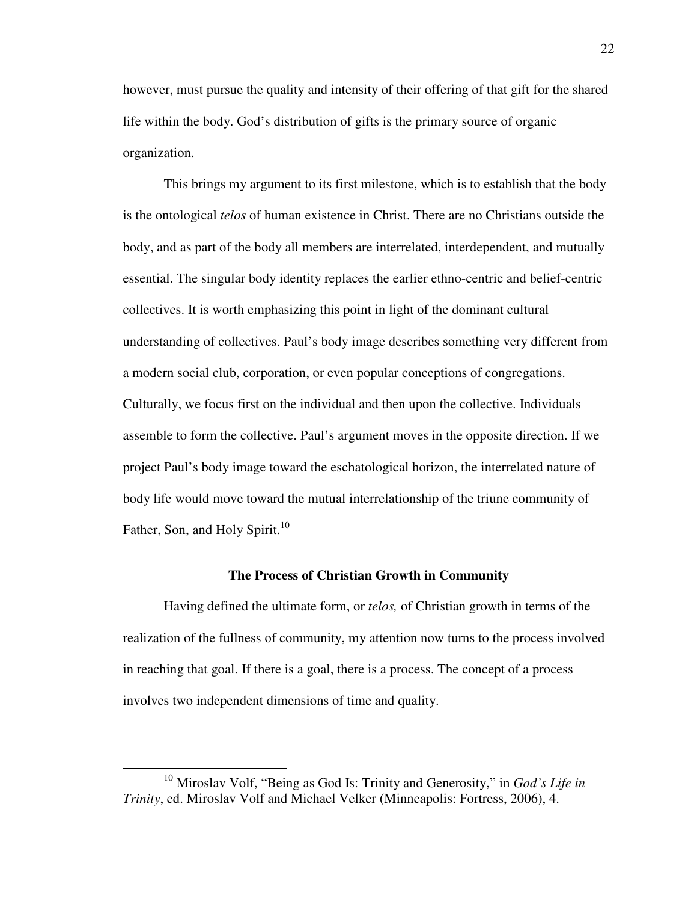however, must pursue the quality and intensity of their offering of that gift for the shared life within the body. God's distribution of gifts is the primary source of organic organization.

This brings my argument to its first milestone, which is to establish that the body is the ontological *telos* of human existence in Christ. There are no Christians outside the body, and as part of the body all members are interrelated, interdependent, and mutually essential. The singular body identity replaces the earlier ethno-centric and belief-centric collectives. It is worth emphasizing this point in light of the dominant cultural understanding of collectives. Paul's body image describes something very different from a modern social club, corporation, or even popular conceptions of congregations. Culturally, we focus first on the individual and then upon the collective. Individuals assemble to form the collective. Paul's argument moves in the opposite direction. If we project Paul's body image toward the eschatological horizon, the interrelated nature of body life would move toward the mutual interrelationship of the triune community of Father, Son, and Holy Spirit.<sup>10</sup>

#### **The Process of Christian Growth in Community**

Having defined the ultimate form, or *telos,* of Christian growth in terms of the realization of the fullness of community, my attention now turns to the process involved in reaching that goal. If there is a goal, there is a process. The concept of a process involves two independent dimensions of time and quality.

<sup>10</sup> Miroslav Volf, "Being as God Is: Trinity and Generosity," in *God's Life in Trinity*, ed. Miroslav Volf and Michael Velker (Minneapolis: Fortress, 2006), 4.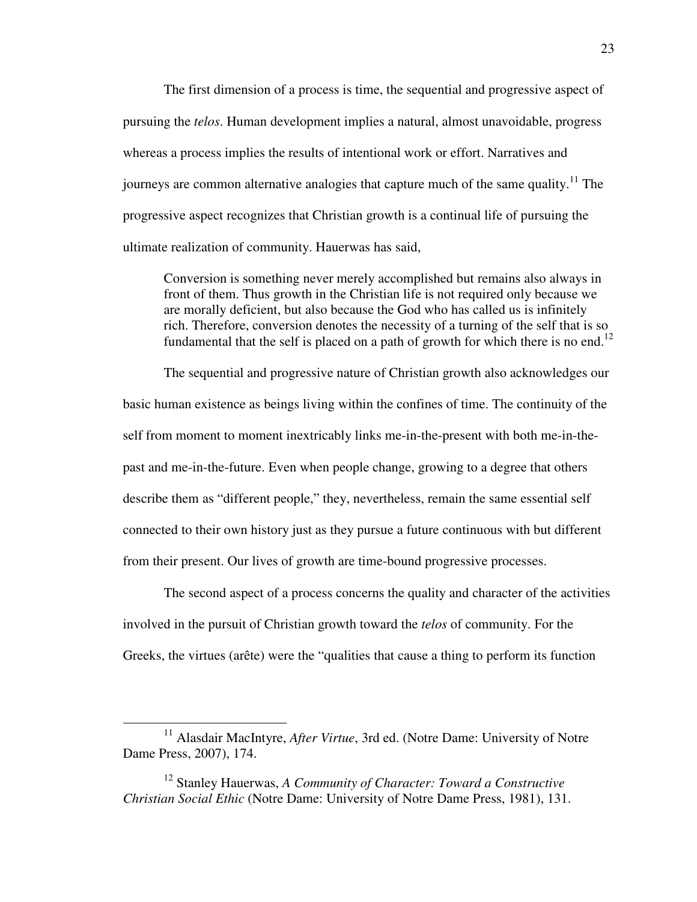The first dimension of a process is time, the sequential and progressive aspect of pursuing the *telos*. Human development implies a natural, almost unavoidable, progress whereas a process implies the results of intentional work or effort. Narratives and journeys are common alternative analogies that capture much of the same quality.<sup>11</sup> The progressive aspect recognizes that Christian growth is a continual life of pursuing the ultimate realization of community. Hauerwas has said,

Conversion is something never merely accomplished but remains also always in front of them. Thus growth in the Christian life is not required only because we are morally deficient, but also because the God who has called us is infinitely rich. Therefore, conversion denotes the necessity of a turning of the self that is so fundamental that the self is placed on a path of growth for which there is no end.<sup>12</sup>

The sequential and progressive nature of Christian growth also acknowledges our basic human existence as beings living within the confines of time. The continuity of the self from moment to moment inextricably links me-in-the-present with both me-in-thepast and me-in-the-future. Even when people change, growing to a degree that others describe them as "different people," they, nevertheless, remain the same essential self connected to their own history just as they pursue a future continuous with but different from their present. Our lives of growth are time-bound progressive processes.

The second aspect of a process concerns the quality and character of the activities involved in the pursuit of Christian growth toward the *telos* of community. For the Greeks, the virtues (arête) were the "qualities that cause a thing to perform its function

<sup>&</sup>lt;sup>11</sup> Alasdair MacIntyre, *After Virtue*, 3rd ed. (Notre Dame: University of Notre Dame Press, 2007), 174.

<sup>12</sup> Stanley Hauerwas, *A Community of Character: Toward a Constructive Christian Social Ethic* (Notre Dame: University of Notre Dame Press, 1981), 131.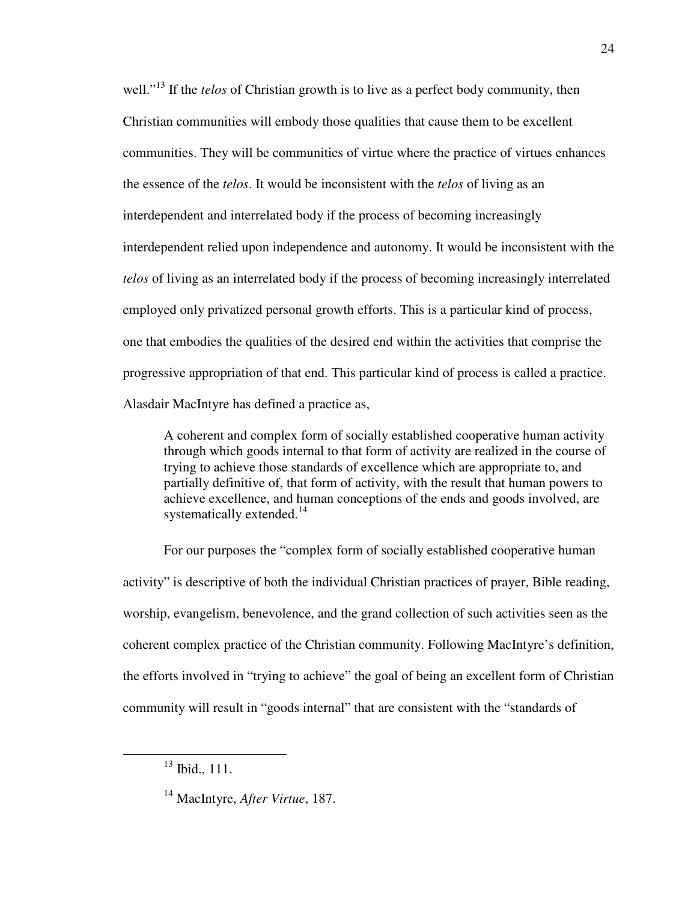well."<sup>13</sup> If the *telos* of Christian growth is to live as a perfect body community, then Christian communities will embody those qualities that cause them to be excellent communities. They will be communities of virtue where the practice of virtues enhances the essence of the *telos*. It would be inconsistent with the *telos* of living as an interdependent and interrelated body if the process of becoming increasingly interdependent relied upon independence and autonomy. It would be inconsistent with the *telos* of living as an interrelated body if the process of becoming increasingly interrelated employed only privatized personal growth efforts. This is a particular kind of process, one that embodies the qualities of the desired end within the activities that comprise the progressive appropriation of that end. This particular kind of process is called a practice. Alasdair MacIntyre has defined a practice as,

A coherent and complex form of socially established cooperative human activity through which goods internal to that form of activity are realized in the course of trying to achieve those standards of excellence which are appropriate to, and partially definitive of, that form of activity, with the result that human powers to achieve excellence, and human conceptions of the ends and goods involved, are systematically extended.<sup>14</sup>

For our purposes the "complex form of socially established cooperative human activity" is descriptive of both the individual Christian practices of prayer, Bible reading, worship, evangelism, benevolence, and the grand collection of such activities seen as the coherent complex practice of the Christian community. Following MacIntyre's definition, the efforts involved in "trying to achieve" the goal of being an excellent form of Christian community will result in "goods internal" that are consistent with the "standards of

 $13$  Ibid., 111.

<sup>14</sup> MacIntyre, *After Virtue*, 187.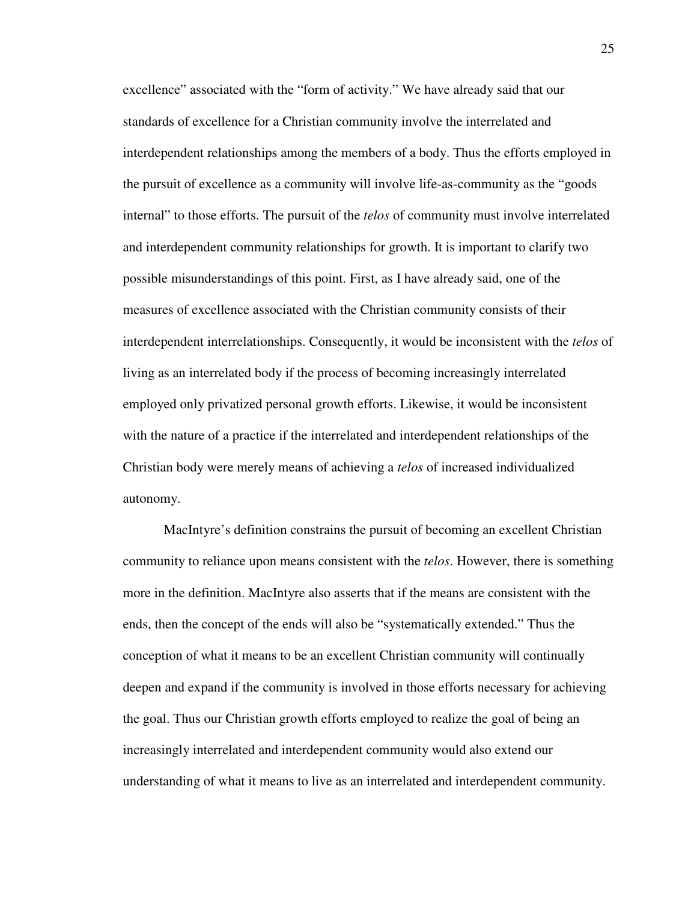excellence" associated with the "form of activity." We have already said that our standards of excellence for a Christian community involve the interrelated and interdependent relationships among the members of a body. Thus the efforts employed in the pursuit of excellence as a community will involve life-as-community as the "goods internal" to those efforts. The pursuit of the *telos* of community must involve interrelated and interdependent community relationships for growth. It is important to clarify two possible misunderstandings of this point. First, as I have already said, one of the measures of excellence associated with the Christian community consists of their interdependent interrelationships. Consequently, it would be inconsistent with the *telos* of living as an interrelated body if the process of becoming increasingly interrelated employed only privatized personal growth efforts. Likewise, it would be inconsistent with the nature of a practice if the interrelated and interdependent relationships of the Christian body were merely means of achieving a *telos* of increased individualized autonomy.

MacIntyre's definition constrains the pursuit of becoming an excellent Christian community to reliance upon means consistent with the *telos*. However, there is something more in the definition. MacIntyre also asserts that if the means are consistent with the ends, then the concept of the ends will also be "systematically extended." Thus the conception of what it means to be an excellent Christian community will continually deepen and expand if the community is involved in those efforts necessary for achieving the goal. Thus our Christian growth efforts employed to realize the goal of being an increasingly interrelated and interdependent community would also extend our understanding of what it means to live as an interrelated and interdependent community.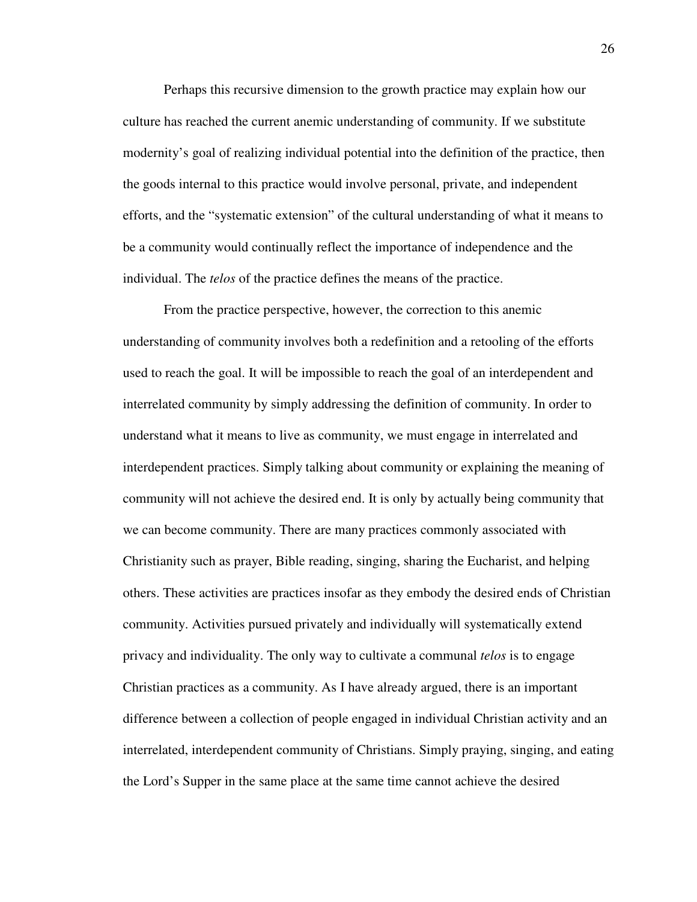Perhaps this recursive dimension to the growth practice may explain how our culture has reached the current anemic understanding of community. If we substitute modernity's goal of realizing individual potential into the definition of the practice, then the goods internal to this practice would involve personal, private, and independent efforts, and the "systematic extension" of the cultural understanding of what it means to be a community would continually reflect the importance of independence and the individual. The *telos* of the practice defines the means of the practice.

From the practice perspective, however, the correction to this anemic understanding of community involves both a redefinition and a retooling of the efforts used to reach the goal. It will be impossible to reach the goal of an interdependent and interrelated community by simply addressing the definition of community. In order to understand what it means to live as community, we must engage in interrelated and interdependent practices. Simply talking about community or explaining the meaning of community will not achieve the desired end. It is only by actually being community that we can become community. There are many practices commonly associated with Christianity such as prayer, Bible reading, singing, sharing the Eucharist, and helping others. These activities are practices insofar as they embody the desired ends of Christian community. Activities pursued privately and individually will systematically extend privacy and individuality. The only way to cultivate a communal *telos* is to engage Christian practices as a community. As I have already argued, there is an important difference between a collection of people engaged in individual Christian activity and an interrelated, interdependent community of Christians. Simply praying, singing, and eating the Lord's Supper in the same place at the same time cannot achieve the desired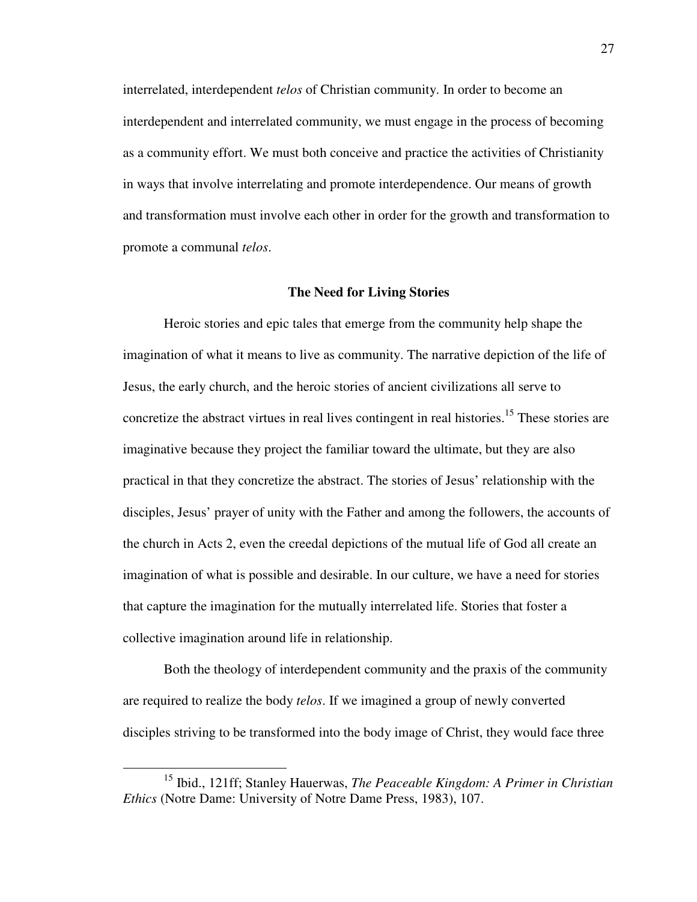interrelated, interdependent *telos* of Christian community. In order to become an interdependent and interrelated community, we must engage in the process of becoming as a community effort. We must both conceive and practice the activities of Christianity in ways that involve interrelating and promote interdependence. Our means of growth and transformation must involve each other in order for the growth and transformation to promote a communal *telos*.

#### **The Need for Living Stories**

Heroic stories and epic tales that emerge from the community help shape the imagination of what it means to live as community. The narrative depiction of the life of Jesus, the early church, and the heroic stories of ancient civilizations all serve to concretize the abstract virtues in real lives contingent in real histories.<sup>15</sup> These stories are imaginative because they project the familiar toward the ultimate, but they are also practical in that they concretize the abstract. The stories of Jesus' relationship with the disciples, Jesus' prayer of unity with the Father and among the followers, the accounts of the church in Acts 2, even the creedal depictions of the mutual life of God all create an imagination of what is possible and desirable. In our culture, we have a need for stories that capture the imagination for the mutually interrelated life. Stories that foster a collective imagination around life in relationship.

Both the theology of interdependent community and the praxis of the community are required to realize the body *telos*. If we imagined a group of newly converted disciples striving to be transformed into the body image of Christ, they would face three

<sup>15</sup> Ibid., 121ff; Stanley Hauerwas, *The Peaceable Kingdom: A Primer in Christian Ethics* (Notre Dame: University of Notre Dame Press, 1983), 107.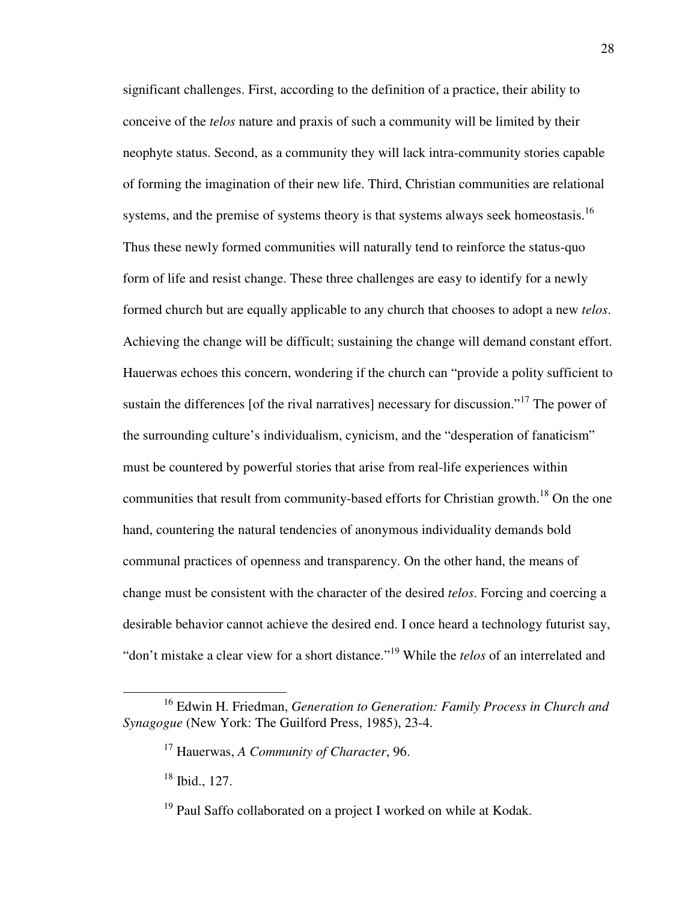significant challenges. First, according to the definition of a practice, their ability to conceive of the *telos* nature and praxis of such a community will be limited by their neophyte status. Second, as a community they will lack intra-community stories capable of forming the imagination of their new life. Third, Christian communities are relational systems, and the premise of systems theory is that systems always seek homeostasis.<sup>16</sup> Thus these newly formed communities will naturally tend to reinforce the status-quo form of life and resist change. These three challenges are easy to identify for a newly formed church but are equally applicable to any church that chooses to adopt a new *telos*. Achieving the change will be difficult; sustaining the change will demand constant effort. Hauerwas echoes this concern, wondering if the church can "provide a polity sufficient to sustain the differences [of the rival narratives] necessary for discussion."<sup>17</sup> The power of the surrounding culture's individualism, cynicism, and the "desperation of fanaticism" must be countered by powerful stories that arise from real-life experiences within communities that result from community-based efforts for Christian growth.<sup>18</sup> On the one hand, countering the natural tendencies of anonymous individuality demands bold communal practices of openness and transparency. On the other hand, the means of change must be consistent with the character of the desired *telos*. Forcing and coercing a desirable behavior cannot achieve the desired end. I once heard a technology futurist say, "don't mistake a clear view for a short distance."<sup>19</sup> While the *telos* of an interrelated and

<sup>16</sup> Edwin H. Friedman, *Generation to Generation: Family Process in Church and Synagogue* (New York: The Guilford Press, 1985), 23-4.

<sup>17</sup> Hauerwas, *A Community of Character*, 96.

<sup>18</sup> Ibid., 127.

 $19$  Paul Saffo collaborated on a project I worked on while at Kodak.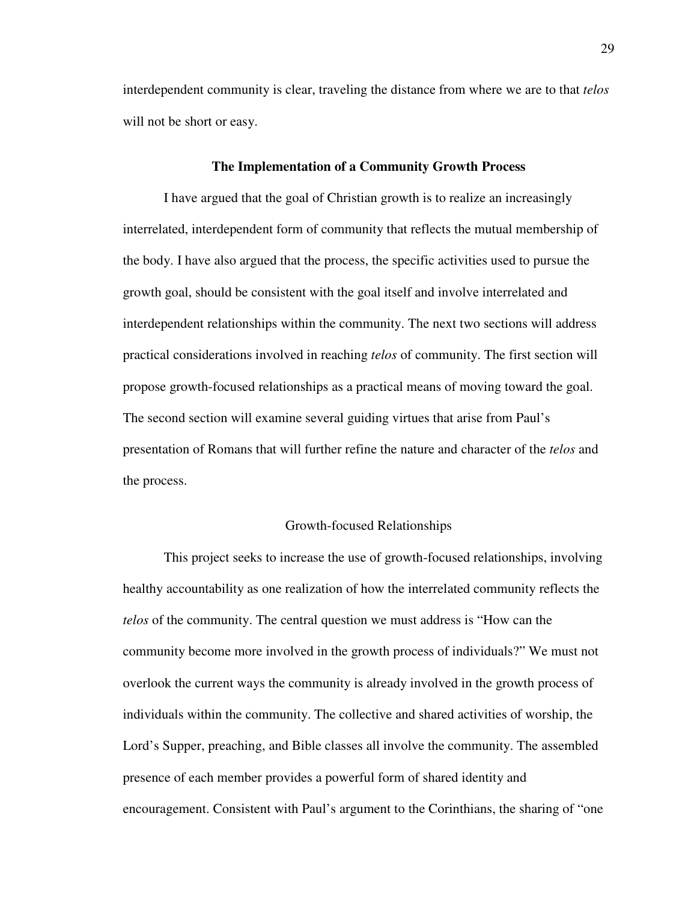interdependent community is clear, traveling the distance from where we are to that *telos* will not be short or easy.

#### **The Implementation of a Community Growth Process**

I have argued that the goal of Christian growth is to realize an increasingly interrelated, interdependent form of community that reflects the mutual membership of the body. I have also argued that the process, the specific activities used to pursue the growth goal, should be consistent with the goal itself and involve interrelated and interdependent relationships within the community. The next two sections will address practical considerations involved in reaching *telos* of community. The first section will propose growth-focused relationships as a practical means of moving toward the goal. The second section will examine several guiding virtues that arise from Paul's presentation of Romans that will further refine the nature and character of the *telos* and the process.

#### Growth-focused Relationships

This project seeks to increase the use of growth-focused relationships, involving healthy accountability as one realization of how the interrelated community reflects the *telos* of the community. The central question we must address is "How can the community become more involved in the growth process of individuals?" We must not overlook the current ways the community is already involved in the growth process of individuals within the community. The collective and shared activities of worship, the Lord's Supper, preaching, and Bible classes all involve the community. The assembled presence of each member provides a powerful form of shared identity and encouragement. Consistent with Paul's argument to the Corinthians, the sharing of "one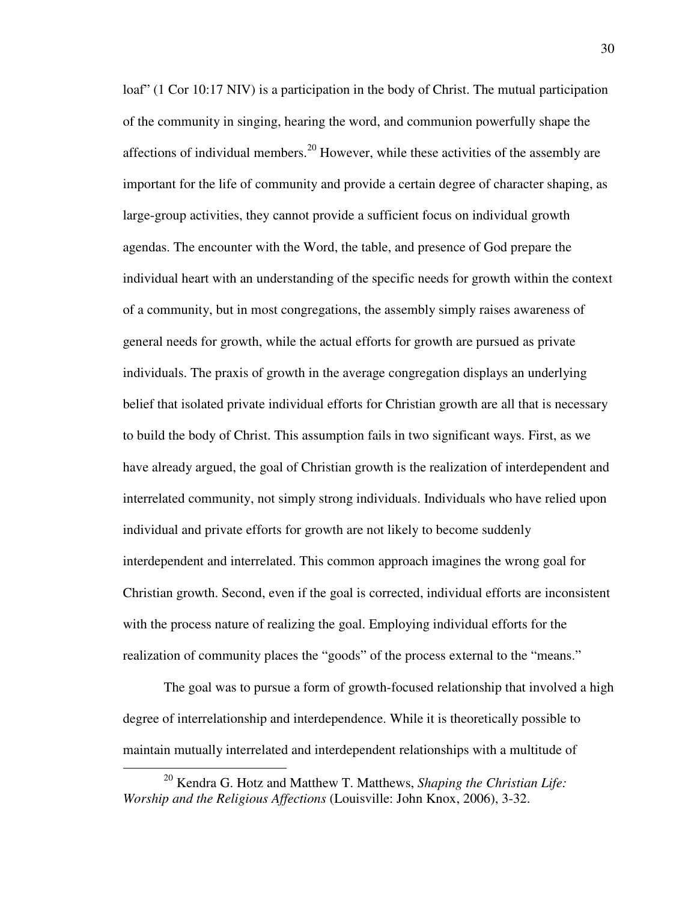loaf" (1 Cor 10:17 NIV) is a participation in the body of Christ. The mutual participation of the community in singing, hearing the word, and communion powerfully shape the affections of individual members.<sup>20</sup> However, while these activities of the assembly are important for the life of community and provide a certain degree of character shaping, as large-group activities, they cannot provide a sufficient focus on individual growth agendas. The encounter with the Word, the table, and presence of God prepare the individual heart with an understanding of the specific needs for growth within the context of a community, but in most congregations, the assembly simply raises awareness of general needs for growth, while the actual efforts for growth are pursued as private individuals. The praxis of growth in the average congregation displays an underlying belief that isolated private individual efforts for Christian growth are all that is necessary to build the body of Christ. This assumption fails in two significant ways. First, as we have already argued, the goal of Christian growth is the realization of interdependent and interrelated community, not simply strong individuals. Individuals who have relied upon individual and private efforts for growth are not likely to become suddenly interdependent and interrelated. This common approach imagines the wrong goal for Christian growth. Second, even if the goal is corrected, individual efforts are inconsistent with the process nature of realizing the goal. Employing individual efforts for the realization of community places the "goods" of the process external to the "means."

The goal was to pursue a form of growth-focused relationship that involved a high degree of interrelationship and interdependence. While it is theoretically possible to maintain mutually interrelated and interdependent relationships with a multitude of

<sup>20</sup> Kendra G. Hotz and Matthew T. Matthews, *Shaping the Christian Life: Worship and the Religious Affections* (Louisville: John Knox, 2006), 3-32.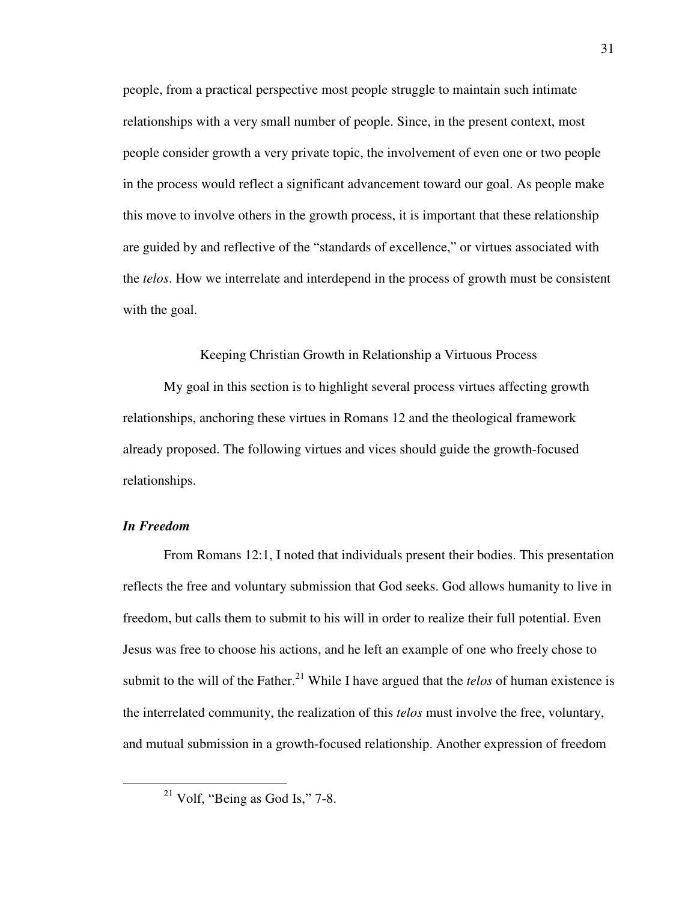people, from a practical perspective most people struggle to maintain such intimate relationships with a very small number of people. Since, in the present context, most people consider growth a very private topic, the involvement of even one or two people in the process would reflect a significant advancement toward our goal. As people make this move to involve others in the growth process, it is important that these relationship are guided by and reflective of the "standards of excellence," or virtues associated with the *telos*. How we interrelate and interdepend in the process of growth must be consistent with the goal.

#### Keeping Christian Growth in Relationship a Virtuous Process

My goal in this section is to highlight several process virtues affecting growth relationships, anchoring these virtues in Romans 12 and the theological framework already proposed. The following virtues and vices should guide the growth-focused relationships.

## *In Freedom*

 $\overline{a}$ 

From Romans 12:1, I noted that individuals present their bodies. This presentation reflects the free and voluntary submission that God seeks. God allows humanity to live in freedom, but calls them to submit to his will in order to realize their full potential. Even Jesus was free to choose his actions, and he left an example of one who freely chose to submit to the will of the Father.<sup>21</sup> While I have argued that the *telos* of human existence is the interrelated community, the realization of this *telos* must involve the free, voluntary, and mutual submission in a growth-focused relationship. Another expression of freedom

 $21$  Volf, "Being as God Is," 7-8.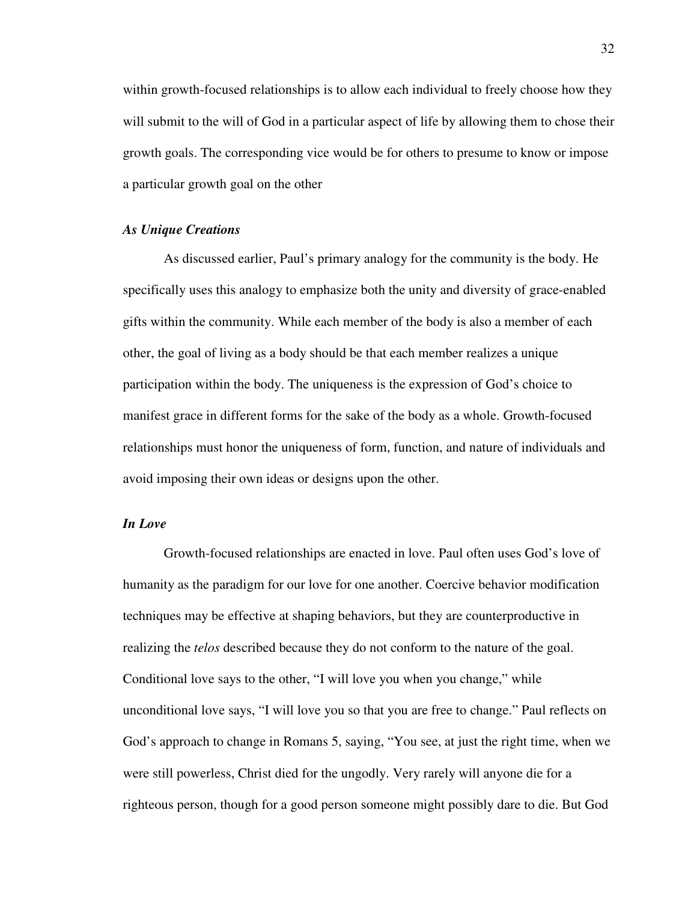within growth-focused relationships is to allow each individual to freely choose how they will submit to the will of God in a particular aspect of life by allowing them to chose their growth goals. The corresponding vice would be for others to presume to know or impose a particular growth goal on the other

### *As Unique Creations*

As discussed earlier, Paul's primary analogy for the community is the body. He specifically uses this analogy to emphasize both the unity and diversity of grace-enabled gifts within the community. While each member of the body is also a member of each other, the goal of living as a body should be that each member realizes a unique participation within the body. The uniqueness is the expression of God's choice to manifest grace in different forms for the sake of the body as a whole. Growth-focused relationships must honor the uniqueness of form, function, and nature of individuals and avoid imposing their own ideas or designs upon the other.

## *In Love*

Growth-focused relationships are enacted in love. Paul often uses God's love of humanity as the paradigm for our love for one another. Coercive behavior modification techniques may be effective at shaping behaviors, but they are counterproductive in realizing the *telos* described because they do not conform to the nature of the goal. Conditional love says to the other, "I will love you when you change," while unconditional love says, "I will love you so that you are free to change." Paul reflects on God's approach to change in Romans 5, saying, "You see, at just the right time, when we were still powerless, Christ died for the ungodly. Very rarely will anyone die for a righteous person, though for a good person someone might possibly dare to die. But God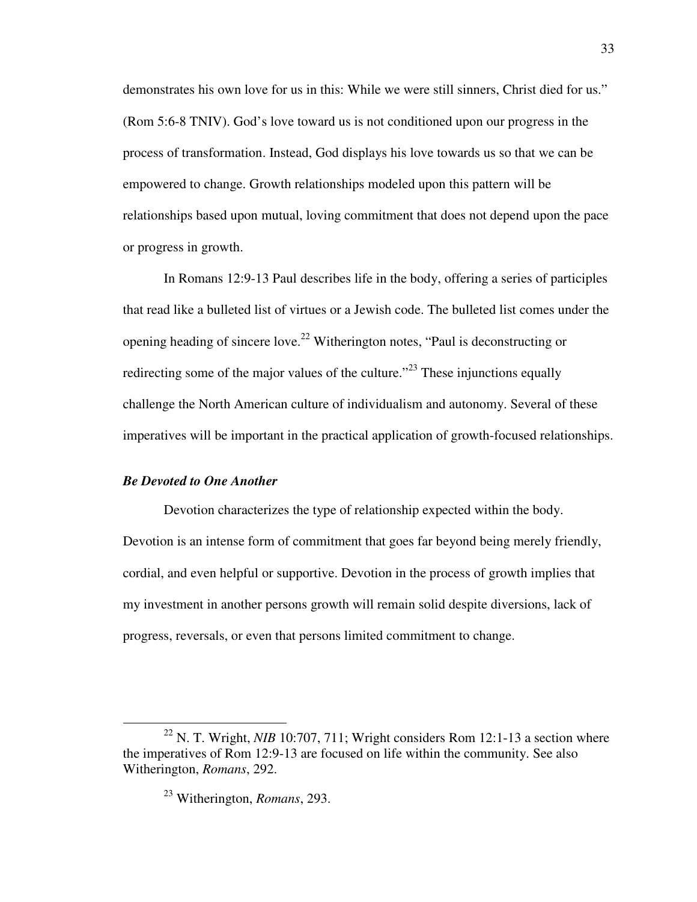demonstrates his own love for us in this: While we were still sinners, Christ died for us." (Rom 5:6-8 TNIV). God's love toward us is not conditioned upon our progress in the process of transformation. Instead, God displays his love towards us so that we can be empowered to change. Growth relationships modeled upon this pattern will be relationships based upon mutual, loving commitment that does not depend upon the pace or progress in growth.

In Romans 12:9-13 Paul describes life in the body, offering a series of participles that read like a bulleted list of virtues or a Jewish code. The bulleted list comes under the opening heading of sincere love.<sup>22</sup> Witherington notes, "Paul is deconstructing or redirecting some of the major values of the culture."<sup>23</sup> These injunctions equally challenge the North American culture of individualism and autonomy. Several of these imperatives will be important in the practical application of growth-focused relationships.

#### *Be Devoted to One Another*

 $\overline{a}$ 

Devotion characterizes the type of relationship expected within the body. Devotion is an intense form of commitment that goes far beyond being merely friendly, cordial, and even helpful or supportive. Devotion in the process of growth implies that my investment in another persons growth will remain solid despite diversions, lack of progress, reversals, or even that persons limited commitment to change.

<sup>&</sup>lt;sup>22</sup> N. T. Wright, *NIB* 10:707, 711; Wright considers Rom 12:1-13 a section where the imperatives of Rom 12:9-13 are focused on life within the community. See also Witherington, *Romans*, 292.

<sup>23</sup> Witherington, *Romans*, 293.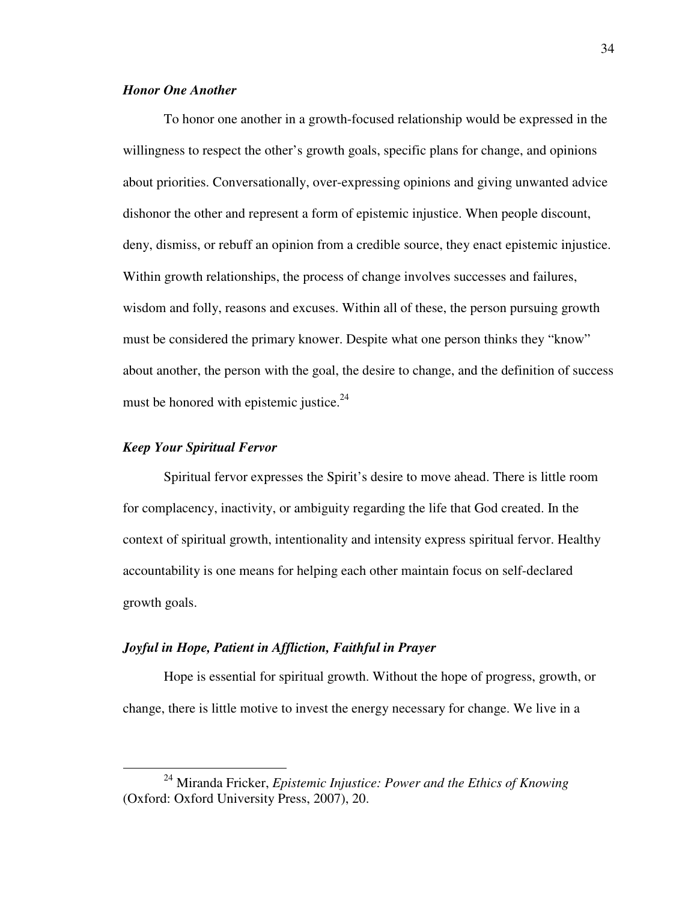## *Honor One Another*

To honor one another in a growth-focused relationship would be expressed in the willingness to respect the other's growth goals, specific plans for change, and opinions about priorities. Conversationally, over-expressing opinions and giving unwanted advice dishonor the other and represent a form of epistemic injustice. When people discount, deny, dismiss, or rebuff an opinion from a credible source, they enact epistemic injustice. Within growth relationships, the process of change involves successes and failures, wisdom and folly, reasons and excuses. Within all of these, the person pursuing growth must be considered the primary knower. Despite what one person thinks they "know" about another, the person with the goal, the desire to change, and the definition of success must be honored with epistemic justice. $24$ 

#### *Keep Your Spiritual Fervor*

 $\overline{a}$ 

Spiritual fervor expresses the Spirit's desire to move ahead. There is little room for complacency, inactivity, or ambiguity regarding the life that God created. In the context of spiritual growth, intentionality and intensity express spiritual fervor. Healthy accountability is one means for helping each other maintain focus on self-declared growth goals.

## *Joyful in Hope, Patient in Affliction, Faithful in Prayer*

Hope is essential for spiritual growth. Without the hope of progress, growth, or change, there is little motive to invest the energy necessary for change. We live in a

<sup>24</sup> Miranda Fricker, *Epistemic Injustice: Power and the Ethics of Knowing* (Oxford: Oxford University Press, 2007), 20.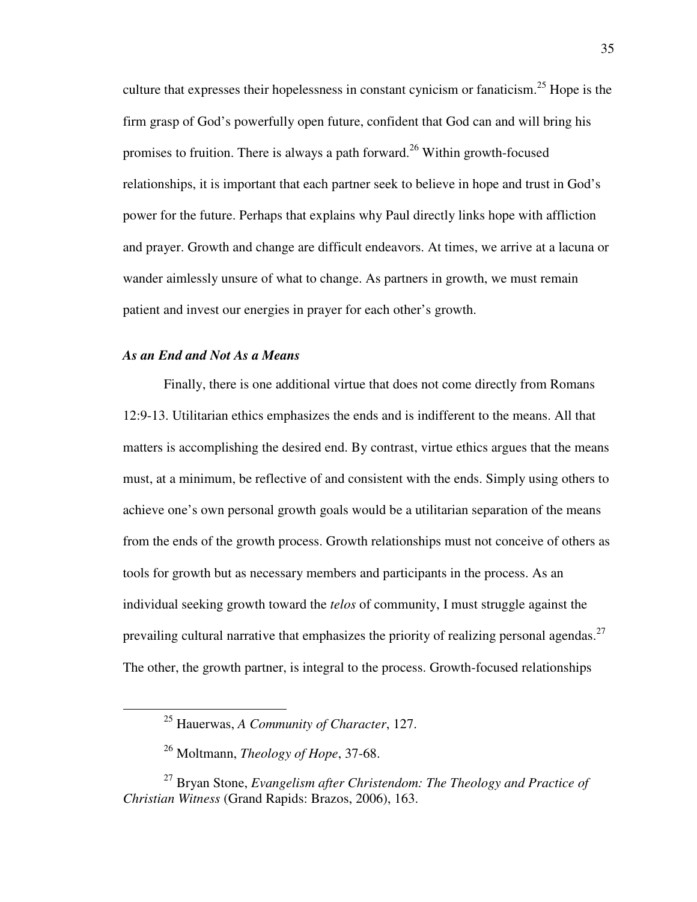culture that expresses their hopelessness in constant cynicism or fanaticism.<sup>25</sup> Hope is the firm grasp of God's powerfully open future, confident that God can and will bring his promises to fruition. There is always a path forward.<sup>26</sup> Within growth-focused relationships, it is important that each partner seek to believe in hope and trust in God's power for the future. Perhaps that explains why Paul directly links hope with affliction and prayer. Growth and change are difficult endeavors. At times, we arrive at a lacuna or wander aimlessly unsure of what to change. As partners in growth, we must remain patient and invest our energies in prayer for each other's growth.

### *As an End and Not As a Means*

 $\overline{a}$ 

Finally, there is one additional virtue that does not come directly from Romans 12:9-13. Utilitarian ethics emphasizes the ends and is indifferent to the means. All that matters is accomplishing the desired end. By contrast, virtue ethics argues that the means must, at a minimum, be reflective of and consistent with the ends. Simply using others to achieve one's own personal growth goals would be a utilitarian separation of the means from the ends of the growth process. Growth relationships must not conceive of others as tools for growth but as necessary members and participants in the process. As an individual seeking growth toward the *telos* of community, I must struggle against the prevailing cultural narrative that emphasizes the priority of realizing personal agendas.<sup>27</sup> The other, the growth partner, is integral to the process. Growth-focused relationships

<sup>25</sup> Hauerwas, *A Community of Character*, 127.

<sup>26</sup> Moltmann, *Theology of Hope*, 37-68.

<sup>27</sup> Bryan Stone, *Evangelism after Christendom: The Theology and Practice of Christian Witness* (Grand Rapids: Brazos, 2006), 163.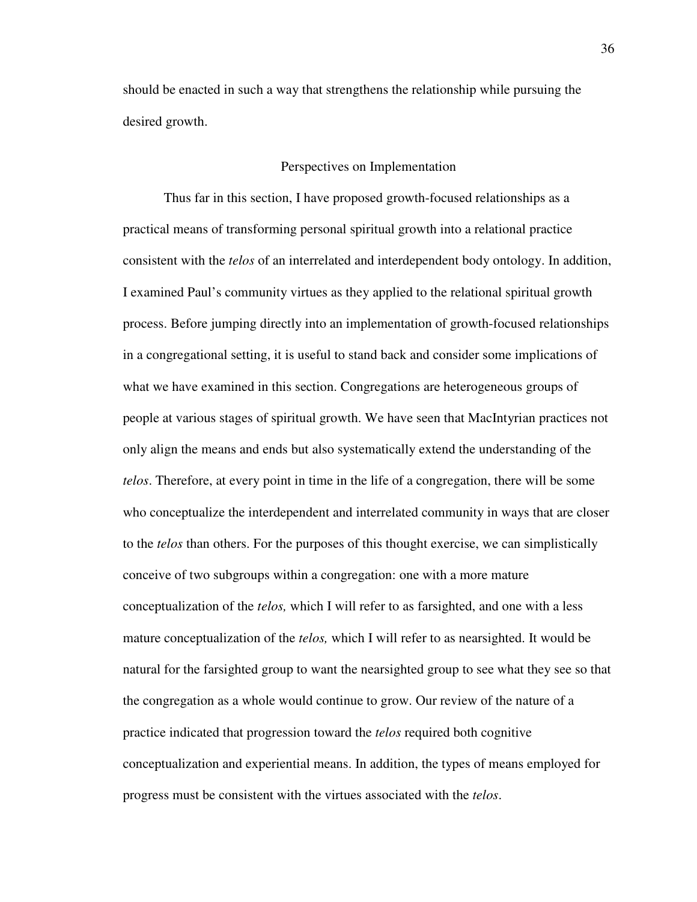should be enacted in such a way that strengthens the relationship while pursuing the desired growth.

#### Perspectives on Implementation

Thus far in this section, I have proposed growth-focused relationships as a practical means of transforming personal spiritual growth into a relational practice consistent with the *telos* of an interrelated and interdependent body ontology. In addition, I examined Paul's community virtues as they applied to the relational spiritual growth process. Before jumping directly into an implementation of growth-focused relationships in a congregational setting, it is useful to stand back and consider some implications of what we have examined in this section. Congregations are heterogeneous groups of people at various stages of spiritual growth. We have seen that MacIntyrian practices not only align the means and ends but also systematically extend the understanding of the *telos*. Therefore, at every point in time in the life of a congregation, there will be some who conceptualize the interdependent and interrelated community in ways that are closer to the *telos* than others. For the purposes of this thought exercise, we can simplistically conceive of two subgroups within a congregation: one with a more mature conceptualization of the *telos,* which I will refer to as farsighted, and one with a less mature conceptualization of the *telos,* which I will refer to as nearsighted. It would be natural for the farsighted group to want the nearsighted group to see what they see so that the congregation as a whole would continue to grow. Our review of the nature of a practice indicated that progression toward the *telos* required both cognitive conceptualization and experiential means. In addition, the types of means employed for progress must be consistent with the virtues associated with the *telos*.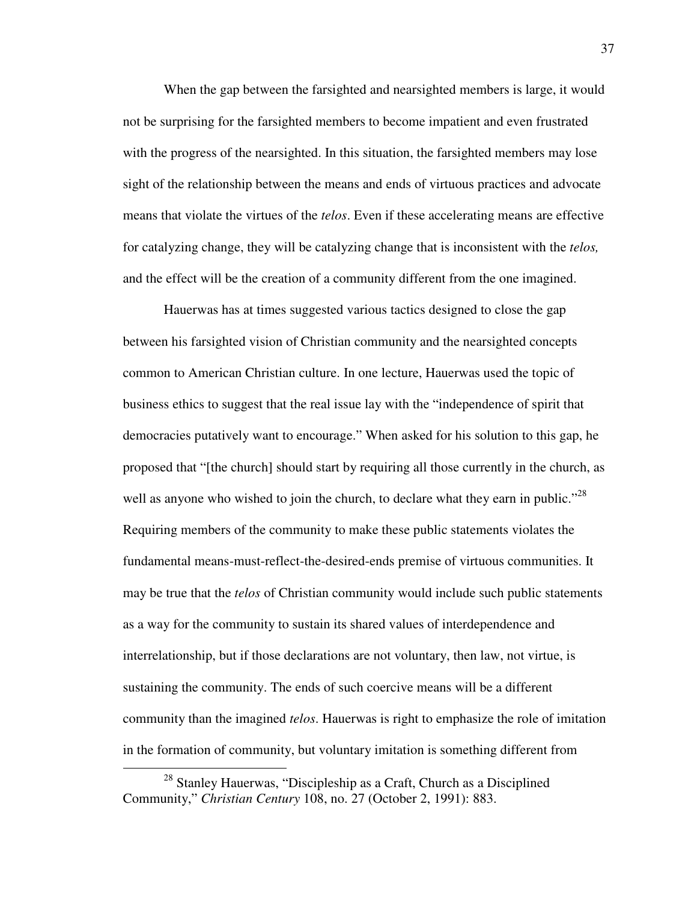When the gap between the farsighted and nearsighted members is large, it would not be surprising for the farsighted members to become impatient and even frustrated with the progress of the nearsighted. In this situation, the farsighted members may lose sight of the relationship between the means and ends of virtuous practices and advocate means that violate the virtues of the *telos*. Even if these accelerating means are effective for catalyzing change, they will be catalyzing change that is inconsistent with the *telos,* and the effect will be the creation of a community different from the one imagined.

Hauerwas has at times suggested various tactics designed to close the gap between his farsighted vision of Christian community and the nearsighted concepts common to American Christian culture. In one lecture, Hauerwas used the topic of business ethics to suggest that the real issue lay with the "independence of spirit that democracies putatively want to encourage." When asked for his solution to this gap, he proposed that "[the church] should start by requiring all those currently in the church, as well as anyone who wished to join the church, to declare what they earn in public."<sup>28</sup> Requiring members of the community to make these public statements violates the fundamental means-must-reflect-the-desired-ends premise of virtuous communities. It may be true that the *telos* of Christian community would include such public statements as a way for the community to sustain its shared values of interdependence and interrelationship, but if those declarations are not voluntary, then law, not virtue, is sustaining the community. The ends of such coercive means will be a different community than the imagined *telos*. Hauerwas is right to emphasize the role of imitation in the formation of community, but voluntary imitation is something different from

<sup>&</sup>lt;sup>28</sup> Stanley Hauerwas, "Discipleship as a Craft, Church as a Disciplined Community," *Christian Century* 108, no. 27 (October 2, 1991): 883.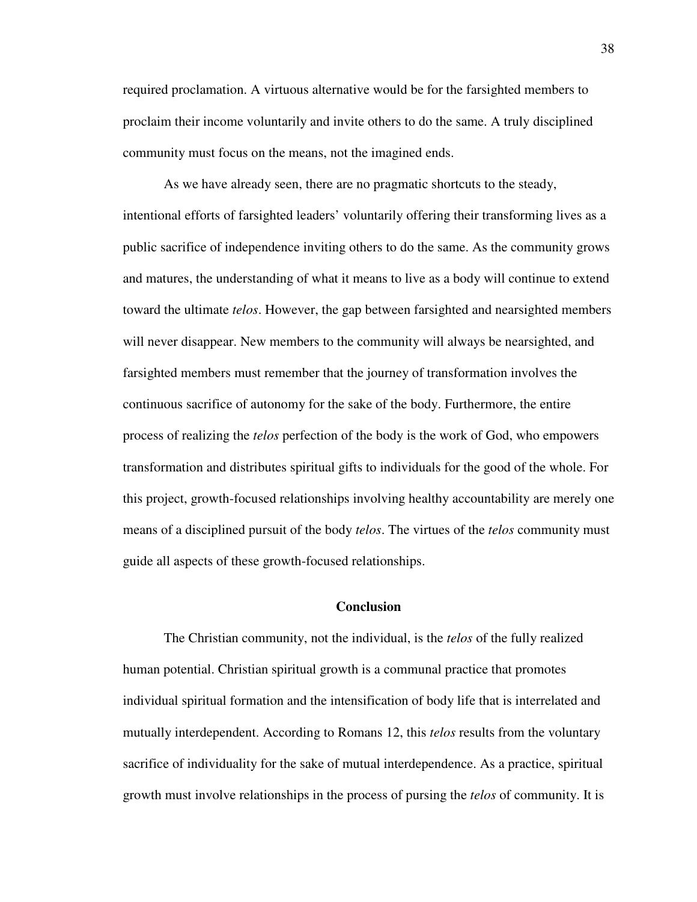required proclamation. A virtuous alternative would be for the farsighted members to proclaim their income voluntarily and invite others to do the same. A truly disciplined community must focus on the means, not the imagined ends.

As we have already seen, there are no pragmatic shortcuts to the steady, intentional efforts of farsighted leaders' voluntarily offering their transforming lives as a public sacrifice of independence inviting others to do the same. As the community grows and matures, the understanding of what it means to live as a body will continue to extend toward the ultimate *telos*. However, the gap between farsighted and nearsighted members will never disappear. New members to the community will always be nearsighted, and farsighted members must remember that the journey of transformation involves the continuous sacrifice of autonomy for the sake of the body. Furthermore, the entire process of realizing the *telos* perfection of the body is the work of God, who empowers transformation and distributes spiritual gifts to individuals for the good of the whole. For this project, growth-focused relationships involving healthy accountability are merely one means of a disciplined pursuit of the body *telos*. The virtues of the *telos* community must guide all aspects of these growth-focused relationships.

#### **Conclusion**

The Christian community, not the individual, is the *telos* of the fully realized human potential. Christian spiritual growth is a communal practice that promotes individual spiritual formation and the intensification of body life that is interrelated and mutually interdependent. According to Romans 12, this *telos* results from the voluntary sacrifice of individuality for the sake of mutual interdependence. As a practice, spiritual growth must involve relationships in the process of pursing the *telos* of community. It is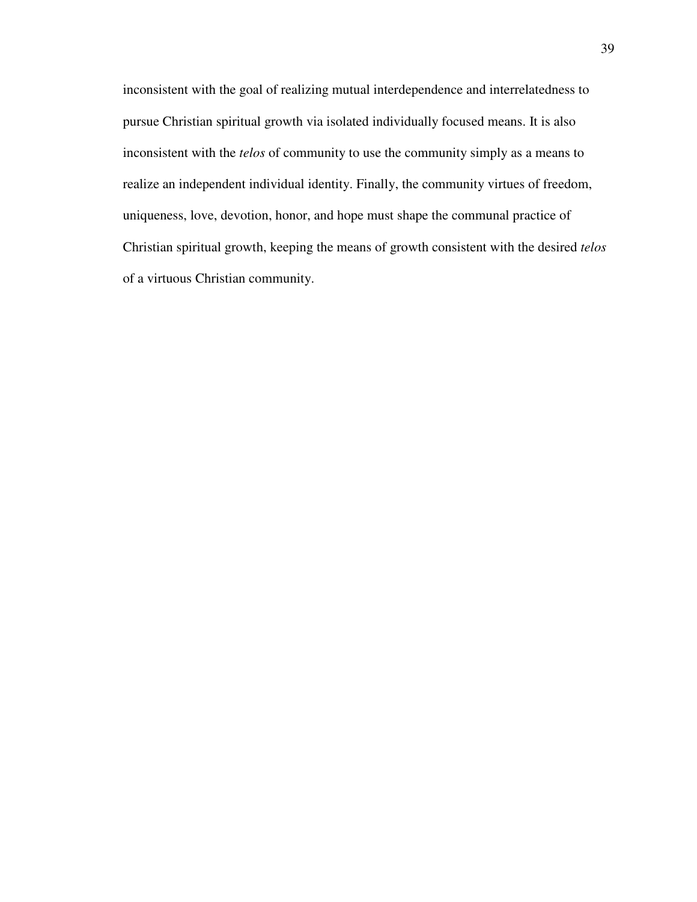inconsistent with the goal of realizing mutual interdependence and interrelatedness to pursue Christian spiritual growth via isolated individually focused means. It is also inconsistent with the *telos* of community to use the community simply as a means to realize an independent individual identity. Finally, the community virtues of freedom, uniqueness, love, devotion, honor, and hope must shape the communal practice of Christian spiritual growth, keeping the means of growth consistent with the desired *telos* of a virtuous Christian community.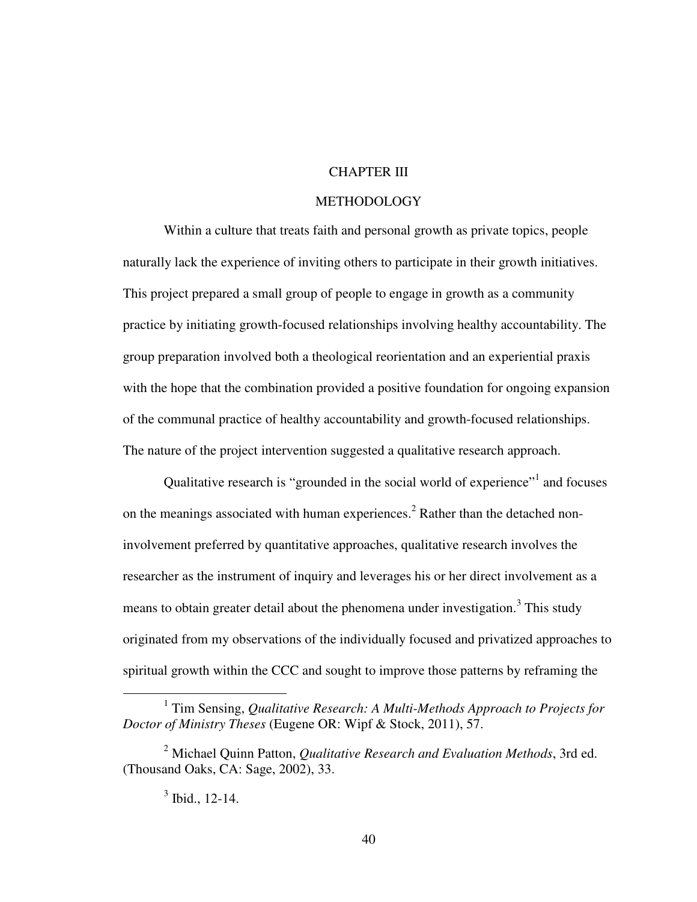## CHAPTER III

## **METHODOLOGY**

Within a culture that treats faith and personal growth as private topics, people naturally lack the experience of inviting others to participate in their growth initiatives. This project prepared a small group of people to engage in growth as a community practice by initiating growth-focused relationships involving healthy accountability. The group preparation involved both a theological reorientation and an experiential praxis with the hope that the combination provided a positive foundation for ongoing expansion of the communal practice of healthy accountability and growth-focused relationships. The nature of the project intervention suggested a qualitative research approach.

Qualitative research is "grounded in the social world of experience"<sup>1</sup> and focuses on the meanings associated with human experiences.<sup>2</sup> Rather than the detached noninvolvement preferred by quantitative approaches, qualitative research involves the researcher as the instrument of inquiry and leverages his or her direct involvement as a means to obtain greater detail about the phenomena under investigation.<sup>3</sup> This study originated from my observations of the individually focused and privatized approaches to spiritual growth within the CCC and sought to improve those patterns by reframing the

<sup>&</sup>lt;sup>1</sup> Tim Sensing, *Qualitative Research: A Multi-Methods Approach to Projects for Doctor of Ministry Theses* (Eugene OR: Wipf & Stock, 2011), 57.

<sup>2</sup> Michael Quinn Patton, *Qualitative Research and Evaluation Methods*, 3rd ed. (Thousand Oaks, CA: Sage, 2002), 33.

 $3$  Ibid., 12-14.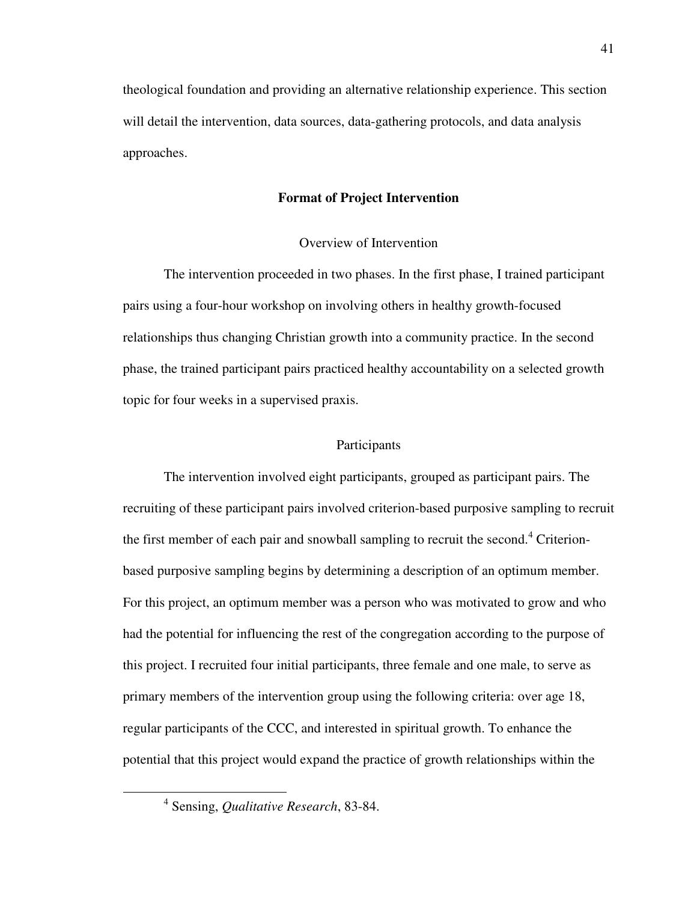theological foundation and providing an alternative relationship experience. This section will detail the intervention, data sources, data-gathering protocols, and data analysis approaches.

# **Format of Project Intervention**

### Overview of Intervention

The intervention proceeded in two phases. In the first phase, I trained participant pairs using a four-hour workshop on involving others in healthy growth-focused relationships thus changing Christian growth into a community practice. In the second phase, the trained participant pairs practiced healthy accountability on a selected growth topic for four weeks in a supervised praxis.

### Participants

The intervention involved eight participants, grouped as participant pairs. The recruiting of these participant pairs involved criterion-based purposive sampling to recruit the first member of each pair and snowball sampling to recruit the second. $4$  Criterionbased purposive sampling begins by determining a description of an optimum member. For this project, an optimum member was a person who was motivated to grow and who had the potential for influencing the rest of the congregation according to the purpose of this project. I recruited four initial participants, three female and one male, to serve as primary members of the intervention group using the following criteria: over age 18, regular participants of the CCC, and interested in spiritual growth. To enhance the potential that this project would expand the practice of growth relationships within the

<sup>4</sup> Sensing, *Qualitative Research*, 83-84.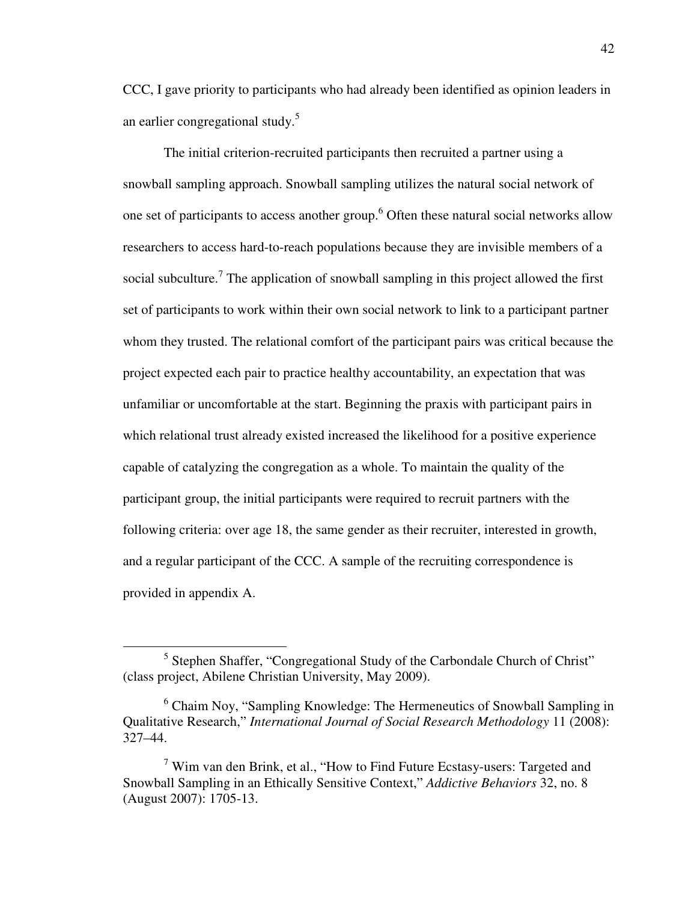CCC, I gave priority to participants who had already been identified as opinion leaders in an earlier congregational study.<sup>5</sup>

The initial criterion-recruited participants then recruited a partner using a snowball sampling approach. Snowball sampling utilizes the natural social network of one set of participants to access another group.<sup>6</sup> Often these natural social networks allow researchers to access hard-to-reach populations because they are invisible members of a social subculture.<sup>7</sup> The application of snowball sampling in this project allowed the first set of participants to work within their own social network to link to a participant partner whom they trusted. The relational comfort of the participant pairs was critical because the project expected each pair to practice healthy accountability, an expectation that was unfamiliar or uncomfortable at the start. Beginning the praxis with participant pairs in which relational trust already existed increased the likelihood for a positive experience capable of catalyzing the congregation as a whole. To maintain the quality of the participant group, the initial participants were required to recruit partners with the following criteria: over age 18, the same gender as their recruiter, interested in growth, and a regular participant of the CCC. A sample of the recruiting correspondence is provided in appendix A.

<sup>&</sup>lt;sup>5</sup> Stephen Shaffer, "Congregational Study of the Carbondale Church of Christ" (class project, Abilene Christian University, May 2009).

<sup>&</sup>lt;sup>6</sup> Chaim Noy, "Sampling Knowledge: The Hermeneutics of Snowball Sampling in Qualitative Research," *International Journal of Social Research Methodology* 11 (2008): 327–44.

 $7$  Wim van den Brink, et al., "How to Find Future Ecstasy-users: Targeted and Snowball Sampling in an Ethically Sensitive Context," *Addictive Behaviors* 32, no. 8 (August 2007): 1705-13.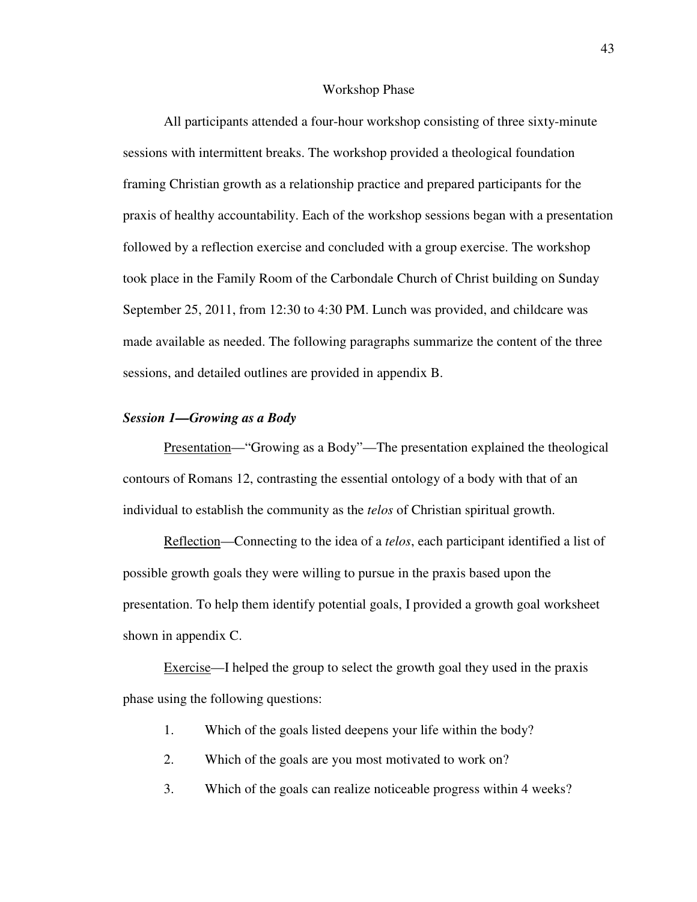#### Workshop Phase

All participants attended a four-hour workshop consisting of three sixty-minute sessions with intermittent breaks. The workshop provided a theological foundation framing Christian growth as a relationship practice and prepared participants for the praxis of healthy accountability. Each of the workshop sessions began with a presentation followed by a reflection exercise and concluded with a group exercise. The workshop took place in the Family Room of the Carbondale Church of Christ building on Sunday September 25, 2011, from 12:30 to 4:30 PM. Lunch was provided, and childcare was made available as needed. The following paragraphs summarize the content of the three sessions, and detailed outlines are provided in appendix B.

### *Session 1—Growing as a Body*

Presentation—"Growing as a Body"—The presentation explained the theological contours of Romans 12, contrasting the essential ontology of a body with that of an individual to establish the community as the *telos* of Christian spiritual growth.

Reflection—Connecting to the idea of a *telos*, each participant identified a list of possible growth goals they were willing to pursue in the praxis based upon the presentation. To help them identify potential goals, I provided a growth goal worksheet shown in appendix C.

Exercise—I helped the group to select the growth goal they used in the praxis phase using the following questions:

- 1. Which of the goals listed deepens your life within the body?
- 2. Which of the goals are you most motivated to work on?
- 3. Which of the goals can realize noticeable progress within 4 weeks?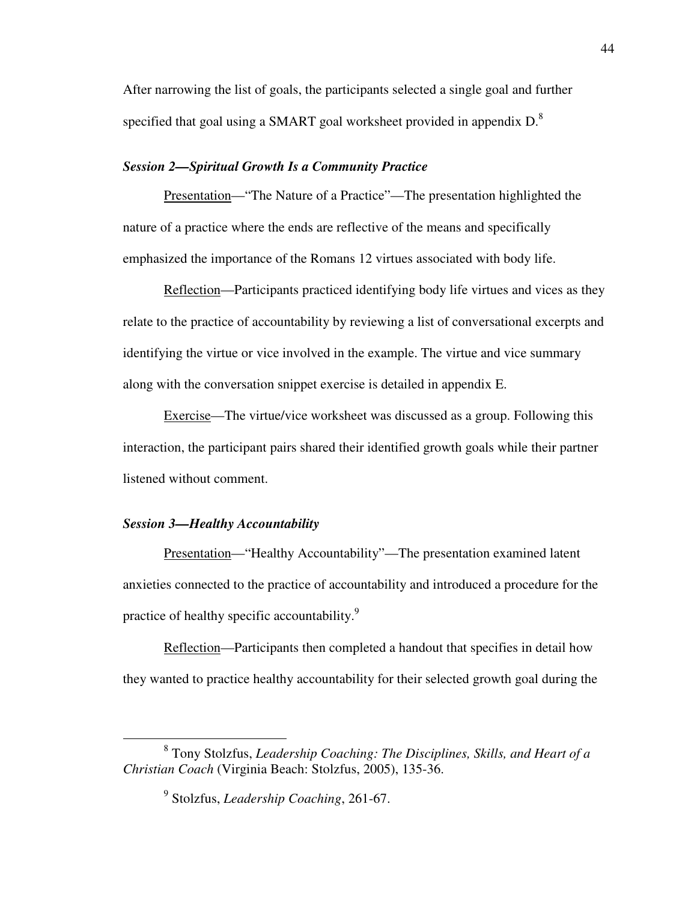After narrowing the list of goals, the participants selected a single goal and further specified that goal using a SMART goal worksheet provided in appendix  $D<sup>8</sup>$ .

# *Session 2—Spiritual Growth Is a Community Practice*

Presentation—"The Nature of a Practice"—The presentation highlighted the nature of a practice where the ends are reflective of the means and specifically emphasized the importance of the Romans 12 virtues associated with body life.

Reflection—Participants practiced identifying body life virtues and vices as they relate to the practice of accountability by reviewing a list of conversational excerpts and identifying the virtue or vice involved in the example. The virtue and vice summary along with the conversation snippet exercise is detailed in appendix E.

Exercise—The virtue/vice worksheet was discussed as a group. Following this interaction, the participant pairs shared their identified growth goals while their partner listened without comment.

### *Session 3—Healthy Accountability*

 $\overline{a}$ 

Presentation—"Healthy Accountability"—The presentation examined latent anxieties connected to the practice of accountability and introduced a procedure for the practice of healthy specific accountability.<sup>9</sup>

Reflection—Participants then completed a handout that specifies in detail how they wanted to practice healthy accountability for their selected growth goal during the

<sup>8</sup> Tony Stolzfus, *Leadership Coaching: The Disciplines, Skills, and Heart of a Christian Coach* (Virginia Beach: Stolzfus, 2005), 135-36.

<sup>9</sup> Stolzfus, *Leadership Coaching*, 261-67.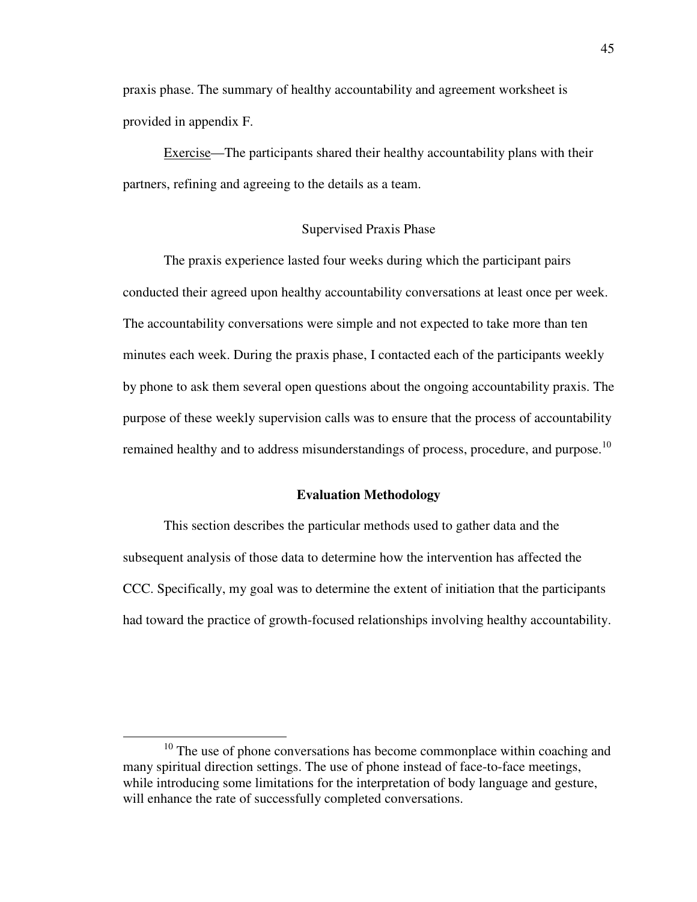praxis phase. The summary of healthy accountability and agreement worksheet is provided in appendix F.

Exercise—The participants shared their healthy accountability plans with their partners, refining and agreeing to the details as a team.

#### Supervised Praxis Phase

The praxis experience lasted four weeks during which the participant pairs conducted their agreed upon healthy accountability conversations at least once per week. The accountability conversations were simple and not expected to take more than ten minutes each week. During the praxis phase, I contacted each of the participants weekly by phone to ask them several open questions about the ongoing accountability praxis. The purpose of these weekly supervision calls was to ensure that the process of accountability remained healthy and to address misunderstandings of process, procedure, and purpose.<sup>10</sup>

### **Evaluation Methodology**

This section describes the particular methods used to gather data and the subsequent analysis of those data to determine how the intervention has affected the CCC. Specifically, my goal was to determine the extent of initiation that the participants had toward the practice of growth-focused relationships involving healthy accountability.

<sup>&</sup>lt;sup>10</sup> The use of phone conversations has become commonplace within coaching and many spiritual direction settings. The use of phone instead of face-to-face meetings, while introducing some limitations for the interpretation of body language and gesture, will enhance the rate of successfully completed conversations.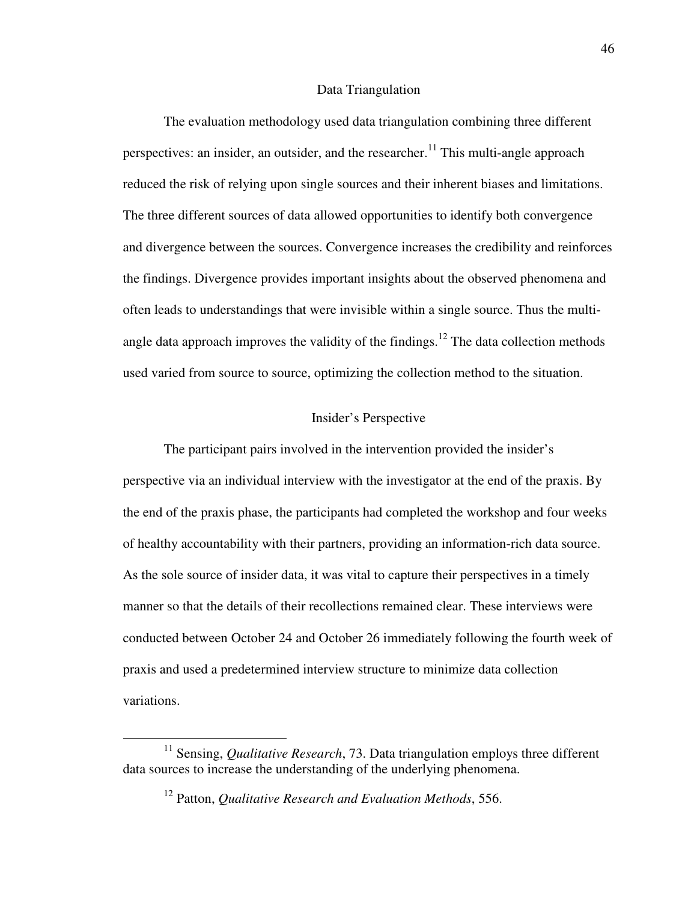#### Data Triangulation

The evaluation methodology used data triangulation combining three different perspectives: an insider, an outsider, and the researcher.<sup>11</sup> This multi-angle approach reduced the risk of relying upon single sources and their inherent biases and limitations. The three different sources of data allowed opportunities to identify both convergence and divergence between the sources. Convergence increases the credibility and reinforces the findings. Divergence provides important insights about the observed phenomena and often leads to understandings that were invisible within a single source. Thus the multiangle data approach improves the validity of the findings.<sup>12</sup> The data collection methods used varied from source to source, optimizing the collection method to the situation.

# Insider's Perspective

The participant pairs involved in the intervention provided the insider's perspective via an individual interview with the investigator at the end of the praxis. By the end of the praxis phase, the participants had completed the workshop and four weeks of healthy accountability with their partners, providing an information-rich data source. As the sole source of insider data, it was vital to capture their perspectives in a timely manner so that the details of their recollections remained clear. These interviews were conducted between October 24 and October 26 immediately following the fourth week of praxis and used a predetermined interview structure to minimize data collection variations.

<sup>&</sup>lt;sup>11</sup> Sensing, *Qualitative Research*, 73. Data triangulation employs three different data sources to increase the understanding of the underlying phenomena.

<sup>12</sup> Patton, *Qualitative Research and Evaluation Methods*, 556.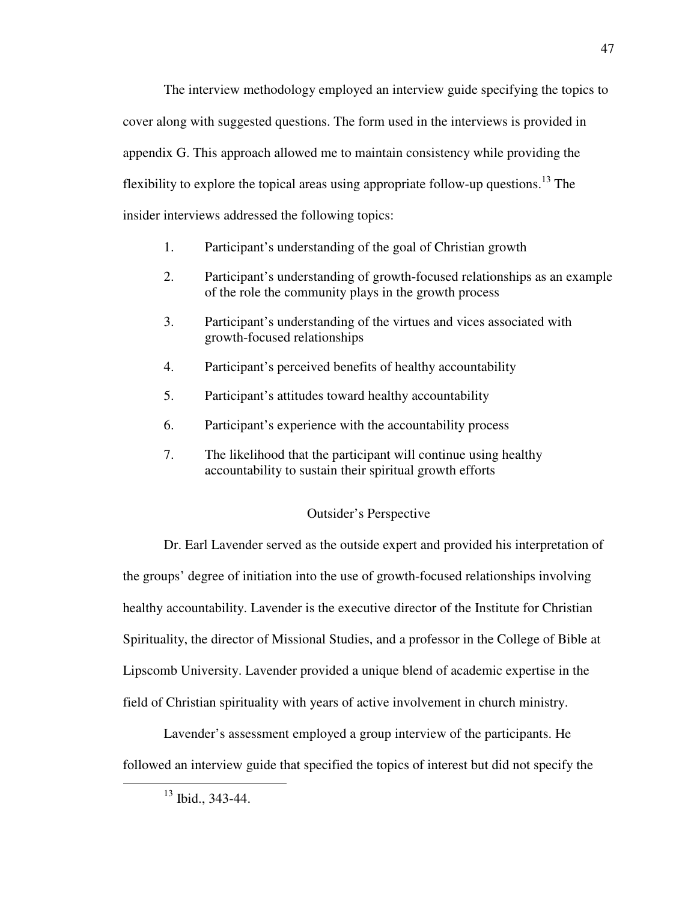The interview methodology employed an interview guide specifying the topics to cover along with suggested questions. The form used in the interviews is provided in appendix G. This approach allowed me to maintain consistency while providing the flexibility to explore the topical areas using appropriate follow-up questions.<sup>13</sup> The insider interviews addressed the following topics:

- 1. Participant's understanding of the goal of Christian growth
- 2. Participant's understanding of growth-focused relationships as an example of the role the community plays in the growth process
- 3. Participant's understanding of the virtues and vices associated with growth-focused relationships
- 4. Participant's perceived benefits of healthy accountability
- 5. Participant's attitudes toward healthy accountability
- 6. Participant's experience with the accountability process
- 7. The likelihood that the participant will continue using healthy accountability to sustain their spiritual growth efforts

## Outsider's Perspective

Dr. Earl Lavender served as the outside expert and provided his interpretation of the groups' degree of initiation into the use of growth-focused relationships involving healthy accountability. Lavender is the executive director of the Institute for Christian Spirituality, the director of Missional Studies, and a professor in the College of Bible at Lipscomb University. Lavender provided a unique blend of academic expertise in the field of Christian spirituality with years of active involvement in church ministry.

Lavender's assessment employed a group interview of the participants. He followed an interview guide that specified the topics of interest but did not specify the

 $13$  Ibid., 343-44.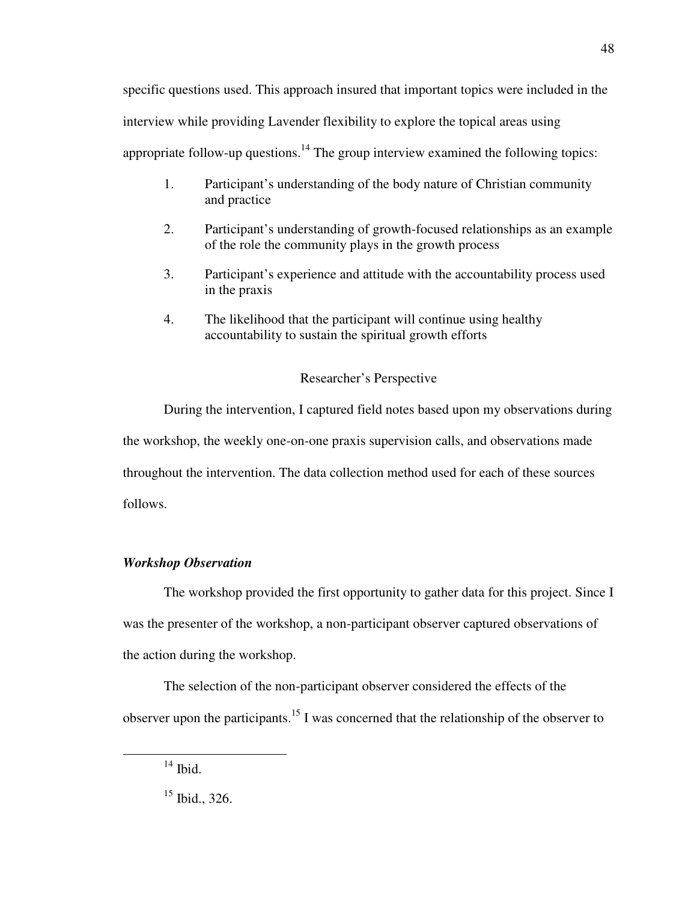specific questions used. This approach insured that important topics were included in the interview while providing Lavender flexibility to explore the topical areas using appropriate follow-up questions.<sup>14</sup> The group interview examined the following topics:

- 1. Participant's understanding of the body nature of Christian community and practice
- 2. Participant's understanding of growth-focused relationships as an example of the role the community plays in the growth process
- 3. Participant's experience and attitude with the accountability process used in the praxis
- 4. The likelihood that the participant will continue using healthy accountability to sustain the spiritual growth efforts

# Researcher's Perspective

During the intervention, I captured field notes based upon my observations during the workshop, the weekly one-on-one praxis supervision calls, and observations made throughout the intervention. The data collection method used for each of these sources follows.

# *Workshop Observation*

The workshop provided the first opportunity to gather data for this project. Since I was the presenter of the workshop, a non-participant observer captured observations of the action during the workshop.

The selection of the non-participant observer considered the effects of the observer upon the participants.<sup>15</sup> I was concerned that the relationship of the observer to

 $14$  Ibid.

 $15$  Ibid., 326.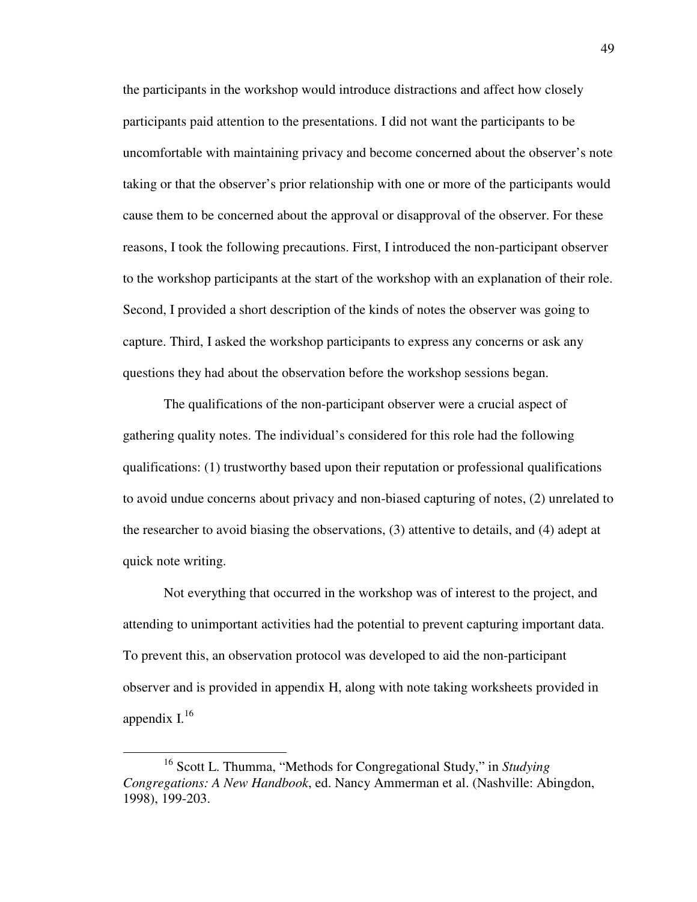the participants in the workshop would introduce distractions and affect how closely participants paid attention to the presentations. I did not want the participants to be uncomfortable with maintaining privacy and become concerned about the observer's note taking or that the observer's prior relationship with one or more of the participants would cause them to be concerned about the approval or disapproval of the observer. For these reasons, I took the following precautions. First, I introduced the non-participant observer to the workshop participants at the start of the workshop with an explanation of their role. Second, I provided a short description of the kinds of notes the observer was going to capture. Third, I asked the workshop participants to express any concerns or ask any questions they had about the observation before the workshop sessions began.

The qualifications of the non-participant observer were a crucial aspect of gathering quality notes. The individual's considered for this role had the following qualifications: (1) trustworthy based upon their reputation or professional qualifications to avoid undue concerns about privacy and non-biased capturing of notes, (2) unrelated to the researcher to avoid biasing the observations, (3) attentive to details, and (4) adept at quick note writing.

Not everything that occurred in the workshop was of interest to the project, and attending to unimportant activities had the potential to prevent capturing important data. To prevent this, an observation protocol was developed to aid the non-participant observer and is provided in appendix H, along with note taking worksheets provided in appendix  $I^{16}$ 

<sup>16</sup> Scott L. Thumma, "Methods for Congregational Study," in *Studying Congregations: A New Handbook*, ed. Nancy Ammerman et al. (Nashville: Abingdon, 1998), 199-203.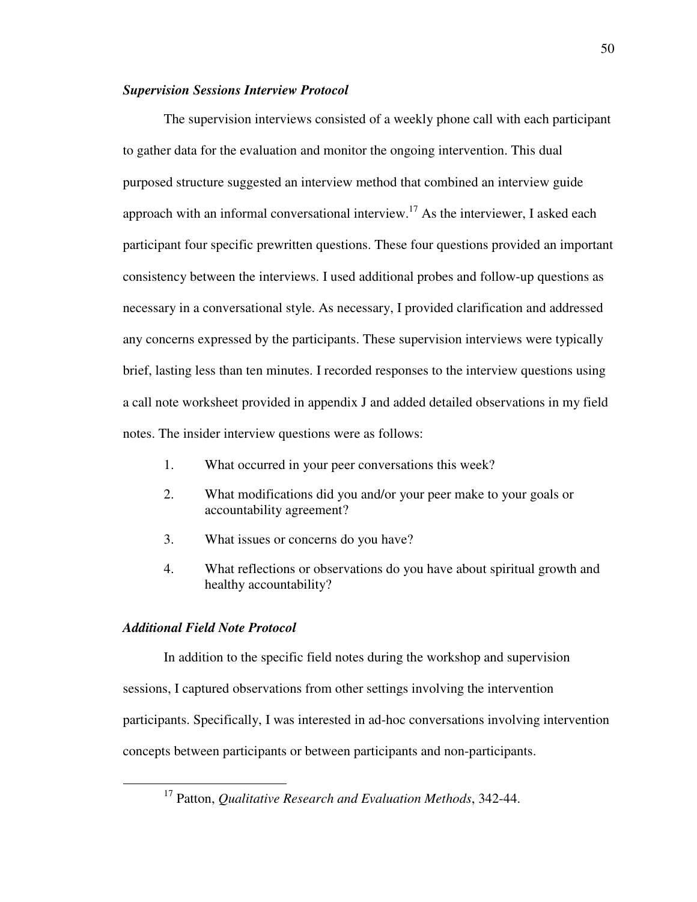### *Supervision Sessions Interview Protocol*

The supervision interviews consisted of a weekly phone call with each participant to gather data for the evaluation and monitor the ongoing intervention. This dual purposed structure suggested an interview method that combined an interview guide approach with an informal conversational interview.<sup>17</sup> As the interviewer, I asked each participant four specific prewritten questions. These four questions provided an important consistency between the interviews. I used additional probes and follow-up questions as necessary in a conversational style. As necessary, I provided clarification and addressed any concerns expressed by the participants. These supervision interviews were typically brief, lasting less than ten minutes. I recorded responses to the interview questions using a call note worksheet provided in appendix J and added detailed observations in my field notes. The insider interview questions were as follows:

- 1. What occurred in your peer conversations this week?
- 2. What modifications did you and/or your peer make to your goals or accountability agreement?
- 3. What issues or concerns do you have?
- 4. What reflections or observations do you have about spiritual growth and healthy accountability?

## *Additional Field Note Protocol*

 $\overline{a}$ 

In addition to the specific field notes during the workshop and supervision sessions, I captured observations from other settings involving the intervention participants. Specifically, I was interested in ad-hoc conversations involving intervention concepts between participants or between participants and non-participants.

<sup>17</sup> Patton, *Qualitative Research and Evaluation Methods*, 342-44.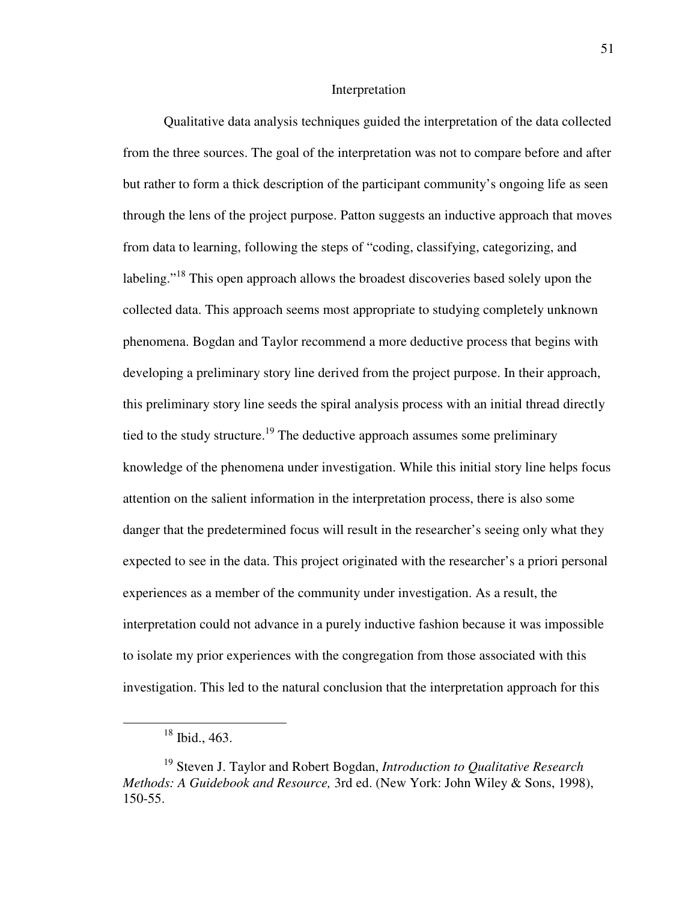#### Interpretation

Qualitative data analysis techniques guided the interpretation of the data collected from the three sources. The goal of the interpretation was not to compare before and after but rather to form a thick description of the participant community's ongoing life as seen through the lens of the project purpose. Patton suggests an inductive approach that moves from data to learning, following the steps of "coding, classifying, categorizing, and labeling."<sup>18</sup> This open approach allows the broadest discoveries based solely upon the collected data. This approach seems most appropriate to studying completely unknown phenomena. Bogdan and Taylor recommend a more deductive process that begins with developing a preliminary story line derived from the project purpose. In their approach, this preliminary story line seeds the spiral analysis process with an initial thread directly tied to the study structure.<sup>19</sup> The deductive approach assumes some preliminary knowledge of the phenomena under investigation. While this initial story line helps focus attention on the salient information in the interpretation process, there is also some danger that the predetermined focus will result in the researcher's seeing only what they expected to see in the data. This project originated with the researcher's a priori personal experiences as a member of the community under investigation. As a result, the interpretation could not advance in a purely inductive fashion because it was impossible to isolate my prior experiences with the congregation from those associated with this investigation. This led to the natural conclusion that the interpretation approach for this

<sup>18</sup> Ibid., 463.

<sup>19</sup> Steven J. Taylor and Robert Bogdan, *Introduction to Qualitative Research Methods: A Guidebook and Resource,* 3rd ed. (New York: John Wiley & Sons, 1998), 150-55.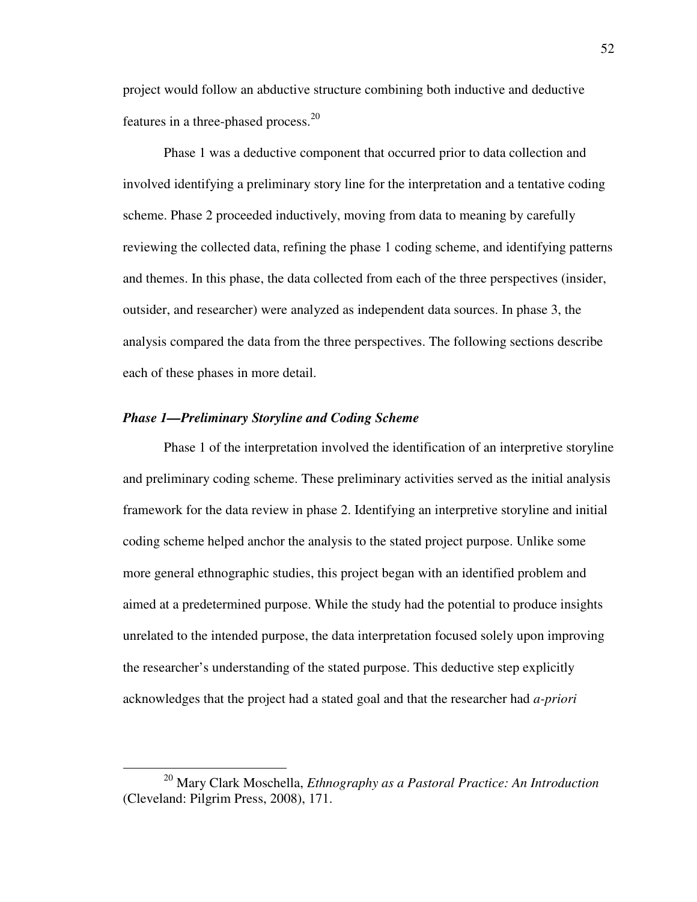project would follow an abductive structure combining both inductive and deductive features in a three-phased process.<sup>20</sup>

Phase 1 was a deductive component that occurred prior to data collection and involved identifying a preliminary story line for the interpretation and a tentative coding scheme. Phase 2 proceeded inductively, moving from data to meaning by carefully reviewing the collected data, refining the phase 1 coding scheme, and identifying patterns and themes. In this phase, the data collected from each of the three perspectives (insider, outsider, and researcher) were analyzed as independent data sources. In phase 3, the analysis compared the data from the three perspectives. The following sections describe each of these phases in more detail.

#### *Phase 1—Preliminary Storyline and Coding Scheme*

 $\overline{a}$ 

Phase 1 of the interpretation involved the identification of an interpretive storyline and preliminary coding scheme. These preliminary activities served as the initial analysis framework for the data review in phase 2. Identifying an interpretive storyline and initial coding scheme helped anchor the analysis to the stated project purpose. Unlike some more general ethnographic studies, this project began with an identified problem and aimed at a predetermined purpose. While the study had the potential to produce insights unrelated to the intended purpose, the data interpretation focused solely upon improving the researcher's understanding of the stated purpose. This deductive step explicitly acknowledges that the project had a stated goal and that the researcher had *a-priori*

<sup>20</sup> Mary Clark Moschella, *Ethnography as a Pastoral Practice: An Introduction* (Cleveland: Pilgrim Press, 2008), 171.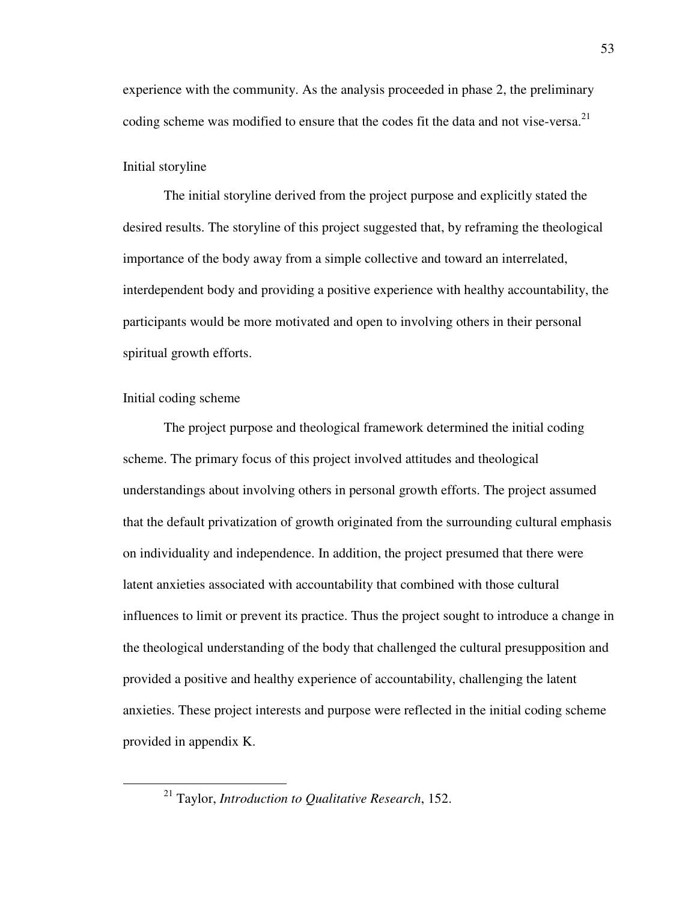experience with the community. As the analysis proceeded in phase 2, the preliminary coding scheme was modified to ensure that the codes fit the data and not vise-versa.<sup>21</sup>

#### Initial storyline

The initial storyline derived from the project purpose and explicitly stated the desired results. The storyline of this project suggested that, by reframing the theological importance of the body away from a simple collective and toward an interrelated, interdependent body and providing a positive experience with healthy accountability, the participants would be more motivated and open to involving others in their personal spiritual growth efforts.

### Initial coding scheme

 $\overline{a}$ 

The project purpose and theological framework determined the initial coding scheme. The primary focus of this project involved attitudes and theological understandings about involving others in personal growth efforts. The project assumed that the default privatization of growth originated from the surrounding cultural emphasis on individuality and independence. In addition, the project presumed that there were latent anxieties associated with accountability that combined with those cultural influences to limit or prevent its practice. Thus the project sought to introduce a change in the theological understanding of the body that challenged the cultural presupposition and provided a positive and healthy experience of accountability, challenging the latent anxieties. These project interests and purpose were reflected in the initial coding scheme provided in appendix K.

<sup>21</sup> Taylor, *Introduction to Qualitative Research*, 152.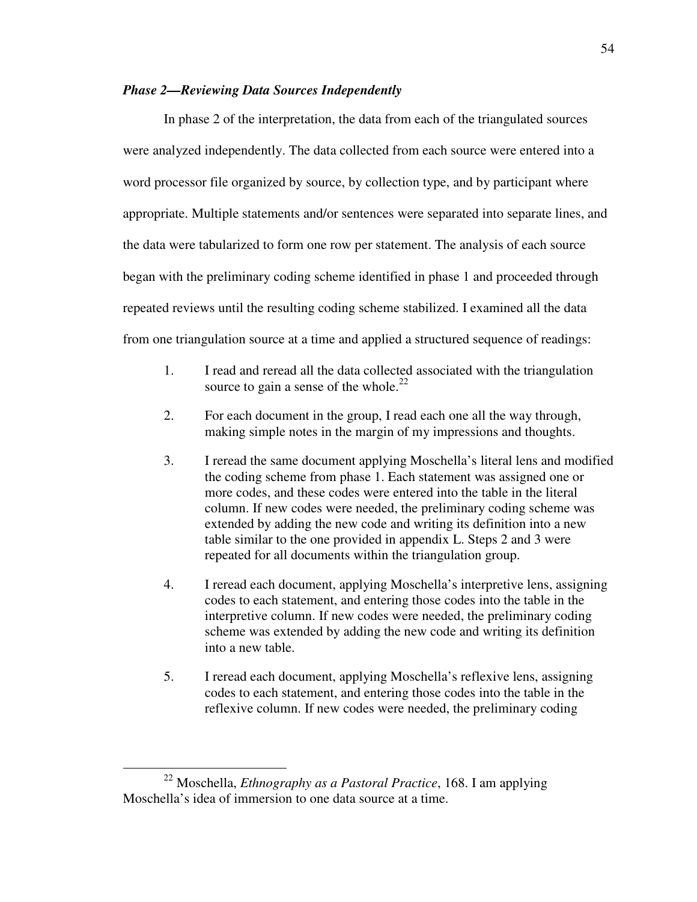### *Phase 2—Reviewing Data Sources Independently*

In phase 2 of the interpretation, the data from each of the triangulated sources were analyzed independently. The data collected from each source were entered into a word processor file organized by source, by collection type, and by participant where appropriate. Multiple statements and/or sentences were separated into separate lines, and the data were tabularized to form one row per statement. The analysis of each source began with the preliminary coding scheme identified in phase 1 and proceeded through repeated reviews until the resulting coding scheme stabilized. I examined all the data from one triangulation source at a time and applied a structured sequence of readings:

- 1. I read and reread all the data collected associated with the triangulation source to gain a sense of the whole. $^{22}$
- 2. For each document in the group, I read each one all the way through, making simple notes in the margin of my impressions and thoughts.
- 3. I reread the same document applying Moschella's literal lens and modified the coding scheme from phase 1. Each statement was assigned one or more codes, and these codes were entered into the table in the literal column. If new codes were needed, the preliminary coding scheme was extended by adding the new code and writing its definition into a new table similar to the one provided in appendix L. Steps 2 and 3 were repeated for all documents within the triangulation group.
- 4. I reread each document, applying Moschella's interpretive lens, assigning codes to each statement, and entering those codes into the table in the interpretive column. If new codes were needed, the preliminary coding scheme was extended by adding the new code and writing its definition into a new table.
- 5. I reread each document, applying Moschella's reflexive lens, assigning codes to each statement, and entering those codes into the table in the reflexive column. If new codes were needed, the preliminary coding

<sup>22</sup> Moschella, *Ethnography as a Pastoral Practice*, 168. I am applying Moschella's idea of immersion to one data source at a time.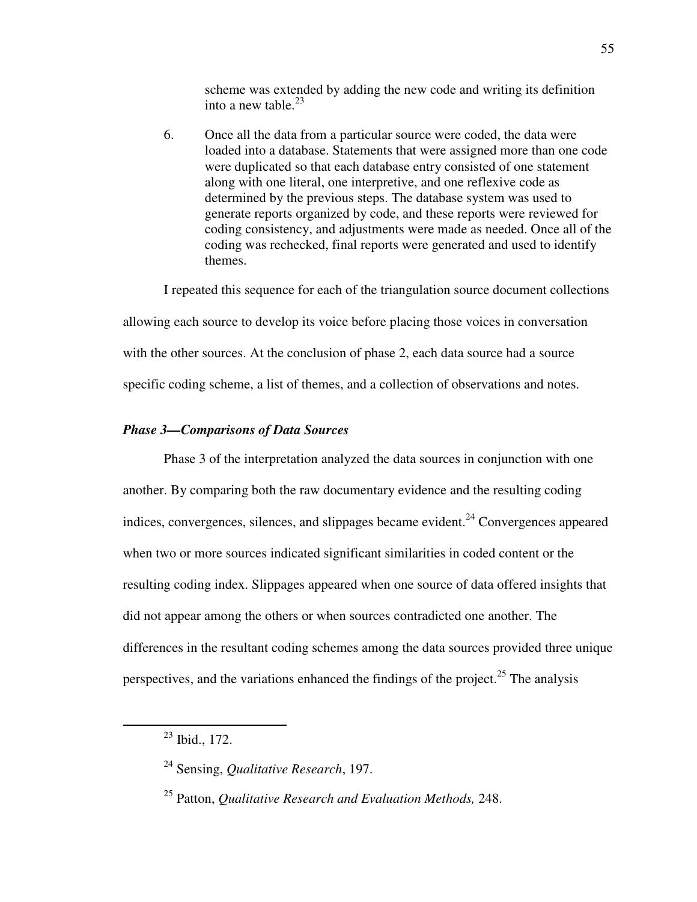scheme was extended by adding the new code and writing its definition into a new table. $^{23}$ 

6. Once all the data from a particular source were coded, the data were loaded into a database. Statements that were assigned more than one code were duplicated so that each database entry consisted of one statement along with one literal, one interpretive, and one reflexive code as determined by the previous steps. The database system was used to generate reports organized by code, and these reports were reviewed for coding consistency, and adjustments were made as needed. Once all of the coding was rechecked, final reports were generated and used to identify themes.

I repeated this sequence for each of the triangulation source document collections allowing each source to develop its voice before placing those voices in conversation with the other sources. At the conclusion of phase 2, each data source had a source specific coding scheme, a list of themes, and a collection of observations and notes.

## *Phase 3—Comparisons of Data Sources*

Phase 3 of the interpretation analyzed the data sources in conjunction with one another. By comparing both the raw documentary evidence and the resulting coding indices, convergences, silences, and slippages became evident.<sup>24</sup> Convergences appeared when two or more sources indicated significant similarities in coded content or the resulting coding index. Slippages appeared when one source of data offered insights that did not appear among the others or when sources contradicted one another. The differences in the resultant coding schemes among the data sources provided three unique perspectives, and the variations enhanced the findings of the project.<sup>25</sup> The analysis

 $23$  Ibid., 172.

<sup>24</sup> Sensing, *Qualitative Research*, 197.

<sup>25</sup> Patton, *Qualitative Research and Evaluation Methods,* 248.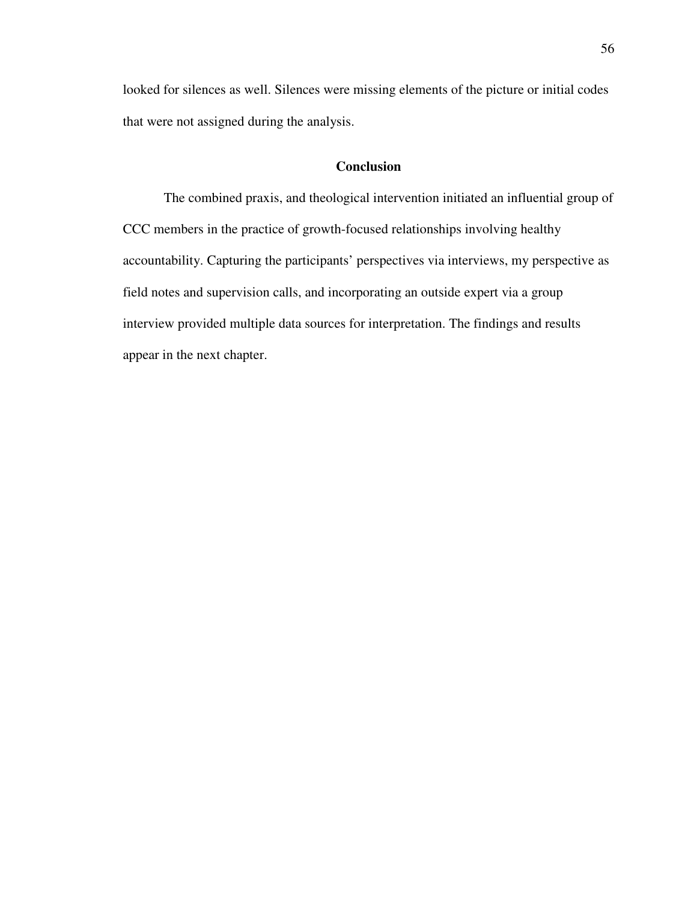looked for silences as well. Silences were missing elements of the picture or initial codes that were not assigned during the analysis.

### **Conclusion**

The combined praxis, and theological intervention initiated an influential group of CCC members in the practice of growth-focused relationships involving healthy accountability. Capturing the participants' perspectives via interviews, my perspective as field notes and supervision calls, and incorporating an outside expert via a group interview provided multiple data sources for interpretation. The findings and results appear in the next chapter.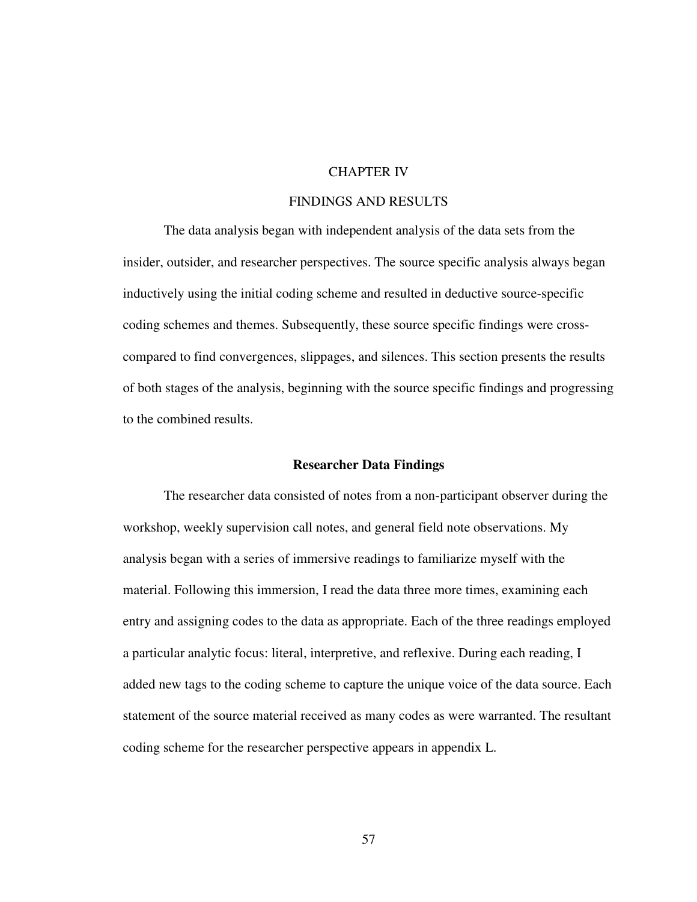# CHAPTER IV

# FINDINGS AND RESULTS

The data analysis began with independent analysis of the data sets from the insider, outsider, and researcher perspectives. The source specific analysis always began inductively using the initial coding scheme and resulted in deductive source-specific coding schemes and themes. Subsequently, these source specific findings were crosscompared to find convergences, slippages, and silences. This section presents the results of both stages of the analysis, beginning with the source specific findings and progressing to the combined results.

#### **Researcher Data Findings**

The researcher data consisted of notes from a non-participant observer during the workshop, weekly supervision call notes, and general field note observations. My analysis began with a series of immersive readings to familiarize myself with the material. Following this immersion, I read the data three more times, examining each entry and assigning codes to the data as appropriate. Each of the three readings employed a particular analytic focus: literal, interpretive, and reflexive. During each reading, I added new tags to the coding scheme to capture the unique voice of the data source. Each statement of the source material received as many codes as were warranted. The resultant coding scheme for the researcher perspective appears in appendix L.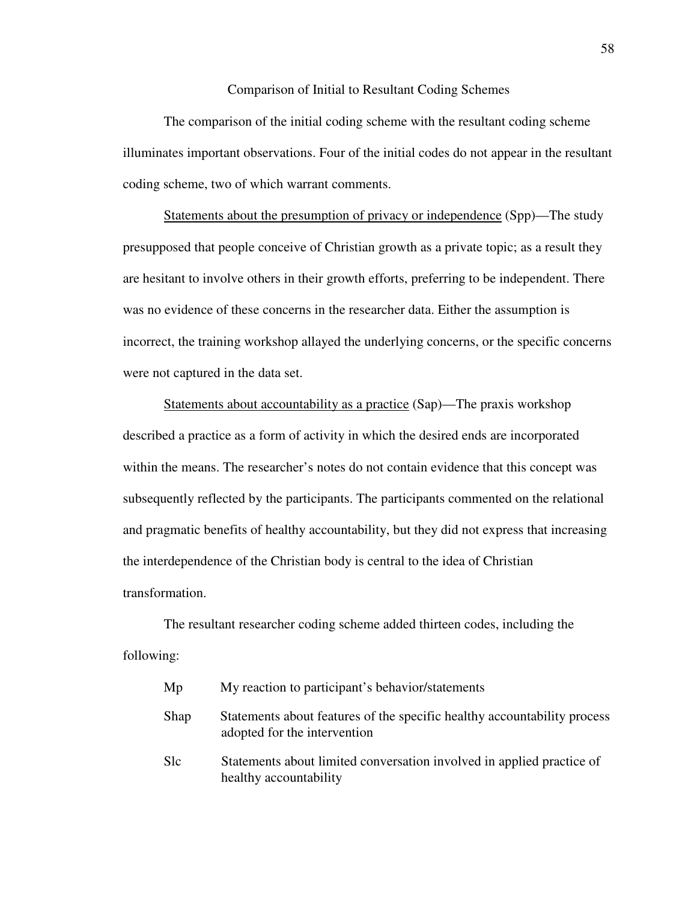Comparison of Initial to Resultant Coding Schemes

The comparison of the initial coding scheme with the resultant coding scheme illuminates important observations. Four of the initial codes do not appear in the resultant coding scheme, two of which warrant comments.

Statements about the presumption of privacy or independence (Spp)—The study presupposed that people conceive of Christian growth as a private topic; as a result they are hesitant to involve others in their growth efforts, preferring to be independent. There was no evidence of these concerns in the researcher data. Either the assumption is incorrect, the training workshop allayed the underlying concerns, or the specific concerns were not captured in the data set.

Statements about accountability as a practice (Sap)—The praxis workshop described a practice as a form of activity in which the desired ends are incorporated within the means. The researcher's notes do not contain evidence that this concept was subsequently reflected by the participants. The participants commented on the relational and pragmatic benefits of healthy accountability, but they did not express that increasing the interdependence of the Christian body is central to the idea of Christian transformation.

The resultant researcher coding scheme added thirteen codes, including the following:

| Mp              | My reaction to participant's behavior/statements                                                         |
|-----------------|----------------------------------------------------------------------------------------------------------|
| Shap            | Statements about features of the specific healthy accountability process<br>adopted for the intervention |
| S <sub>lc</sub> | Statements about limited conversation involved in applied practice of<br>healthy accountability          |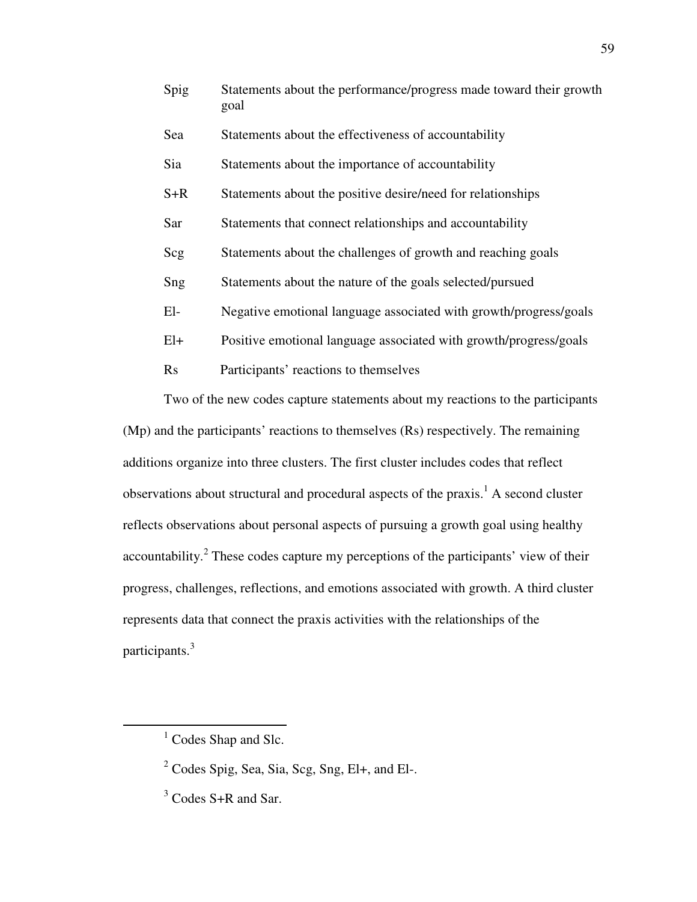| Spig  | Statements about the performance/progress made toward their growth<br>goal |
|-------|----------------------------------------------------------------------------|
| Sea   | Statements about the effectiveness of accountability                       |
| Sia   | Statements about the importance of accountability                          |
| $S+R$ | Statements about the positive desire/need for relationships                |
| Sar   | Statements that connect relationships and accountability                   |
| Scg   | Statements about the challenges of growth and reaching goals               |
| Sng   | Statements about the nature of the goals selected/pursued                  |
| $El-$ | Negative emotional language associated with growth/progress/goals          |
| $El+$ | Positive emotional language associated with growth/progress/goals          |
| Rs    | Participants' reactions to themselves                                      |

Two of the new codes capture statements about my reactions to the participants (Mp) and the participants' reactions to themselves (Rs) respectively. The remaining additions organize into three clusters. The first cluster includes codes that reflect observations about structural and procedural aspects of the praxis.<sup>1</sup> A second cluster reflects observations about personal aspects of pursuing a growth goal using healthy accountability.<sup>2</sup> These codes capture my perceptions of the participants' view of their progress, challenges, reflections, and emotions associated with growth. A third cluster represents data that connect the praxis activities with the relationships of the participants.<sup>3</sup>

<sup>&</sup>lt;sup>1</sup> Codes Shap and Slc.

<sup>&</sup>lt;sup>2</sup> Codes Spig, Sea, Sia, Scg, Sng, El+, and El-.

<sup>&</sup>lt;sup>3</sup> Codes S+R and Sar.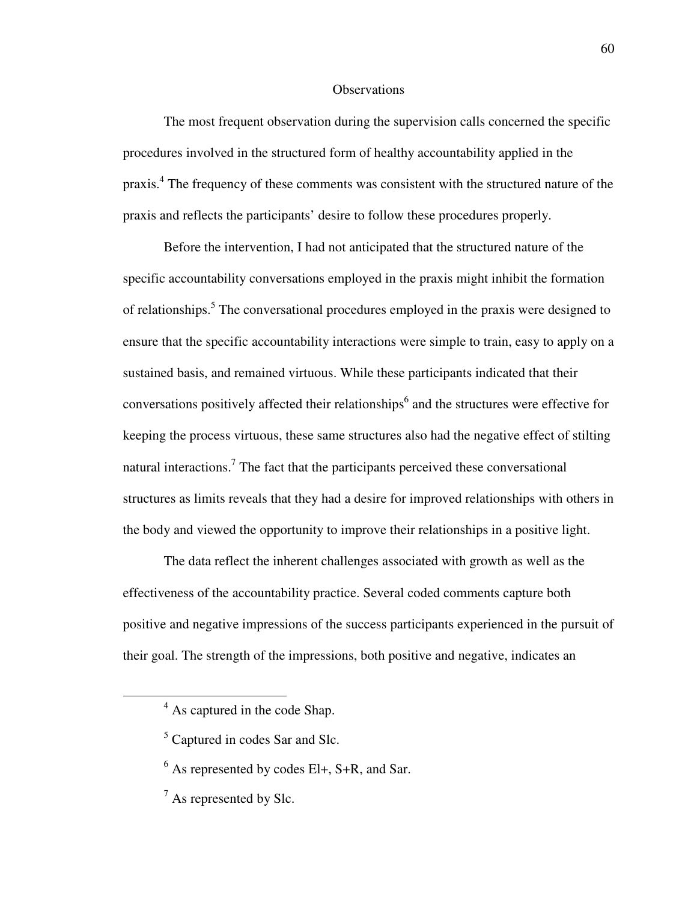#### **Observations**

The most frequent observation during the supervision calls concerned the specific procedures involved in the structured form of healthy accountability applied in the praxis.<sup>4</sup> The frequency of these comments was consistent with the structured nature of the praxis and reflects the participants' desire to follow these procedures properly.

Before the intervention, I had not anticipated that the structured nature of the specific accountability conversations employed in the praxis might inhibit the formation of relationships.<sup>5</sup> The conversational procedures employed in the praxis were designed to ensure that the specific accountability interactions were simple to train, easy to apply on a sustained basis, and remained virtuous. While these participants indicated that their conversations positively affected their relationships<sup>6</sup> and the structures were effective for keeping the process virtuous, these same structures also had the negative effect of stilting natural interactions.<sup>7</sup> The fact that the participants perceived these conversational structures as limits reveals that they had a desire for improved relationships with others in the body and viewed the opportunity to improve their relationships in a positive light.

The data reflect the inherent challenges associated with growth as well as the effectiveness of the accountability practice. Several coded comments capture both positive and negative impressions of the success participants experienced in the pursuit of their goal. The strength of the impressions, both positive and negative, indicates an

<sup>&</sup>lt;sup>4</sup> As captured in the code Shap.

<sup>&</sup>lt;sup>5</sup> Captured in codes Sar and Slc.

 $<sup>6</sup>$  As represented by codes El+, S+R, and Sar.</sup>

 $7$  As represented by Slc.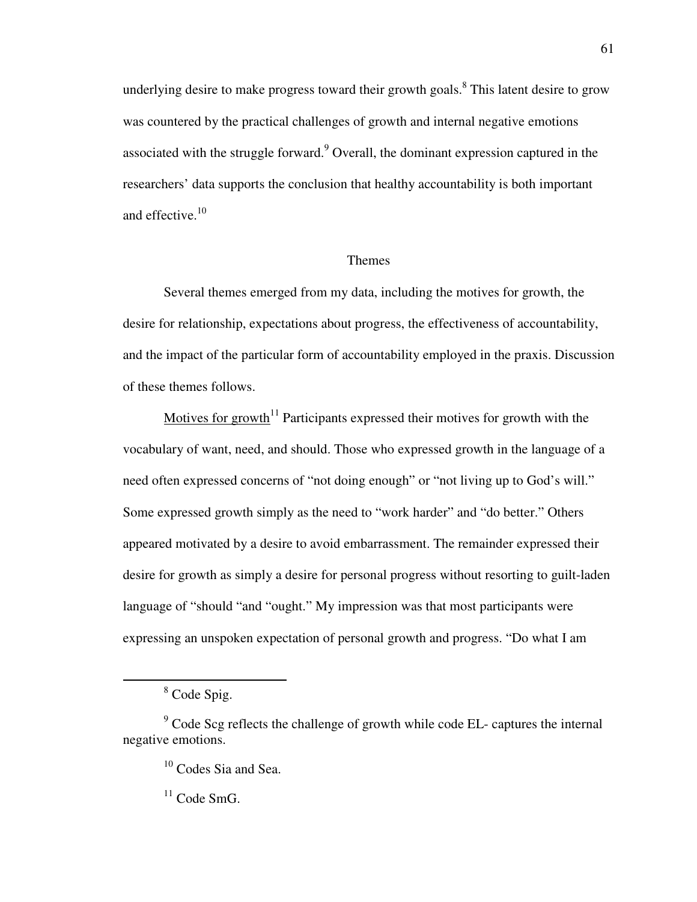underlying desire to make progress toward their growth goals.<sup>8</sup> This latent desire to grow was countered by the practical challenges of growth and internal negative emotions associated with the struggle forward. $9$  Overall, the dominant expression captured in the researchers' data supports the conclusion that healthy accountability is both important and effective.<sup>10</sup>

#### Themes

Several themes emerged from my data, including the motives for growth, the desire for relationship, expectations about progress, the effectiveness of accountability, and the impact of the particular form of accountability employed in the praxis. Discussion of these themes follows.

Motives for growth<sup>11</sup> Participants expressed their motives for growth with the vocabulary of want, need, and should. Those who expressed growth in the language of a need often expressed concerns of "not doing enough" or "not living up to God's will." Some expressed growth simply as the need to "work harder" and "do better." Others appeared motivated by a desire to avoid embarrassment. The remainder expressed their desire for growth as simply a desire for personal progress without resorting to guilt-laden language of "should "and "ought." My impression was that most participants were expressing an unspoken expectation of personal growth and progress. "Do what I am

 $\overline{a}$ 

 $11$  Code SmG.

<sup>&</sup>lt;sup>8</sup> Code Spig.

 $9^9$  Code Scg reflects the challenge of growth while code EL- captures the internal negative emotions.

<sup>&</sup>lt;sup>10</sup> Codes Sia and Sea.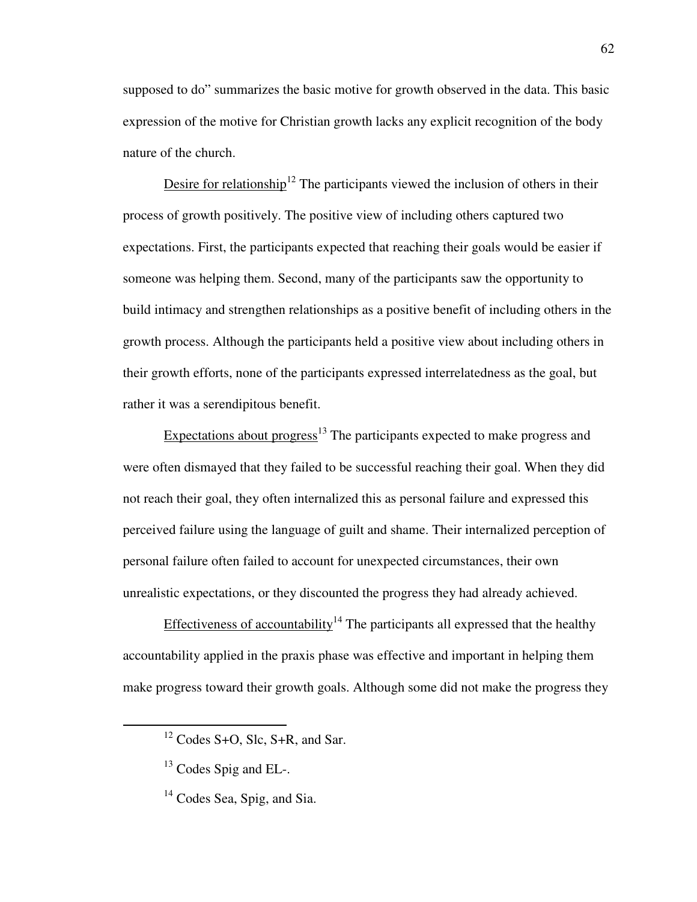supposed to do" summarizes the basic motive for growth observed in the data. This basic expression of the motive for Christian growth lacks any explicit recognition of the body nature of the church.

Desire for relationship<sup>12</sup> The participants viewed the inclusion of others in their process of growth positively. The positive view of including others captured two expectations. First, the participants expected that reaching their goals would be easier if someone was helping them. Second, many of the participants saw the opportunity to build intimacy and strengthen relationships as a positive benefit of including others in the growth process. Although the participants held a positive view about including others in their growth efforts, none of the participants expressed interrelatedness as the goal, but rather it was a serendipitous benefit.

Expectations about progress<sup>13</sup> The participants expected to make progress and were often dismayed that they failed to be successful reaching their goal. When they did not reach their goal, they often internalized this as personal failure and expressed this perceived failure using the language of guilt and shame. Their internalized perception of personal failure often failed to account for unexpected circumstances, their own unrealistic expectations, or they discounted the progress they had already achieved.

Effectiveness of accountability<sup>14</sup> The participants all expressed that the healthy accountability applied in the praxis phase was effective and important in helping them make progress toward their growth goals. Although some did not make the progress they

 $12$  Codes S+O, Slc, S+R, and Sar.

 $13$  Codes Spig and EL-.

 $14$  Codes Sea, Spig, and Sia.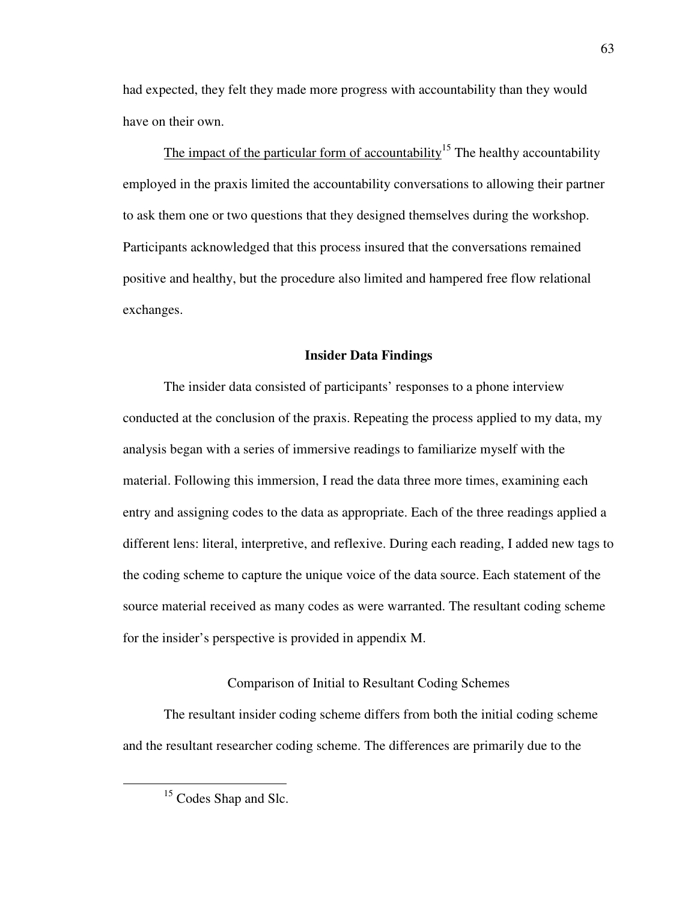had expected, they felt they made more progress with accountability than they would have on their own.

The impact of the particular form of accountability<sup>15</sup> The healthy accountability employed in the praxis limited the accountability conversations to allowing their partner to ask them one or two questions that they designed themselves during the workshop. Participants acknowledged that this process insured that the conversations remained positive and healthy, but the procedure also limited and hampered free flow relational exchanges.

#### **Insider Data Findings**

The insider data consisted of participants' responses to a phone interview conducted at the conclusion of the praxis. Repeating the process applied to my data, my analysis began with a series of immersive readings to familiarize myself with the material. Following this immersion, I read the data three more times, examining each entry and assigning codes to the data as appropriate. Each of the three readings applied a different lens: literal, interpretive, and reflexive. During each reading, I added new tags to the coding scheme to capture the unique voice of the data source. Each statement of the source material received as many codes as were warranted. The resultant coding scheme for the insider's perspective is provided in appendix M.

## Comparison of Initial to Resultant Coding Schemes

The resultant insider coding scheme differs from both the initial coding scheme and the resultant researcher coding scheme. The differences are primarily due to the

<sup>&</sup>lt;sup>15</sup> Codes Shap and Slc.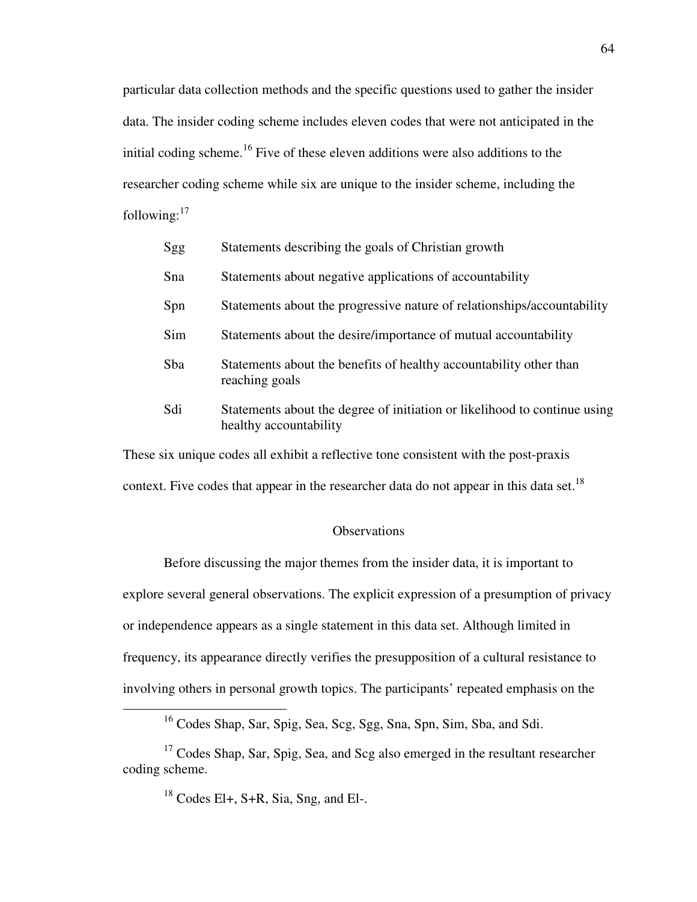particular data collection methods and the specific questions used to gather the insider data. The insider coding scheme includes eleven codes that were not anticipated in the initial coding scheme.<sup>16</sup> Five of these eleven additions were also additions to the researcher coding scheme while six are unique to the insider scheme, including the following: $17$ 

| Sgg | Statements describing the goals of Christian growth                                                 |
|-----|-----------------------------------------------------------------------------------------------------|
| Sna | Statements about negative applications of accountability                                            |
| Spn | Statements about the progressive nature of relationships/accountability                             |
| Sim | Statements about the desire/importance of mutual accountability                                     |
| Sba | Statements about the benefits of healthy accountability other than<br>reaching goals                |
| Sdi | Statements about the degree of initiation or likelihood to continue using<br>healthy accountability |

These six unique codes all exhibit a reflective tone consistent with the post-praxis context. Five codes that appear in the researcher data do not appear in this data set.<sup>18</sup>

#### **Observations**

Before discussing the major themes from the insider data, it is important to explore several general observations. The explicit expression of a presumption of privacy or independence appears as a single statement in this data set. Although limited in frequency, its appearance directly verifies the presupposition of a cultural resistance to involving others in personal growth topics. The participants' repeated emphasis on the

<sup>&</sup>lt;sup>16</sup> Codes Shap, Sar, Spig, Sea, Scg, Sgg, Sna, Spn, Sim, Sba, and Sdi.

<sup>&</sup>lt;sup>17</sup> Codes Shap, Sar, Spig, Sea, and Scg also emerged in the resultant researcher coding scheme.

 $18$  Codes El+, S+R, Sia, Sng, and El-.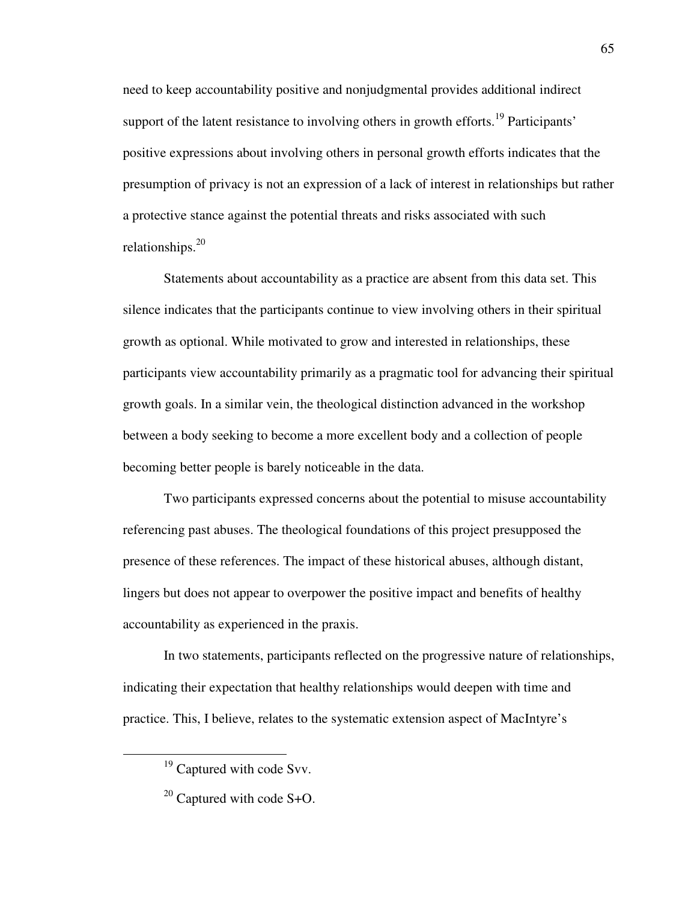need to keep accountability positive and nonjudgmental provides additional indirect support of the latent resistance to involving others in growth efforts.<sup>19</sup> Participants' positive expressions about involving others in personal growth efforts indicates that the presumption of privacy is not an expression of a lack of interest in relationships but rather a protective stance against the potential threats and risks associated with such relationships.<sup>20</sup>

Statements about accountability as a practice are absent from this data set. This silence indicates that the participants continue to view involving others in their spiritual growth as optional. While motivated to grow and interested in relationships, these participants view accountability primarily as a pragmatic tool for advancing their spiritual growth goals. In a similar vein, the theological distinction advanced in the workshop between a body seeking to become a more excellent body and a collection of people becoming better people is barely noticeable in the data.

Two participants expressed concerns about the potential to misuse accountability referencing past abuses. The theological foundations of this project presupposed the presence of these references. The impact of these historical abuses, although distant, lingers but does not appear to overpower the positive impact and benefits of healthy accountability as experienced in the praxis.

In two statements, participants reflected on the progressive nature of relationships, indicating their expectation that healthy relationships would deepen with time and practice. This, I believe, relates to the systematic extension aspect of MacIntyre's

<sup>&</sup>lt;sup>19</sup> Captured with code Svv.

 $20$  Captured with code S+O.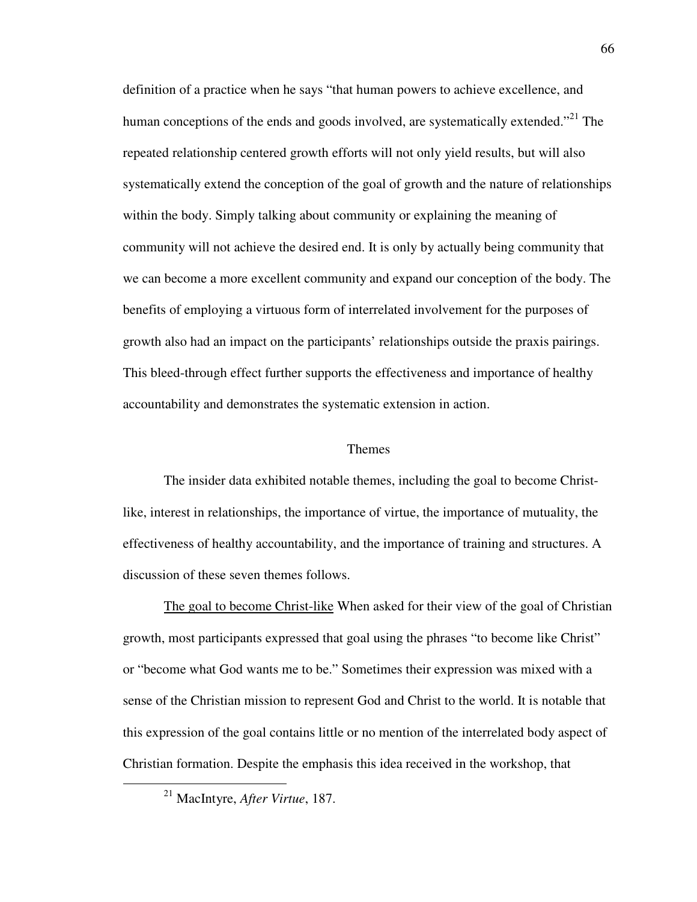definition of a practice when he says "that human powers to achieve excellence, and human conceptions of the ends and goods involved, are systematically extended."<sup>21</sup> The repeated relationship centered growth efforts will not only yield results, but will also systematically extend the conception of the goal of growth and the nature of relationships within the body. Simply talking about community or explaining the meaning of community will not achieve the desired end. It is only by actually being community that we can become a more excellent community and expand our conception of the body. The benefits of employing a virtuous form of interrelated involvement for the purposes of growth also had an impact on the participants' relationships outside the praxis pairings. This bleed-through effect further supports the effectiveness and importance of healthy accountability and demonstrates the systematic extension in action.

#### Themes

The insider data exhibited notable themes, including the goal to become Christlike, interest in relationships, the importance of virtue, the importance of mutuality, the effectiveness of healthy accountability, and the importance of training and structures. A discussion of these seven themes follows.

The goal to become Christ-like When asked for their view of the goal of Christian growth, most participants expressed that goal using the phrases "to become like Christ" or "become what God wants me to be." Sometimes their expression was mixed with a sense of the Christian mission to represent God and Christ to the world. It is notable that this expression of the goal contains little or no mention of the interrelated body aspect of Christian formation. Despite the emphasis this idea received in the workshop, that

<sup>21</sup> MacIntyre, *After Virtue*, 187.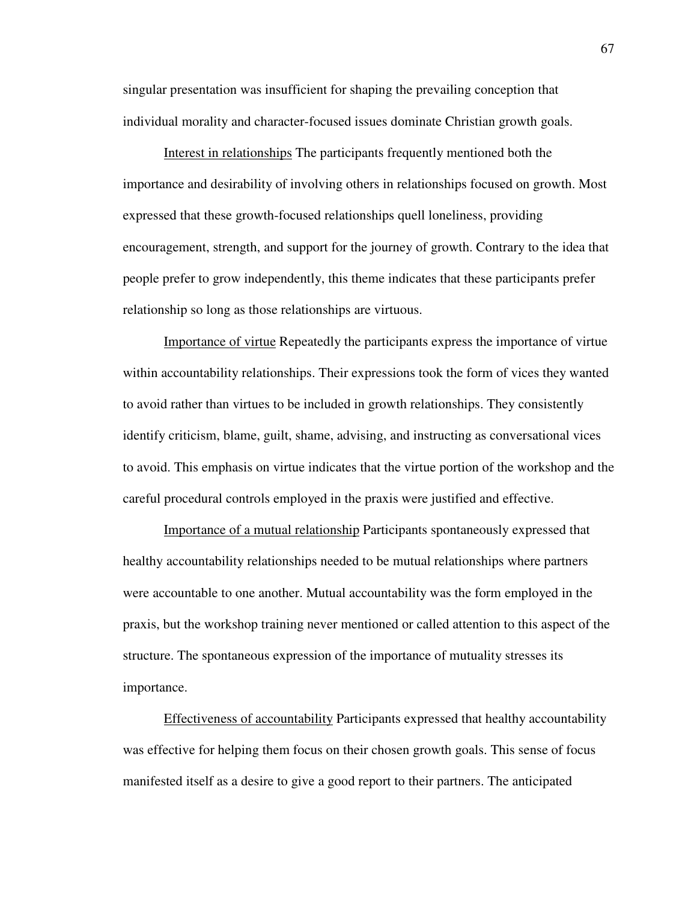singular presentation was insufficient for shaping the prevailing conception that individual morality and character-focused issues dominate Christian growth goals.

Interest in relationships The participants frequently mentioned both the importance and desirability of involving others in relationships focused on growth. Most expressed that these growth-focused relationships quell loneliness, providing encouragement, strength, and support for the journey of growth. Contrary to the idea that people prefer to grow independently, this theme indicates that these participants prefer relationship so long as those relationships are virtuous.

Importance of virtue Repeatedly the participants express the importance of virtue within accountability relationships. Their expressions took the form of vices they wanted to avoid rather than virtues to be included in growth relationships. They consistently identify criticism, blame, guilt, shame, advising, and instructing as conversational vices to avoid. This emphasis on virtue indicates that the virtue portion of the workshop and the careful procedural controls employed in the praxis were justified and effective.

Importance of a mutual relationship Participants spontaneously expressed that healthy accountability relationships needed to be mutual relationships where partners were accountable to one another. Mutual accountability was the form employed in the praxis, but the workshop training never mentioned or called attention to this aspect of the structure. The spontaneous expression of the importance of mutuality stresses its importance.

Effectiveness of accountability Participants expressed that healthy accountability was effective for helping them focus on their chosen growth goals. This sense of focus manifested itself as a desire to give a good report to their partners. The anticipated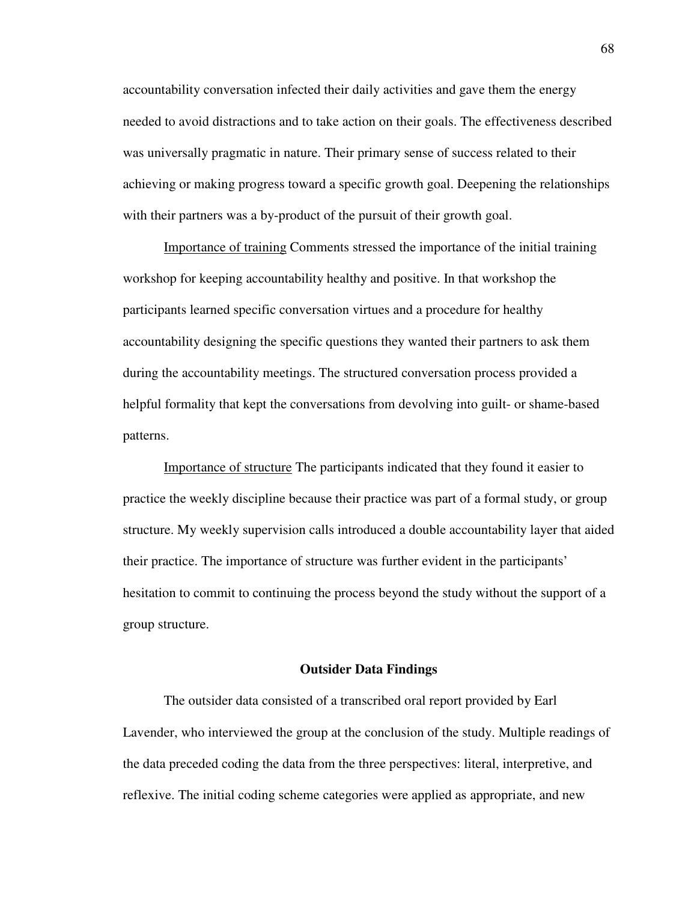accountability conversation infected their daily activities and gave them the energy needed to avoid distractions and to take action on their goals. The effectiveness described was universally pragmatic in nature. Their primary sense of success related to their achieving or making progress toward a specific growth goal. Deepening the relationships with their partners was a by-product of the pursuit of their growth goal.

Importance of training Comments stressed the importance of the initial training workshop for keeping accountability healthy and positive. In that workshop the participants learned specific conversation virtues and a procedure for healthy accountability designing the specific questions they wanted their partners to ask them during the accountability meetings. The structured conversation process provided a helpful formality that kept the conversations from devolving into guilt- or shame-based patterns.

Importance of structure The participants indicated that they found it easier to practice the weekly discipline because their practice was part of a formal study, or group structure. My weekly supervision calls introduced a double accountability layer that aided their practice. The importance of structure was further evident in the participants' hesitation to commit to continuing the process beyond the study without the support of a group structure.

## **Outsider Data Findings**

The outsider data consisted of a transcribed oral report provided by Earl Lavender, who interviewed the group at the conclusion of the study. Multiple readings of the data preceded coding the data from the three perspectives: literal, interpretive, and reflexive. The initial coding scheme categories were applied as appropriate, and new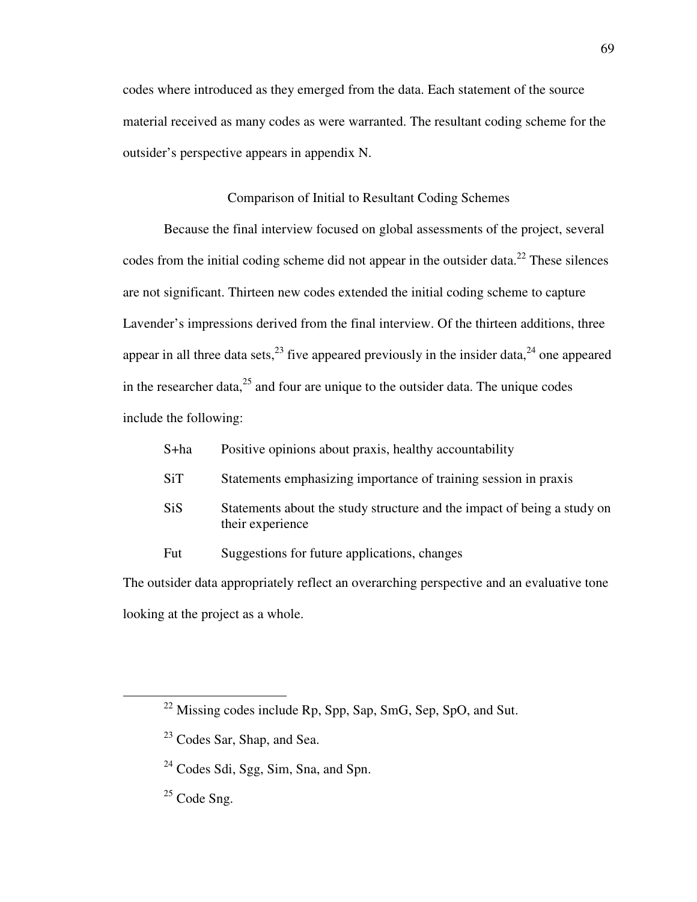codes where introduced as they emerged from the data. Each statement of the source material received as many codes as were warranted. The resultant coding scheme for the outsider's perspective appears in appendix N.

# Comparison of Initial to Resultant Coding Schemes

Because the final interview focused on global assessments of the project, several codes from the initial coding scheme did not appear in the outsider data.<sup>22</sup> These silences are not significant. Thirteen new codes extended the initial coding scheme to capture Lavender's impressions derived from the final interview. Of the thirteen additions, three appear in all three data sets,  $^{23}$  five appeared previously in the insider data,  $^{24}$  one appeared in the researcher data, $^{25}$  and four are unique to the outsider data. The unique codes include the following:

|                                                                                           | S+ha       | Positive opinions about praxis, healthy accountability                                      |  |  |
|-------------------------------------------------------------------------------------------|------------|---------------------------------------------------------------------------------------------|--|--|
|                                                                                           | <b>SiT</b> | Statements emphasizing importance of training session in praxis                             |  |  |
|                                                                                           | <b>SiS</b> | Statements about the study structure and the impact of being a study on<br>their experience |  |  |
|                                                                                           | Fut        | Suggestions for future applications, changes                                                |  |  |
| The outsider data appropriately reflect an overarching perspective and an evaluative tone |            |                                                                                             |  |  |

looking at the project as a whole.

 $\overline{a}$ 

 $^{22}$  Missing codes include Rp, Spp, Sap, SmG, Sep, SpO, and Sut.

<sup>&</sup>lt;sup>23</sup> Codes Sar, Shap, and Sea.

<sup>&</sup>lt;sup>24</sup> Codes Sdi, Sgg, Sim, Sna, and Spn.

 $25$  Code Sng.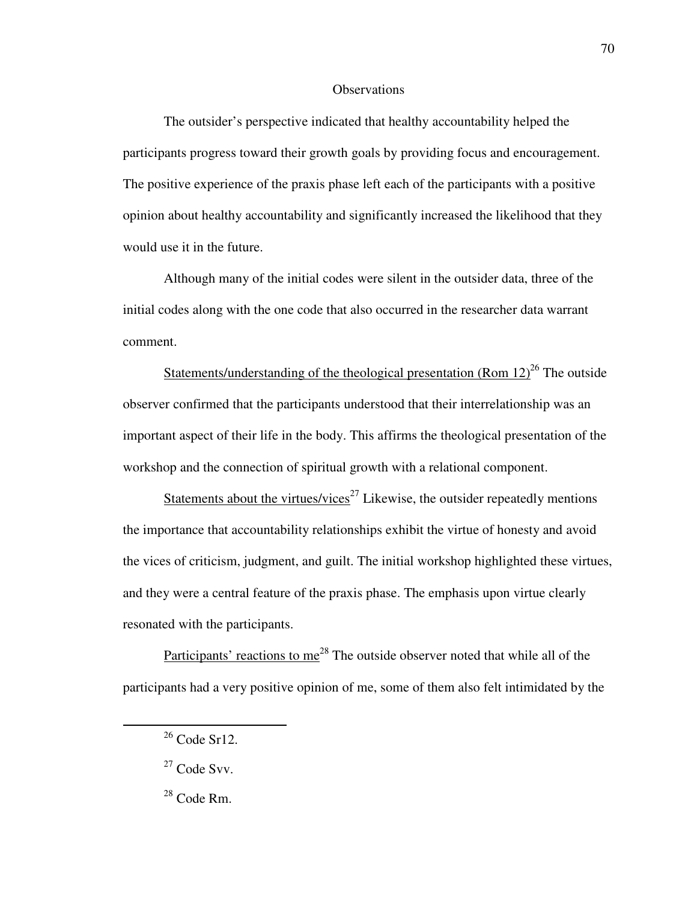#### **Observations**

The outsider's perspective indicated that healthy accountability helped the participants progress toward their growth goals by providing focus and encouragement. The positive experience of the praxis phase left each of the participants with a positive opinion about healthy accountability and significantly increased the likelihood that they would use it in the future.

Although many of the initial codes were silent in the outsider data, three of the initial codes along with the one code that also occurred in the researcher data warrant comment.

Statements/understanding of the theological presentation (Rom  $12$ )<sup>26</sup> The outside observer confirmed that the participants understood that their interrelationship was an important aspect of their life in the body. This affirms the theological presentation of the workshop and the connection of spiritual growth with a relational component.

Statements about the virtues/vices<sup>27</sup> Likewise, the outsider repeatedly mentions the importance that accountability relationships exhibit the virtue of honesty and avoid the vices of criticism, judgment, and guilt. The initial workshop highlighted these virtues, and they were a central feature of the praxis phase. The emphasis upon virtue clearly resonated with the participants.

Participants' reactions to me<sup>28</sup> The outside observer noted that while all of the participants had a very positive opinion of me, some of them also felt intimidated by the

 $\overline{a}$ 

70

<sup>26</sup> Code Sr12.

 $27$  Code Svv.

 $28$  Code Rm.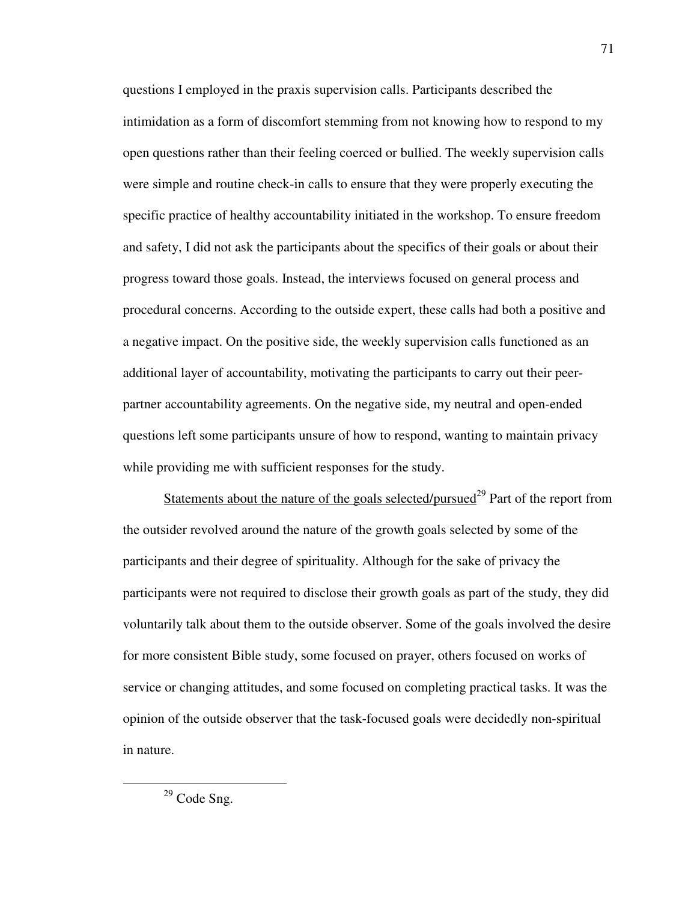questions I employed in the praxis supervision calls. Participants described the intimidation as a form of discomfort stemming from not knowing how to respond to my open questions rather than their feeling coerced or bullied. The weekly supervision calls were simple and routine check-in calls to ensure that they were properly executing the specific practice of healthy accountability initiated in the workshop. To ensure freedom and safety, I did not ask the participants about the specifics of their goals or about their progress toward those goals. Instead, the interviews focused on general process and procedural concerns. According to the outside expert, these calls had both a positive and a negative impact. On the positive side, the weekly supervision calls functioned as an additional layer of accountability, motivating the participants to carry out their peerpartner accountability agreements. On the negative side, my neutral and open-ended questions left some participants unsure of how to respond, wanting to maintain privacy while providing me with sufficient responses for the study.

Statements about the nature of the goals selected/pursued<sup>29</sup> Part of the report from the outsider revolved around the nature of the growth goals selected by some of the participants and their degree of spirituality. Although for the sake of privacy the participants were not required to disclose their growth goals as part of the study, they did voluntarily talk about them to the outside observer. Some of the goals involved the desire for more consistent Bible study, some focused on prayer, others focused on works of service or changing attitudes, and some focused on completing practical tasks. It was the opinion of the outside observer that the task-focused goals were decidedly non-spiritual in nature.

 $\overline{a}$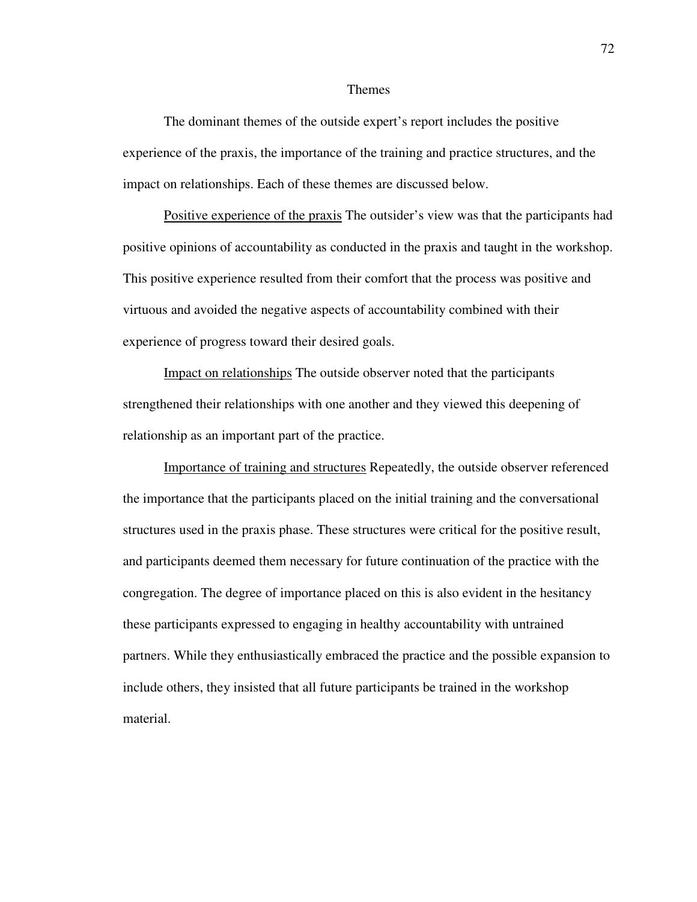#### Themes

The dominant themes of the outside expert's report includes the positive experience of the praxis, the importance of the training and practice structures, and the impact on relationships. Each of these themes are discussed below.

Positive experience of the praxis The outsider's view was that the participants had positive opinions of accountability as conducted in the praxis and taught in the workshop. This positive experience resulted from their comfort that the process was positive and virtuous and avoided the negative aspects of accountability combined with their experience of progress toward their desired goals.

Impact on relationships The outside observer noted that the participants strengthened their relationships with one another and they viewed this deepening of relationship as an important part of the practice.

Importance of training and structures Repeatedly, the outside observer referenced the importance that the participants placed on the initial training and the conversational structures used in the praxis phase. These structures were critical for the positive result, and participants deemed them necessary for future continuation of the practice with the congregation. The degree of importance placed on this is also evident in the hesitancy these participants expressed to engaging in healthy accountability with untrained partners. While they enthusiastically embraced the practice and the possible expansion to include others, they insisted that all future participants be trained in the workshop material.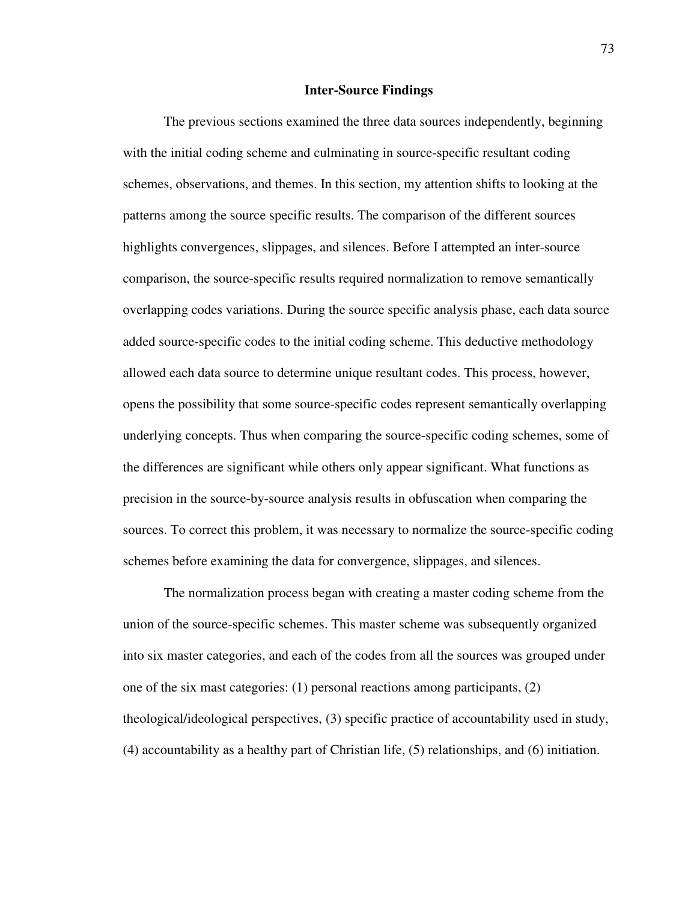#### **Inter-Source Findings**

The previous sections examined the three data sources independently, beginning with the initial coding scheme and culminating in source-specific resultant coding schemes, observations, and themes. In this section, my attention shifts to looking at the patterns among the source specific results. The comparison of the different sources highlights convergences, slippages, and silences. Before I attempted an inter-source comparison, the source-specific results required normalization to remove semantically overlapping codes variations. During the source specific analysis phase, each data source added source-specific codes to the initial coding scheme. This deductive methodology allowed each data source to determine unique resultant codes. This process, however, opens the possibility that some source-specific codes represent semantically overlapping underlying concepts. Thus when comparing the source-specific coding schemes, some of the differences are significant while others only appear significant. What functions as precision in the source-by-source analysis results in obfuscation when comparing the sources. To correct this problem, it was necessary to normalize the source-specific coding schemes before examining the data for convergence, slippages, and silences.

The normalization process began with creating a master coding scheme from the union of the source-specific schemes. This master scheme was subsequently organized into six master categories, and each of the codes from all the sources was grouped under one of the six mast categories:  $(1)$  personal reactions among participants,  $(2)$ theological/ideological perspectives, (3) specific practice of accountability used in study, (4) accountability as a healthy part of Christian life, (5) relationships, and (6) initiation.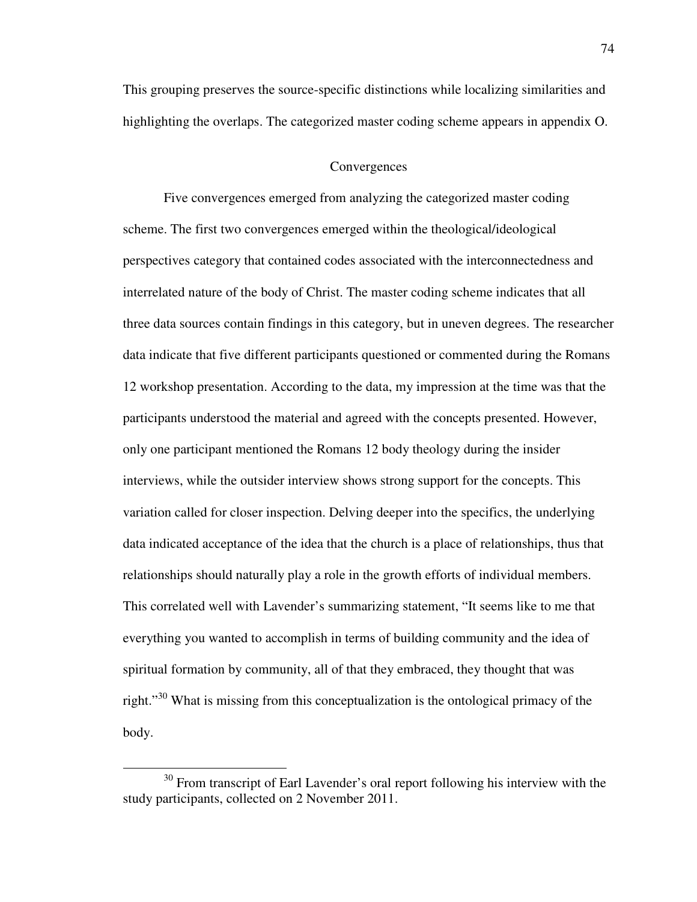This grouping preserves the source-specific distinctions while localizing similarities and highlighting the overlaps. The categorized master coding scheme appears in appendix O.

#### **Convergences**

Five convergences emerged from analyzing the categorized master coding scheme. The first two convergences emerged within the theological/ideological perspectives category that contained codes associated with the interconnectedness and interrelated nature of the body of Christ. The master coding scheme indicates that all three data sources contain findings in this category, but in uneven degrees. The researcher data indicate that five different participants questioned or commented during the Romans 12 workshop presentation. According to the data, my impression at the time was that the participants understood the material and agreed with the concepts presented. However, only one participant mentioned the Romans 12 body theology during the insider interviews, while the outsider interview shows strong support for the concepts. This variation called for closer inspection. Delving deeper into the specifics, the underlying data indicated acceptance of the idea that the church is a place of relationships, thus that relationships should naturally play a role in the growth efforts of individual members. This correlated well with Lavender's summarizing statement, "It seems like to me that everything you wanted to accomplish in terms of building community and the idea of spiritual formation by community, all of that they embraced, they thought that was right."<sup>30</sup> What is missing from this conceptualization is the ontological primacy of the body.

 $\overline{a}$ 

<sup>&</sup>lt;sup>30</sup> From transcript of Earl Lavender's oral report following his interview with the study participants, collected on 2 November 2011.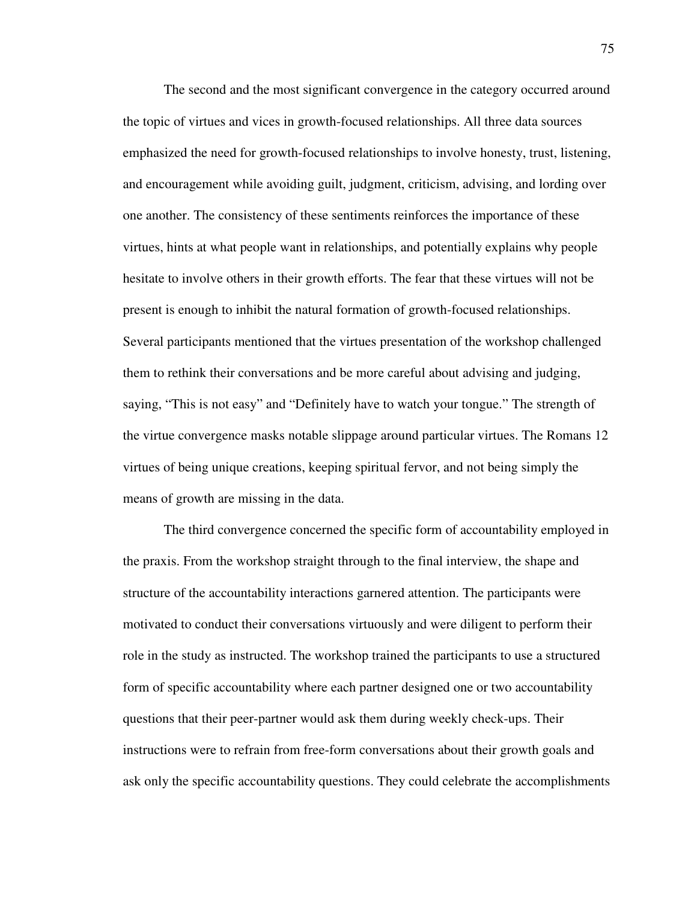The second and the most significant convergence in the category occurred around the topic of virtues and vices in growth-focused relationships. All three data sources emphasized the need for growth-focused relationships to involve honesty, trust, listening, and encouragement while avoiding guilt, judgment, criticism, advising, and lording over one another. The consistency of these sentiments reinforces the importance of these virtues, hints at what people want in relationships, and potentially explains why people hesitate to involve others in their growth efforts. The fear that these virtues will not be present is enough to inhibit the natural formation of growth-focused relationships. Several participants mentioned that the virtues presentation of the workshop challenged them to rethink their conversations and be more careful about advising and judging, saying, "This is not easy" and "Definitely have to watch your tongue." The strength of the virtue convergence masks notable slippage around particular virtues. The Romans 12 virtues of being unique creations, keeping spiritual fervor, and not being simply the means of growth are missing in the data.

The third convergence concerned the specific form of accountability employed in the praxis. From the workshop straight through to the final interview, the shape and structure of the accountability interactions garnered attention. The participants were motivated to conduct their conversations virtuously and were diligent to perform their role in the study as instructed. The workshop trained the participants to use a structured form of specific accountability where each partner designed one or two accountability questions that their peer-partner would ask them during weekly check-ups. Their instructions were to refrain from free-form conversations about their growth goals and ask only the specific accountability questions. They could celebrate the accomplishments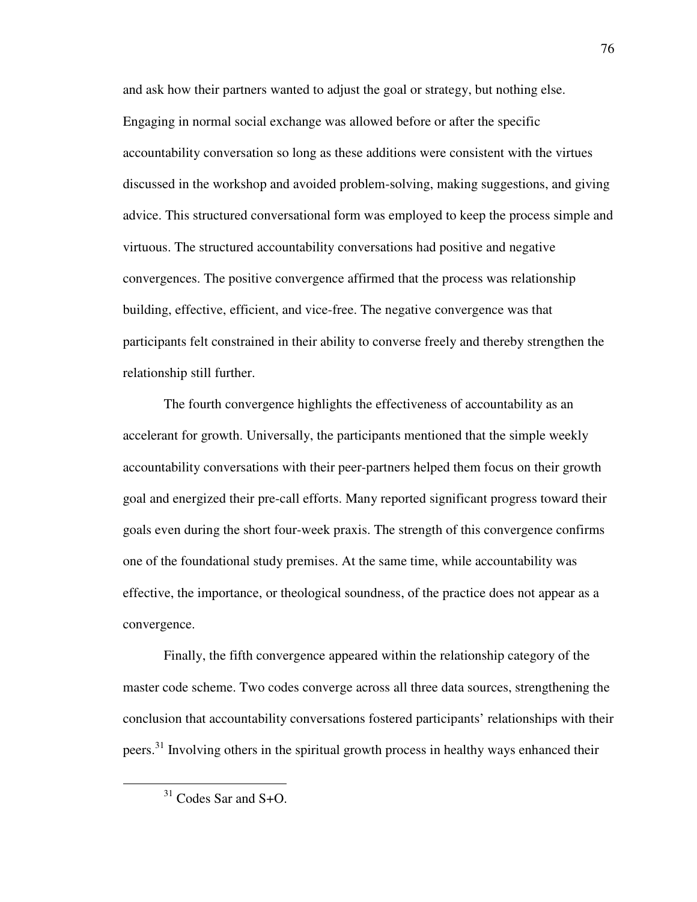and ask how their partners wanted to adjust the goal or strategy, but nothing else. Engaging in normal social exchange was allowed before or after the specific accountability conversation so long as these additions were consistent with the virtues discussed in the workshop and avoided problem-solving, making suggestions, and giving advice. This structured conversational form was employed to keep the process simple and virtuous. The structured accountability conversations had positive and negative convergences. The positive convergence affirmed that the process was relationship building, effective, efficient, and vice-free. The negative convergence was that participants felt constrained in their ability to converse freely and thereby strengthen the relationship still further.

The fourth convergence highlights the effectiveness of accountability as an accelerant for growth. Universally, the participants mentioned that the simple weekly accountability conversations with their peer-partners helped them focus on their growth goal and energized their pre-call efforts. Many reported significant progress toward their goals even during the short four-week praxis. The strength of this convergence confirms one of the foundational study premises. At the same time, while accountability was effective, the importance, or theological soundness, of the practice does not appear as a convergence.

Finally, the fifth convergence appeared within the relationship category of the master code scheme. Two codes converge across all three data sources, strengthening the conclusion that accountability conversations fostered participants' relationships with their peers.<sup>31</sup> Involving others in the spiritual growth process in healthy ways enhanced their

 $\overline{a}$ 

<sup>31</sup> Codes Sar and S+O.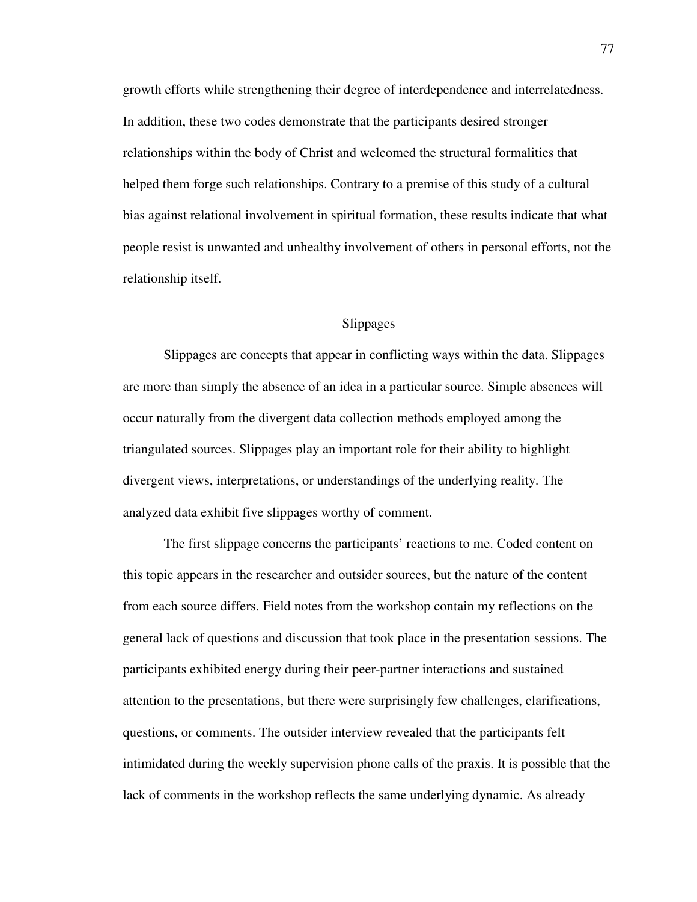growth efforts while strengthening their degree of interdependence and interrelatedness. In addition, these two codes demonstrate that the participants desired stronger relationships within the body of Christ and welcomed the structural formalities that helped them forge such relationships. Contrary to a premise of this study of a cultural bias against relational involvement in spiritual formation, these results indicate that what people resist is unwanted and unhealthy involvement of others in personal efforts, not the relationship itself.

#### Slippages

Slippages are concepts that appear in conflicting ways within the data. Slippages are more than simply the absence of an idea in a particular source. Simple absences will occur naturally from the divergent data collection methods employed among the triangulated sources. Slippages play an important role for their ability to highlight divergent views, interpretations, or understandings of the underlying reality. The analyzed data exhibit five slippages worthy of comment.

The first slippage concerns the participants' reactions to me. Coded content on this topic appears in the researcher and outsider sources, but the nature of the content from each source differs. Field notes from the workshop contain my reflections on the general lack of questions and discussion that took place in the presentation sessions. The participants exhibited energy during their peer-partner interactions and sustained attention to the presentations, but there were surprisingly few challenges, clarifications, questions, or comments. The outsider interview revealed that the participants felt intimidated during the weekly supervision phone calls of the praxis. It is possible that the lack of comments in the workshop reflects the same underlying dynamic. As already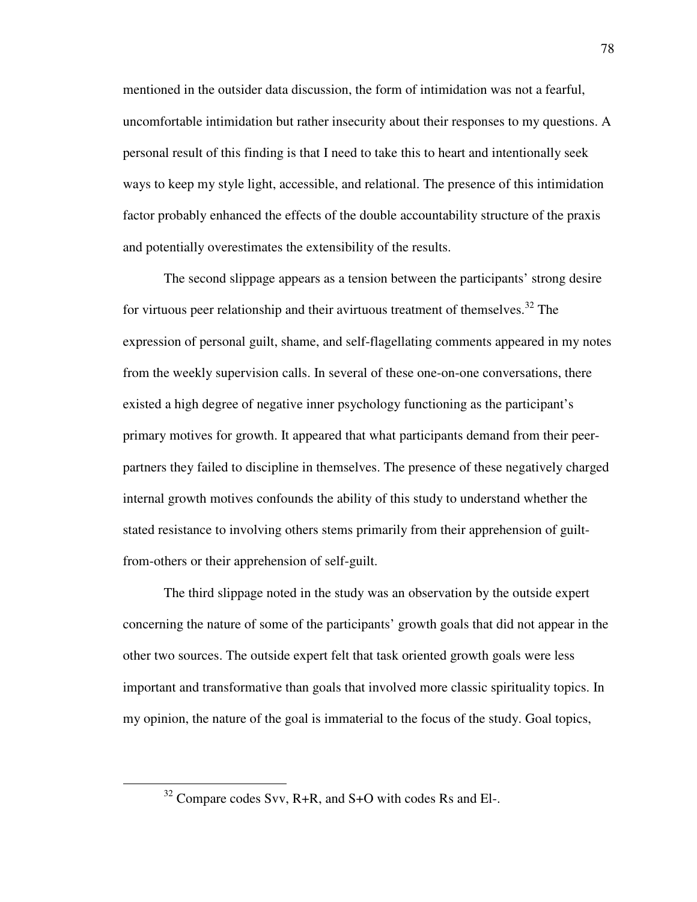mentioned in the outsider data discussion, the form of intimidation was not a fearful, uncomfortable intimidation but rather insecurity about their responses to my questions. A personal result of this finding is that I need to take this to heart and intentionally seek ways to keep my style light, accessible, and relational. The presence of this intimidation factor probably enhanced the effects of the double accountability structure of the praxis and potentially overestimates the extensibility of the results.

The second slippage appears as a tension between the participants' strong desire for virtuous peer relationship and their avirtuous treatment of themselves.<sup>32</sup> The expression of personal guilt, shame, and self-flagellating comments appeared in my notes from the weekly supervision calls. In several of these one-on-one conversations, there existed a high degree of negative inner psychology functioning as the participant's primary motives for growth. It appeared that what participants demand from their peerpartners they failed to discipline in themselves. The presence of these negatively charged internal growth motives confounds the ability of this study to understand whether the stated resistance to involving others stems primarily from their apprehension of guiltfrom-others or their apprehension of self-guilt.

The third slippage noted in the study was an observation by the outside expert concerning the nature of some of the participants' growth goals that did not appear in the other two sources. The outside expert felt that task oriented growth goals were less important and transformative than goals that involved more classic spirituality topics. In my opinion, the nature of the goal is immaterial to the focus of the study. Goal topics,

 $\overline{a}$ 

<sup>32</sup> Compare codes Svv, R+R, and S+O with codes Rs and El-.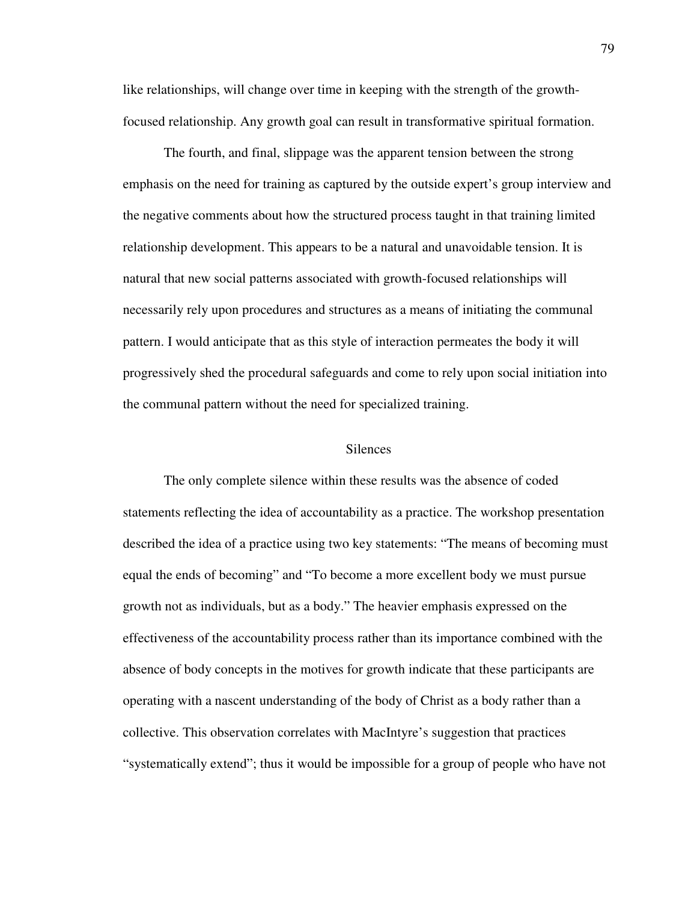like relationships, will change over time in keeping with the strength of the growthfocused relationship. Any growth goal can result in transformative spiritual formation.

The fourth, and final, slippage was the apparent tension between the strong emphasis on the need for training as captured by the outside expert's group interview and the negative comments about how the structured process taught in that training limited relationship development. This appears to be a natural and unavoidable tension. It is natural that new social patterns associated with growth-focused relationships will necessarily rely upon procedures and structures as a means of initiating the communal pattern. I would anticipate that as this style of interaction permeates the body it will progressively shed the procedural safeguards and come to rely upon social initiation into the communal pattern without the need for specialized training.

#### **Silences**

The only complete silence within these results was the absence of coded statements reflecting the idea of accountability as a practice. The workshop presentation described the idea of a practice using two key statements: "The means of becoming must equal the ends of becoming" and "To become a more excellent body we must pursue growth not as individuals, but as a body." The heavier emphasis expressed on the effectiveness of the accountability process rather than its importance combined with the absence of body concepts in the motives for growth indicate that these participants are operating with a nascent understanding of the body of Christ as a body rather than a collective. This observation correlates with MacIntyre's suggestion that practices "systematically extend"; thus it would be impossible for a group of people who have not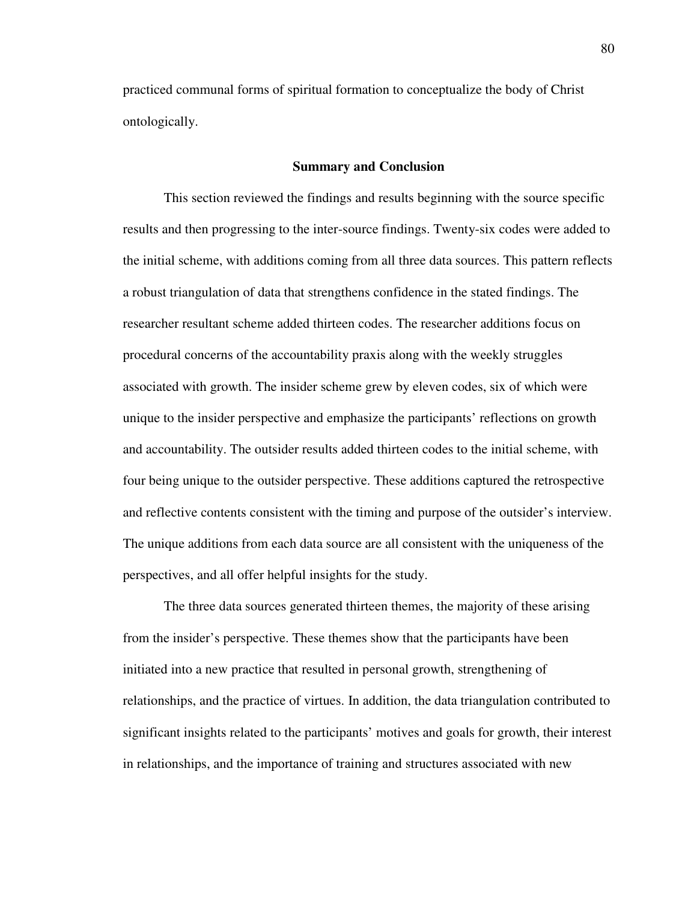practiced communal forms of spiritual formation to conceptualize the body of Christ ontologically.

#### **Summary and Conclusion**

This section reviewed the findings and results beginning with the source specific results and then progressing to the inter-source findings. Twenty-six codes were added to the initial scheme, with additions coming from all three data sources. This pattern reflects a robust triangulation of data that strengthens confidence in the stated findings. The researcher resultant scheme added thirteen codes. The researcher additions focus on procedural concerns of the accountability praxis along with the weekly struggles associated with growth. The insider scheme grew by eleven codes, six of which were unique to the insider perspective and emphasize the participants' reflections on growth and accountability. The outsider results added thirteen codes to the initial scheme, with four being unique to the outsider perspective. These additions captured the retrospective and reflective contents consistent with the timing and purpose of the outsider's interview. The unique additions from each data source are all consistent with the uniqueness of the perspectives, and all offer helpful insights for the study.

The three data sources generated thirteen themes, the majority of these arising from the insider's perspective. These themes show that the participants have been initiated into a new practice that resulted in personal growth, strengthening of relationships, and the practice of virtues. In addition, the data triangulation contributed to significant insights related to the participants' motives and goals for growth, their interest in relationships, and the importance of training and structures associated with new

80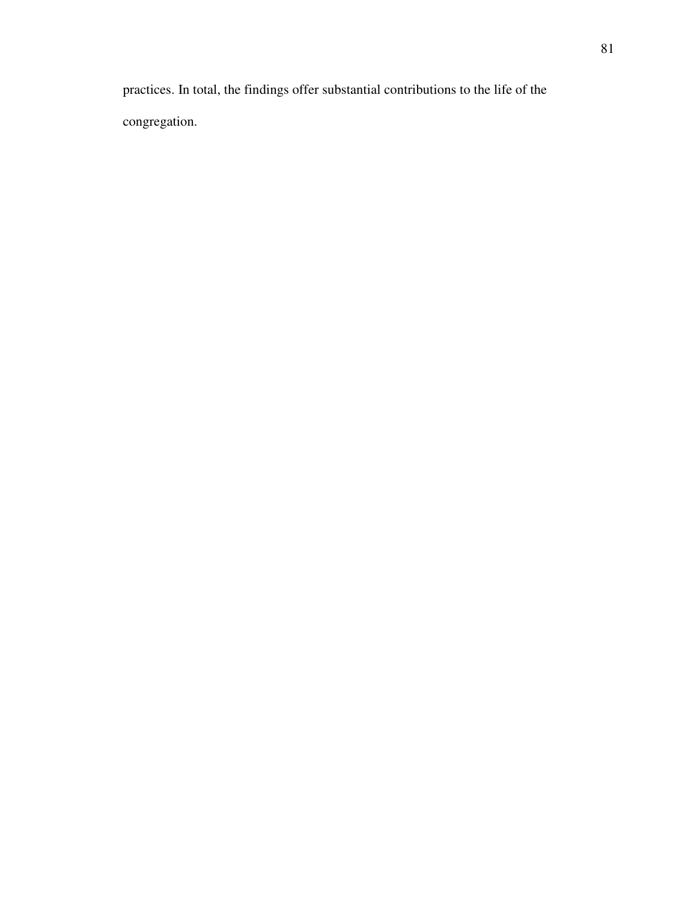practices. In total, the findings offer substantial contributions to the life of the congregation.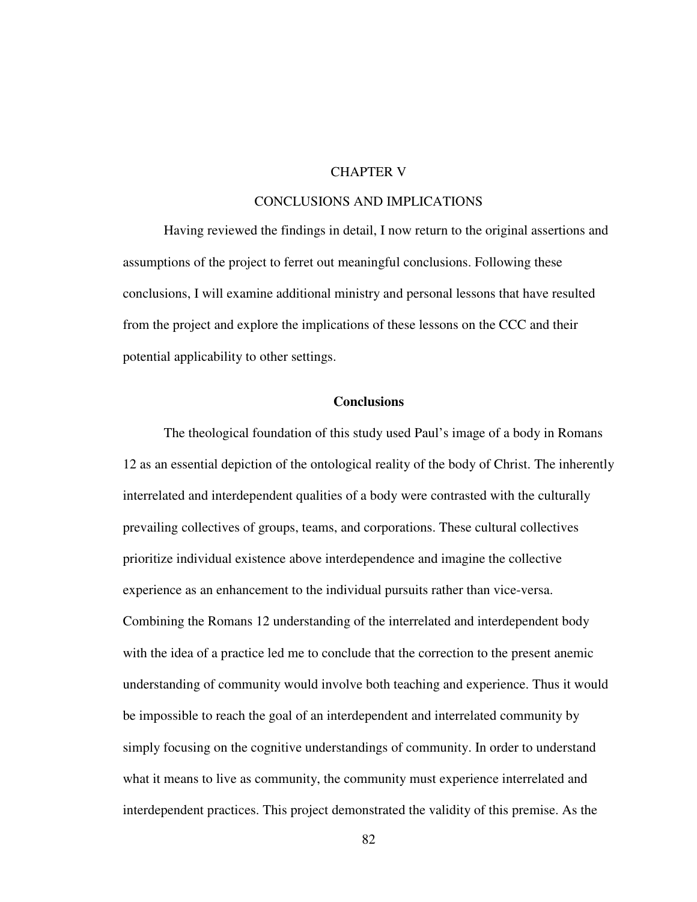# CHAPTER V

## CONCLUSIONS AND IMPLICATIONS

Having reviewed the findings in detail, I now return to the original assertions and assumptions of the project to ferret out meaningful conclusions. Following these conclusions, I will examine additional ministry and personal lessons that have resulted from the project and explore the implications of these lessons on the CCC and their potential applicability to other settings.

## **Conclusions**

The theological foundation of this study used Paul's image of a body in Romans 12 as an essential depiction of the ontological reality of the body of Christ. The inherently interrelated and interdependent qualities of a body were contrasted with the culturally prevailing collectives of groups, teams, and corporations. These cultural collectives prioritize individual existence above interdependence and imagine the collective experience as an enhancement to the individual pursuits rather than vice-versa. Combining the Romans 12 understanding of the interrelated and interdependent body with the idea of a practice led me to conclude that the correction to the present anemic understanding of community would involve both teaching and experience. Thus it would be impossible to reach the goal of an interdependent and interrelated community by simply focusing on the cognitive understandings of community. In order to understand what it means to live as community, the community must experience interrelated and interdependent practices. This project demonstrated the validity of this premise. As the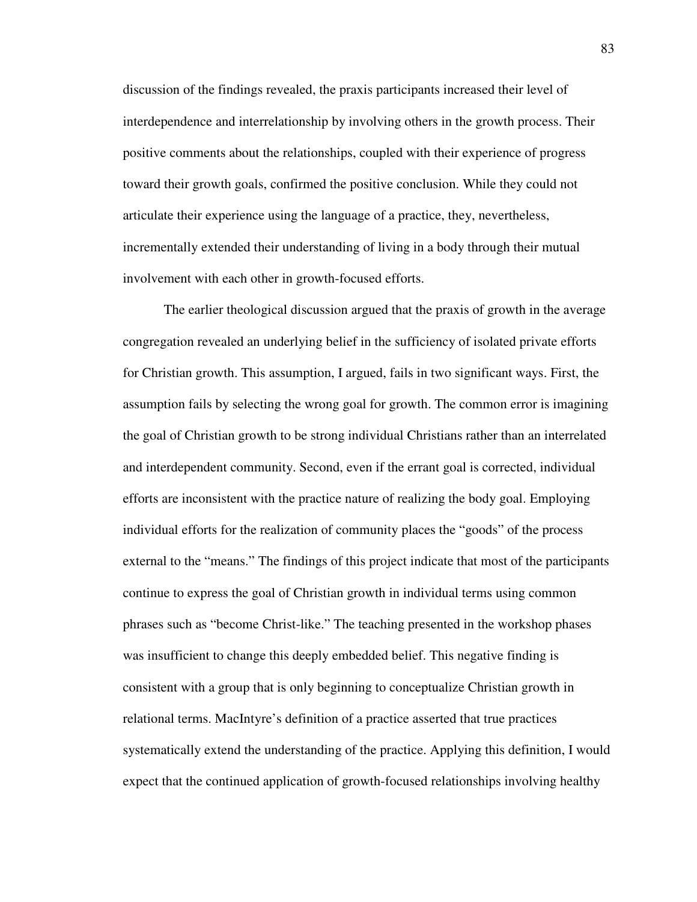discussion of the findings revealed, the praxis participants increased their level of interdependence and interrelationship by involving others in the growth process. Their positive comments about the relationships, coupled with their experience of progress toward their growth goals, confirmed the positive conclusion. While they could not articulate their experience using the language of a practice, they, nevertheless, incrementally extended their understanding of living in a body through their mutual involvement with each other in growth-focused efforts.

The earlier theological discussion argued that the praxis of growth in the average congregation revealed an underlying belief in the sufficiency of isolated private efforts for Christian growth. This assumption, I argued, fails in two significant ways. First, the assumption fails by selecting the wrong goal for growth. The common error is imagining the goal of Christian growth to be strong individual Christians rather than an interrelated and interdependent community. Second, even if the errant goal is corrected, individual efforts are inconsistent with the practice nature of realizing the body goal. Employing individual efforts for the realization of community places the "goods" of the process external to the "means." The findings of this project indicate that most of the participants continue to express the goal of Christian growth in individual terms using common phrases such as "become Christ-like." The teaching presented in the workshop phases was insufficient to change this deeply embedded belief. This negative finding is consistent with a group that is only beginning to conceptualize Christian growth in relational terms. MacIntyre's definition of a practice asserted that true practices systematically extend the understanding of the practice. Applying this definition, I would expect that the continued application of growth-focused relationships involving healthy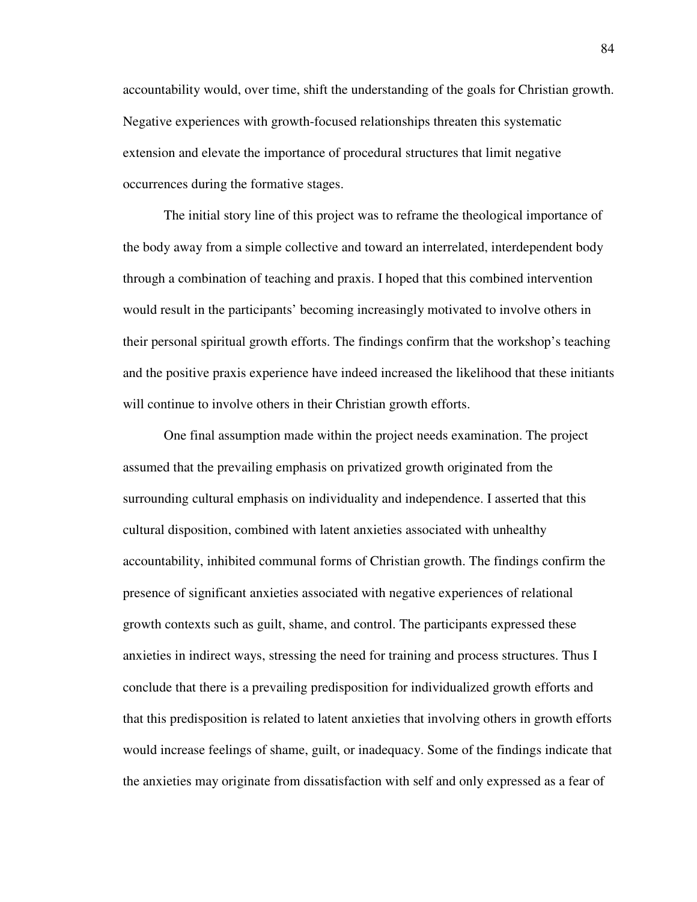accountability would, over time, shift the understanding of the goals for Christian growth. Negative experiences with growth-focused relationships threaten this systematic extension and elevate the importance of procedural structures that limit negative occurrences during the formative stages.

The initial story line of this project was to reframe the theological importance of the body away from a simple collective and toward an interrelated, interdependent body through a combination of teaching and praxis. I hoped that this combined intervention would result in the participants' becoming increasingly motivated to involve others in their personal spiritual growth efforts. The findings confirm that the workshop's teaching and the positive praxis experience have indeed increased the likelihood that these initiants will continue to involve others in their Christian growth efforts.

One final assumption made within the project needs examination. The project assumed that the prevailing emphasis on privatized growth originated from the surrounding cultural emphasis on individuality and independence. I asserted that this cultural disposition, combined with latent anxieties associated with unhealthy accountability, inhibited communal forms of Christian growth. The findings confirm the presence of significant anxieties associated with negative experiences of relational growth contexts such as guilt, shame, and control. The participants expressed these anxieties in indirect ways, stressing the need for training and process structures. Thus I conclude that there is a prevailing predisposition for individualized growth efforts and that this predisposition is related to latent anxieties that involving others in growth efforts would increase feelings of shame, guilt, or inadequacy. Some of the findings indicate that the anxieties may originate from dissatisfaction with self and only expressed as a fear of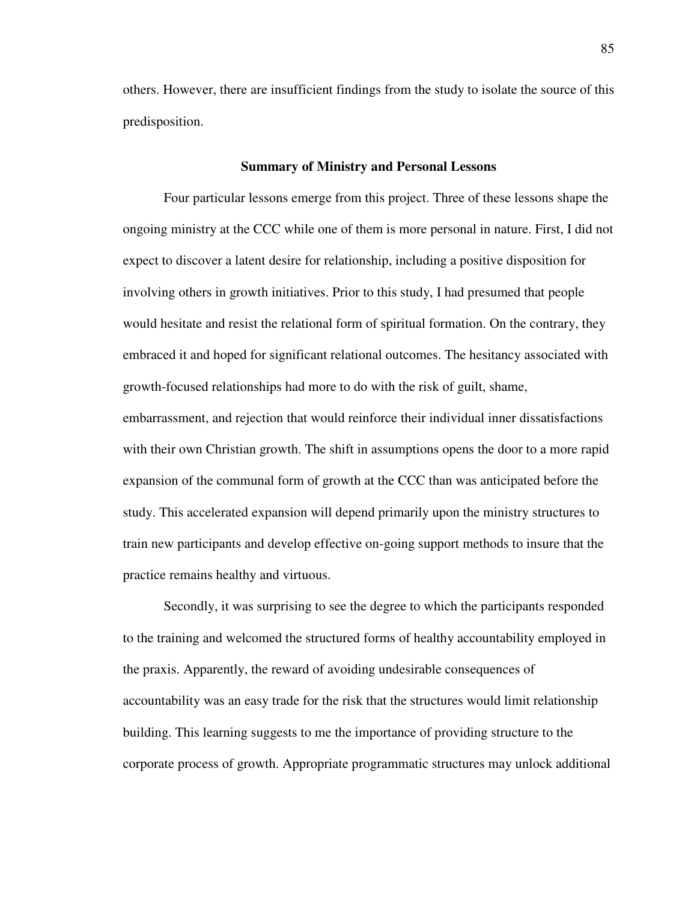others. However, there are insufficient findings from the study to isolate the source of this predisposition.

#### **Summary of Ministry and Personal Lessons**

Four particular lessons emerge from this project. Three of these lessons shape the ongoing ministry at the CCC while one of them is more personal in nature. First, I did not expect to discover a latent desire for relationship, including a positive disposition for involving others in growth initiatives. Prior to this study, I had presumed that people would hesitate and resist the relational form of spiritual formation. On the contrary, they embraced it and hoped for significant relational outcomes. The hesitancy associated with growth-focused relationships had more to do with the risk of guilt, shame, embarrassment, and rejection that would reinforce their individual inner dissatisfactions with their own Christian growth. The shift in assumptions opens the door to a more rapid expansion of the communal form of growth at the CCC than was anticipated before the study. This accelerated expansion will depend primarily upon the ministry structures to train new participants and develop effective on-going support methods to insure that the practice remains healthy and virtuous.

Secondly, it was surprising to see the degree to which the participants responded to the training and welcomed the structured forms of healthy accountability employed in the praxis. Apparently, the reward of avoiding undesirable consequences of accountability was an easy trade for the risk that the structures would limit relationship building. This learning suggests to me the importance of providing structure to the corporate process of growth. Appropriate programmatic structures may unlock additional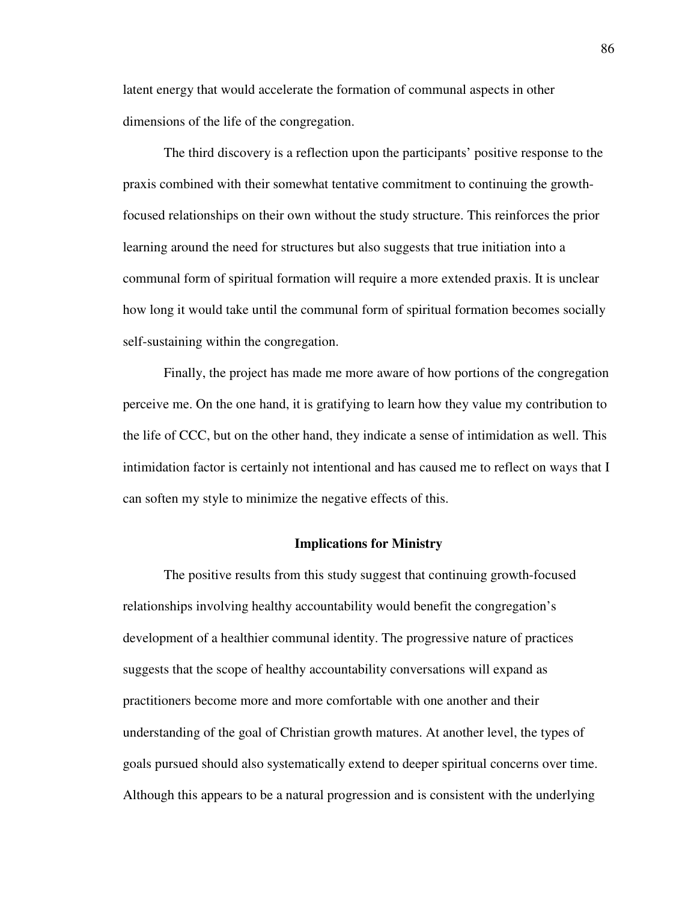latent energy that would accelerate the formation of communal aspects in other dimensions of the life of the congregation.

The third discovery is a reflection upon the participants' positive response to the praxis combined with their somewhat tentative commitment to continuing the growthfocused relationships on their own without the study structure. This reinforces the prior learning around the need for structures but also suggests that true initiation into a communal form of spiritual formation will require a more extended praxis. It is unclear how long it would take until the communal form of spiritual formation becomes socially self-sustaining within the congregation.

Finally, the project has made me more aware of how portions of the congregation perceive me. On the one hand, it is gratifying to learn how they value my contribution to the life of CCC, but on the other hand, they indicate a sense of intimidation as well. This intimidation factor is certainly not intentional and has caused me to reflect on ways that I can soften my style to minimize the negative effects of this.

#### **Implications for Ministry**

The positive results from this study suggest that continuing growth-focused relationships involving healthy accountability would benefit the congregation's development of a healthier communal identity. The progressive nature of practices suggests that the scope of healthy accountability conversations will expand as practitioners become more and more comfortable with one another and their understanding of the goal of Christian growth matures. At another level, the types of goals pursued should also systematically extend to deeper spiritual concerns over time. Although this appears to be a natural progression and is consistent with the underlying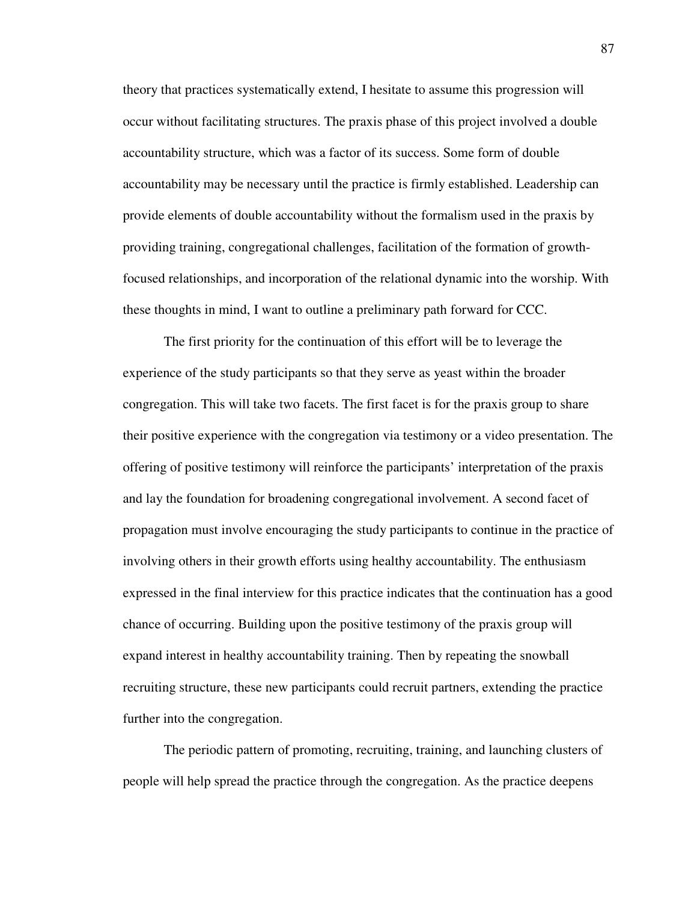theory that practices systematically extend, I hesitate to assume this progression will occur without facilitating structures. The praxis phase of this project involved a double accountability structure, which was a factor of its success. Some form of double accountability may be necessary until the practice is firmly established. Leadership can provide elements of double accountability without the formalism used in the praxis by providing training, congregational challenges, facilitation of the formation of growthfocused relationships, and incorporation of the relational dynamic into the worship. With these thoughts in mind, I want to outline a preliminary path forward for CCC.

The first priority for the continuation of this effort will be to leverage the experience of the study participants so that they serve as yeast within the broader congregation. This will take two facets. The first facet is for the praxis group to share their positive experience with the congregation via testimony or a video presentation. The offering of positive testimony will reinforce the participants' interpretation of the praxis and lay the foundation for broadening congregational involvement. A second facet of propagation must involve encouraging the study participants to continue in the practice of involving others in their growth efforts using healthy accountability. The enthusiasm expressed in the final interview for this practice indicates that the continuation has a good chance of occurring. Building upon the positive testimony of the praxis group will expand interest in healthy accountability training. Then by repeating the snowball recruiting structure, these new participants could recruit partners, extending the practice further into the congregation.

The periodic pattern of promoting, recruiting, training, and launching clusters of people will help spread the practice through the congregation. As the practice deepens

87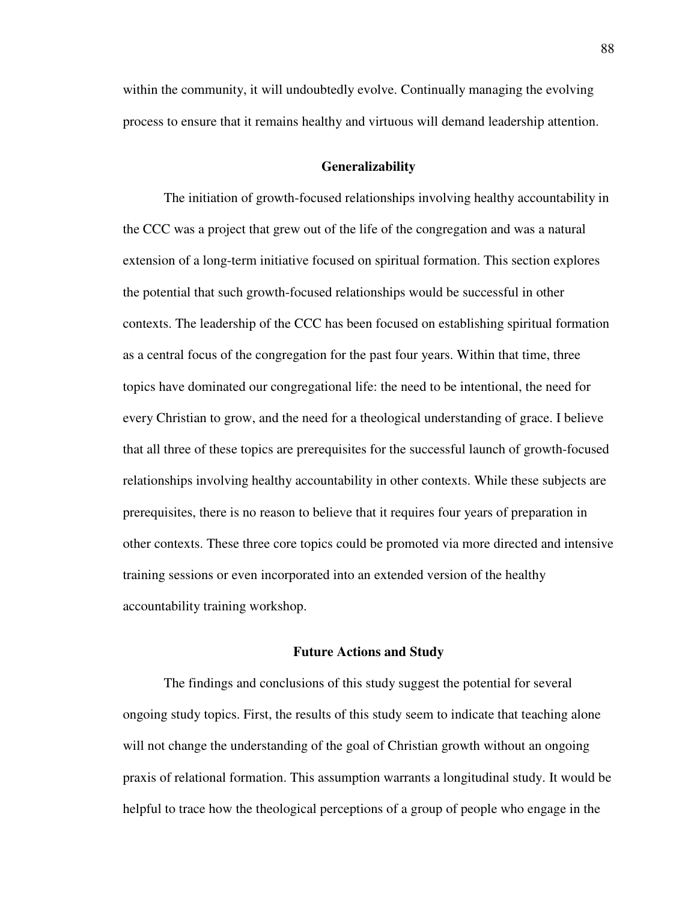within the community, it will undoubtedly evolve. Continually managing the evolving process to ensure that it remains healthy and virtuous will demand leadership attention.

#### **Generalizability**

The initiation of growth-focused relationships involving healthy accountability in the CCC was a project that grew out of the life of the congregation and was a natural extension of a long-term initiative focused on spiritual formation. This section explores the potential that such growth-focused relationships would be successful in other contexts. The leadership of the CCC has been focused on establishing spiritual formation as a central focus of the congregation for the past four years. Within that time, three topics have dominated our congregational life: the need to be intentional, the need for every Christian to grow, and the need for a theological understanding of grace. I believe that all three of these topics are prerequisites for the successful launch of growth-focused relationships involving healthy accountability in other contexts. While these subjects are prerequisites, there is no reason to believe that it requires four years of preparation in other contexts. These three core topics could be promoted via more directed and intensive training sessions or even incorporated into an extended version of the healthy accountability training workshop.

#### **Future Actions and Study**

The findings and conclusions of this study suggest the potential for several ongoing study topics. First, the results of this study seem to indicate that teaching alone will not change the understanding of the goal of Christian growth without an ongoing praxis of relational formation. This assumption warrants a longitudinal study. It would be helpful to trace how the theological perceptions of a group of people who engage in the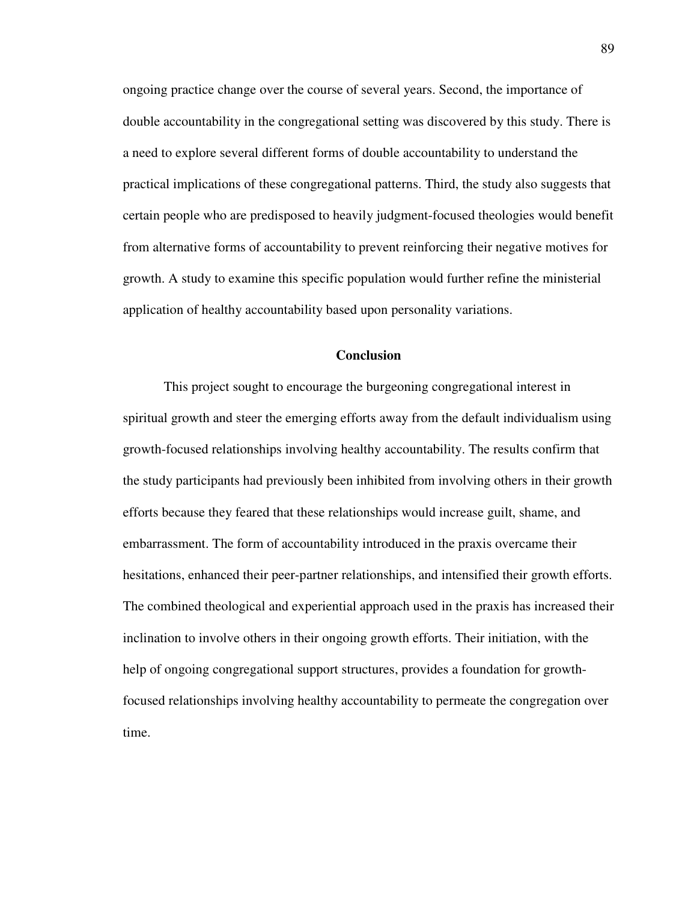ongoing practice change over the course of several years. Second, the importance of double accountability in the congregational setting was discovered by this study. There is a need to explore several different forms of double accountability to understand the practical implications of these congregational patterns. Third, the study also suggests that certain people who are predisposed to heavily judgment-focused theologies would benefit from alternative forms of accountability to prevent reinforcing their negative motives for growth. A study to examine this specific population would further refine the ministerial application of healthy accountability based upon personality variations.

## **Conclusion**

This project sought to encourage the burgeoning congregational interest in spiritual growth and steer the emerging efforts away from the default individualism using growth-focused relationships involving healthy accountability. The results confirm that the study participants had previously been inhibited from involving others in their growth efforts because they feared that these relationships would increase guilt, shame, and embarrassment. The form of accountability introduced in the praxis overcame their hesitations, enhanced their peer-partner relationships, and intensified their growth efforts. The combined theological and experiential approach used in the praxis has increased their inclination to involve others in their ongoing growth efforts. Their initiation, with the help of ongoing congregational support structures, provides a foundation for growthfocused relationships involving healthy accountability to permeate the congregation over time.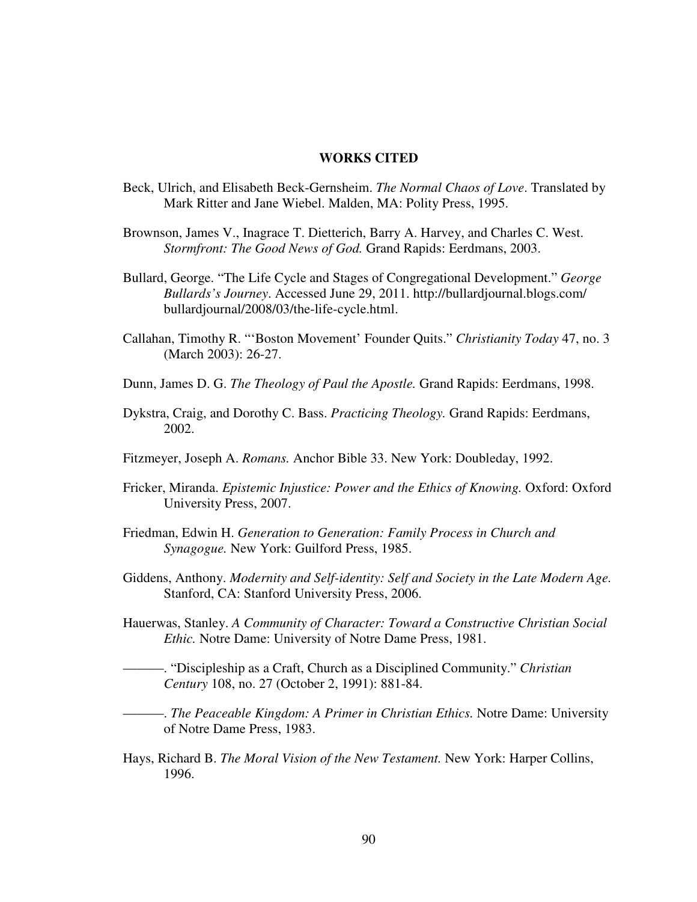## **WORKS CITED**

- Beck, Ulrich, and Elisabeth Beck-Gernsheim. *The Normal Chaos of Love*. Translated by Mark Ritter and Jane Wiebel. Malden, MA: Polity Press, 1995.
- Brownson, James V., Inagrace T. Dietterich, Barry A. Harvey, and Charles C. West. *Stormfront: The Good News of God.* Grand Rapids: Eerdmans, 2003.
- Bullard, George. "The Life Cycle and Stages of Congregational Development." *George Bullards's Journey*. Accessed June 29, 2011. http://bullardjournal.blogs.com/ bullardjournal/2008/03/the-life-cycle.html.
- Callahan, Timothy R. "'Boston Movement' Founder Quits." *Christianity Today* 47, no. 3 (March 2003): 26-27.
- Dunn, James D. G. *The Theology of Paul the Apostle.* Grand Rapids: Eerdmans, 1998.
- Dykstra, Craig, and Dorothy C. Bass. *Practicing Theology.* Grand Rapids: Eerdmans, 2002.
- Fitzmeyer, Joseph A. *Romans.* Anchor Bible 33. New York: Doubleday, 1992.
- Fricker, Miranda. *Epistemic Injustice: Power and the Ethics of Knowing.* Oxford: Oxford University Press, 2007.
- Friedman, Edwin H. *Generation to Generation: Family Process in Church and Synagogue.* New York: Guilford Press, 1985.
- Giddens, Anthony. *Modernity and Self-identity: Self and Society in the Late Modern Age.* Stanford, CA: Stanford University Press, 2006.
- Hauerwas, Stanley. *A Community of Character: Toward a Constructive Christian Social Ethic.* Notre Dame: University of Notre Dame Press, 1981.
- ———. "Discipleship as a Craft, Church as a Disciplined Community." *Christian Century* 108, no. 27 (October 2, 1991): 881-84.
- ———. *The Peaceable Kingdom: A Primer in Christian Ethics.* Notre Dame: University of Notre Dame Press, 1983.
- Hays, Richard B. *The Moral Vision of the New Testament.* New York: Harper Collins, 1996.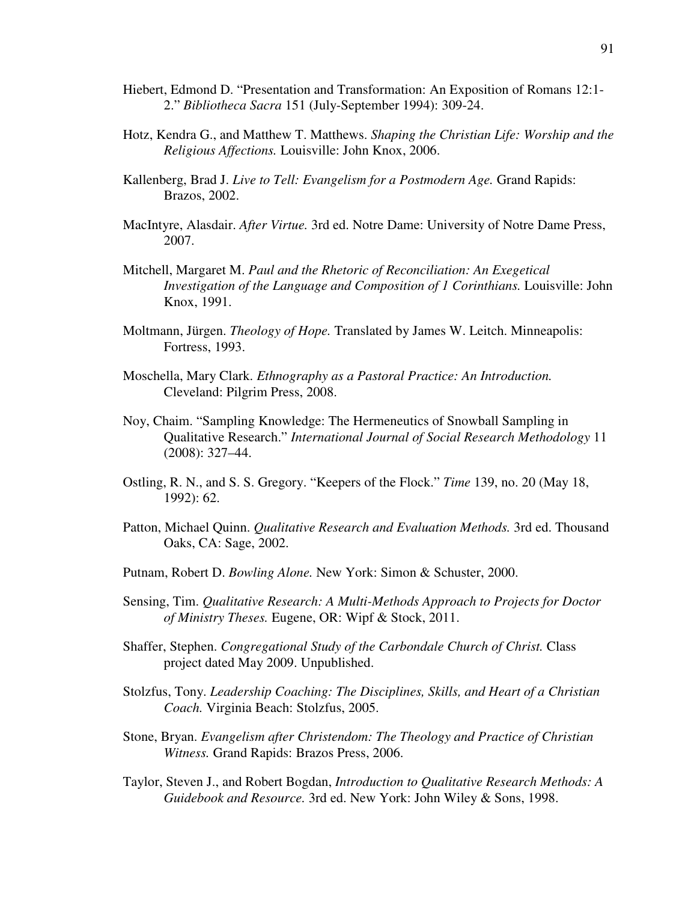- Hiebert, Edmond D. "Presentation and Transformation: An Exposition of Romans 12:1- 2." *Bibliotheca Sacra* 151 (July-September 1994): 309-24.
- Hotz, Kendra G., and Matthew T. Matthews. *Shaping the Christian Life: Worship and the Religious Affections.* Louisville: John Knox, 2006.
- Kallenberg, Brad J. *Live to Tell: Evangelism for a Postmodern Age.* Grand Rapids: Brazos, 2002.
- MacIntyre, Alasdair. *After Virtue.* 3rd ed. Notre Dame: University of Notre Dame Press, 2007.
- Mitchell, Margaret M. *Paul and the Rhetoric of Reconciliation: An Exegetical Investigation of the Language and Composition of 1 Corinthians.* Louisville: John Knox, 1991.
- Moltmann, Jürgen. *Theology of Hope.* Translated by James W. Leitch. Minneapolis: Fortress, 1993.
- Moschella, Mary Clark. *Ethnography as a Pastoral Practice: An Introduction.* Cleveland: Pilgrim Press, 2008.
- Noy, Chaim. "Sampling Knowledge: The Hermeneutics of Snowball Sampling in Qualitative Research." *International Journal of Social Research Methodology* 11 (2008): 327–44.
- Ostling, R. N., and S. S. Gregory. "Keepers of the Flock." *Time* 139, no. 20 (May 18, 1992): 62.
- Patton, Michael Quinn. *Qualitative Research and Evaluation Methods.* 3rd ed. Thousand Oaks, CA: Sage, 2002.
- Putnam, Robert D. *Bowling Alone.* New York: Simon & Schuster, 2000.
- Sensing, Tim. *Qualitative Research: A Multi-Methods Approach to Projects for Doctor of Ministry Theses.* Eugene, OR: Wipf & Stock, 2011.
- Shaffer, Stephen. *Congregational Study of the Carbondale Church of Christ.* Class project dated May 2009. Unpublished.
- Stolzfus, Tony. *Leadership Coaching: The Disciplines, Skills, and Heart of a Christian Coach.* Virginia Beach: Stolzfus, 2005.
- Stone, Bryan. *Evangelism after Christendom: The Theology and Practice of Christian Witness.* Grand Rapids: Brazos Press, 2006.
- Taylor, Steven J., and Robert Bogdan, *Introduction to Qualitative Research Methods: A Guidebook and Resource.* 3rd ed. New York: John Wiley & Sons, 1998.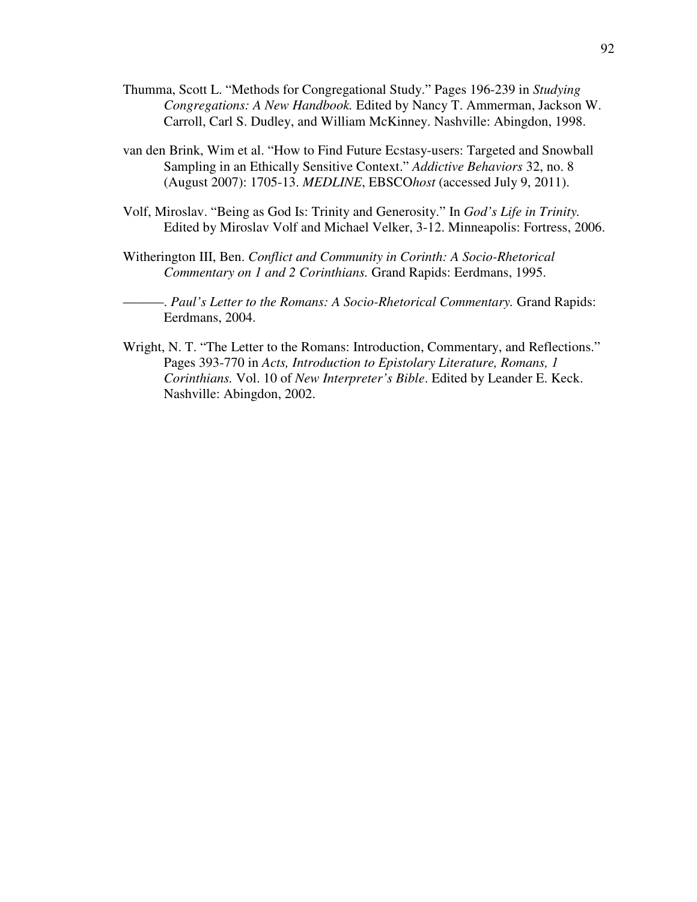- Thumma, Scott L. "Methods for Congregational Study." Pages 196-239 in *Studying Congregations: A New Handbook.* Edited by Nancy T. Ammerman, Jackson W. Carroll, Carl S. Dudley, and William McKinney. Nashville: Abingdon, 1998.
- van den Brink, Wim et al. "How to Find Future Ecstasy-users: Targeted and Snowball Sampling in an Ethically Sensitive Context." *Addictive Behaviors* 32, no. 8 (August 2007): 1705-13. *MEDLINE*, EBSCO*host* (accessed July 9, 2011).
- Volf, Miroslav. "Being as God Is: Trinity and Generosity." In *God's Life in Trinity.* Edited by Miroslav Volf and Michael Velker, 3-12. Minneapolis: Fortress, 2006.
- Witherington III, Ben. *Conflict and Community in Corinth: A Socio-Rhetorical Commentary on 1 and 2 Corinthians.* Grand Rapids: Eerdmans, 1995.
- ———. *Paul's Letter to the Romans: A Socio-Rhetorical Commentary.* Grand Rapids: Eerdmans, 2004.
- Wright, N. T. "The Letter to the Romans: Introduction, Commentary, and Reflections." Pages 393-770 in *Acts, Introduction to Epistolary Literature, Romans, 1 Corinthians.* Vol. 10 of *New Interpreter's Bible*. Edited by Leander E. Keck. Nashville: Abingdon, 2002.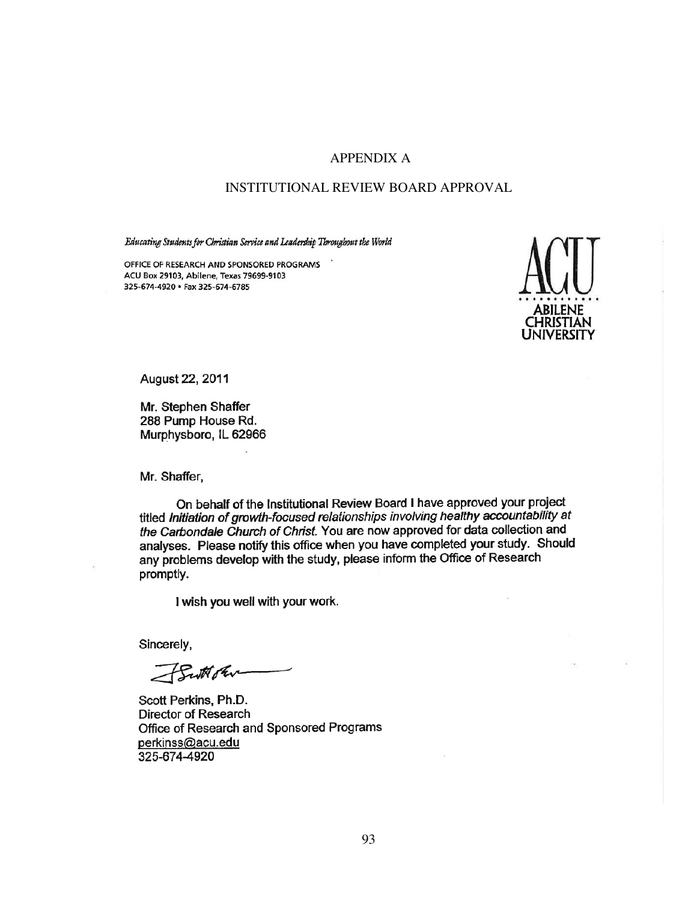## APPENDIX A

## INSTITUTIONAL REVIEW BOARD APPROVAL

Educating Students for Christian Service and Leadership Throughout the World

OFFICE OF RESEARCH AND SPONSORED PROGRAMS ACU Box 29103, Abilene, Texas 79699-9103 325-674-4920 · Fax 325-674-6785



August 22, 2011

Mr. Stephen Shaffer 288 Pump House Rd. Murphysboro, IL 62966

Mr. Shaffer,

On behalf of the Institutional Review Board I have approved your project titled Initiation of growth-focused relationships involving healthy accountability at the Carbondale Church of Christ. You are now approved for data collection and analyses. Please notify this office when you have completed your study. Should and yeocometries in the study, please inform the Office of Research promptly.

I wish you well with your work.

Sincerely,

Button

Scott Perkins, Ph.D. Director of Research Office of Research and Sponsored Programs perkinss@acu.edu 325-674-4920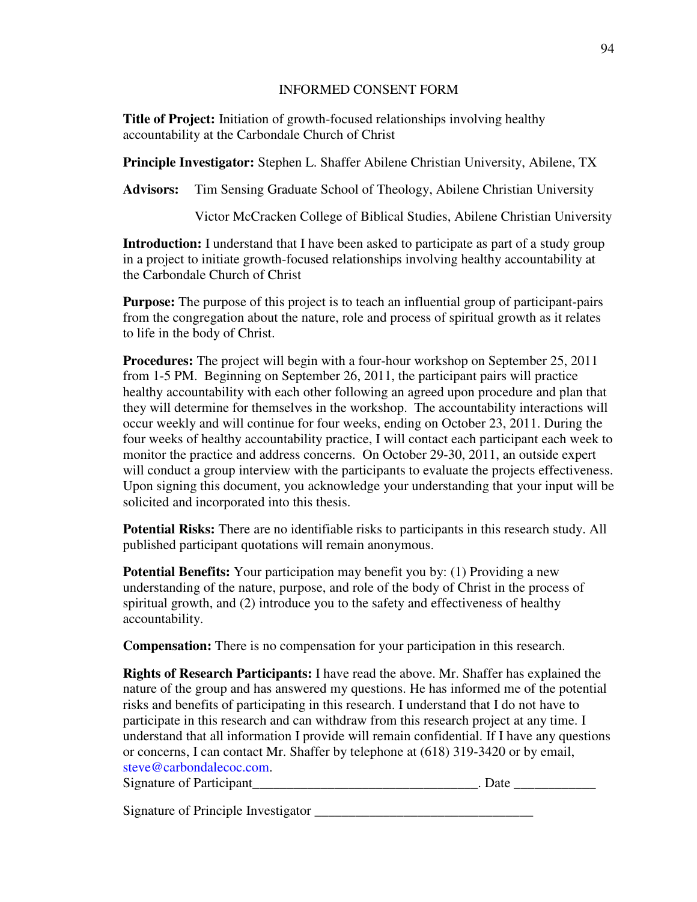## INFORMED CONSENT FORM

**Title of Project:** Initiation of growth-focused relationships involving healthy accountability at the Carbondale Church of Christ

**Principle Investigator:** Stephen L. Shaffer Abilene Christian University, Abilene, TX

**Advisors:** Tim Sensing Graduate School of Theology, Abilene Christian University

Victor McCracken College of Biblical Studies, Abilene Christian University

**Introduction:** I understand that I have been asked to participate as part of a study group in a project to initiate growth-focused relationships involving healthy accountability at the Carbondale Church of Christ

**Purpose:** The purpose of this project is to teach an influential group of participant-pairs from the congregation about the nature, role and process of spiritual growth as it relates to life in the body of Christ.

**Procedures:** The project will begin with a four-hour workshop on September 25, 2011 from 1-5 PM. Beginning on September 26, 2011, the participant pairs will practice healthy accountability with each other following an agreed upon procedure and plan that they will determine for themselves in the workshop. The accountability interactions will occur weekly and will continue for four weeks, ending on October 23, 2011. During the four weeks of healthy accountability practice, I will contact each participant each week to monitor the practice and address concerns. On October 29-30, 2011, an outside expert will conduct a group interview with the participants to evaluate the projects effectiveness. Upon signing this document, you acknowledge your understanding that your input will be solicited and incorporated into this thesis.

**Potential Risks:** There are no identifiable risks to participants in this research study. All published participant quotations will remain anonymous.

**Potential Benefits:** Your participation may benefit you by: (1) Providing a new understanding of the nature, purpose, and role of the body of Christ in the process of spiritual growth, and (2) introduce you to the safety and effectiveness of healthy accountability.

**Compensation:** There is no compensation for your participation in this research.

**Rights of Research Participants:** I have read the above. Mr. Shaffer has explained the nature of the group and has answered my questions. He has informed me of the potential risks and benefits of participating in this research. I understand that I do not have to participate in this research and can withdraw from this research project at any time. I understand that all information I provide will remain confidential. If I have any questions or concerns, I can contact Mr. Shaffer by telephone at (618) 319-3420 or by email, steve@carbondalecoc.com.

Signature of Participant\_\_\_\_\_\_\_\_\_\_\_\_\_\_\_\_\_\_\_\_\_\_\_\_\_\_\_\_\_\_\_\_\_. Date \_\_\_\_\_\_\_\_\_\_\_\_

Signature of Principle Investigator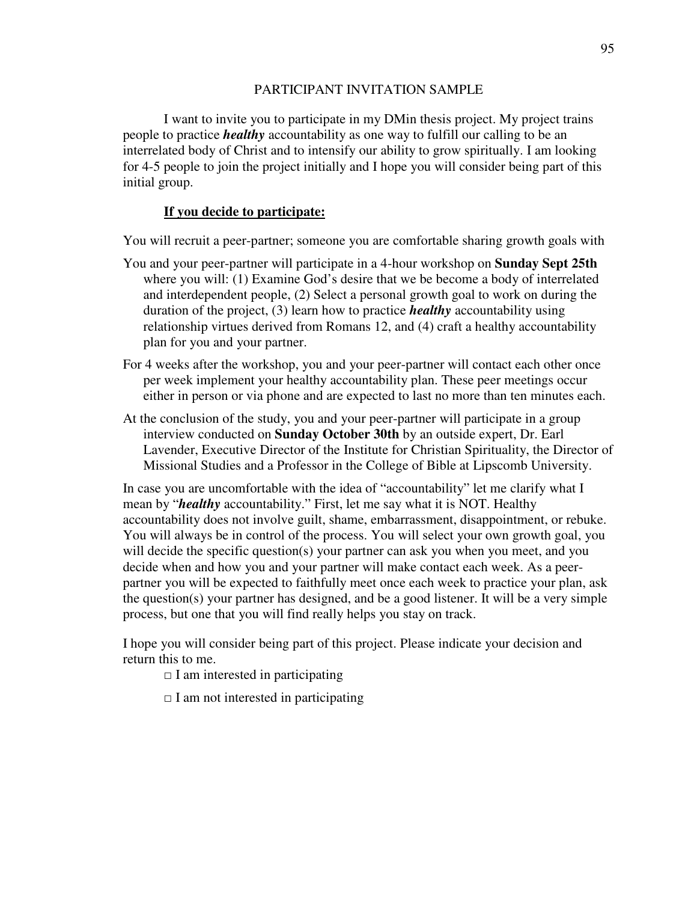## PARTICIPANT INVITATION SAMPLE

I want to invite you to participate in my DMin thesis project. My project trains people to practice *healthy* accountability as one way to fulfill our calling to be an interrelated body of Christ and to intensify our ability to grow spiritually. I am looking for 4-5 people to join the project initially and I hope you will consider being part of this initial group.

## **If you decide to participate:**

You will recruit a peer-partner; someone you are comfortable sharing growth goals with

- You and your peer-partner will participate in a 4-hour workshop on **Sunday Sept 25th** where you will: (1) Examine God's desire that we be become a body of interrelated and interdependent people, (2) Select a personal growth goal to work on during the duration of the project, (3) learn how to practice *healthy* accountability using relationship virtues derived from Romans 12, and (4) craft a healthy accountability plan for you and your partner.
- For 4 weeks after the workshop, you and your peer-partner will contact each other once per week implement your healthy accountability plan. These peer meetings occur either in person or via phone and are expected to last no more than ten minutes each.
- At the conclusion of the study, you and your peer-partner will participate in a group interview conducted on **Sunday October 30th** by an outside expert, Dr. Earl Lavender, Executive Director of the Institute for Christian Spirituality, the Director of Missional Studies and a Professor in the College of Bible at Lipscomb University.

In case you are uncomfortable with the idea of "accountability" let me clarify what I mean by "*healthy* accountability." First, let me say what it is NOT. Healthy accountability does not involve guilt, shame, embarrassment, disappointment, or rebuke. You will always be in control of the process. You will select your own growth goal, you will decide the specific question(s) your partner can ask you when you meet, and you decide when and how you and your partner will make contact each week. As a peerpartner you will be expected to faithfully meet once each week to practice your plan, ask the question(s) your partner has designed, and be a good listener. It will be a very simple process, but one that you will find really helps you stay on track.

I hope you will consider being part of this project. Please indicate your decision and return this to me.

- $\Box$  I am interested in participating
- $\Box$  I am not interested in participating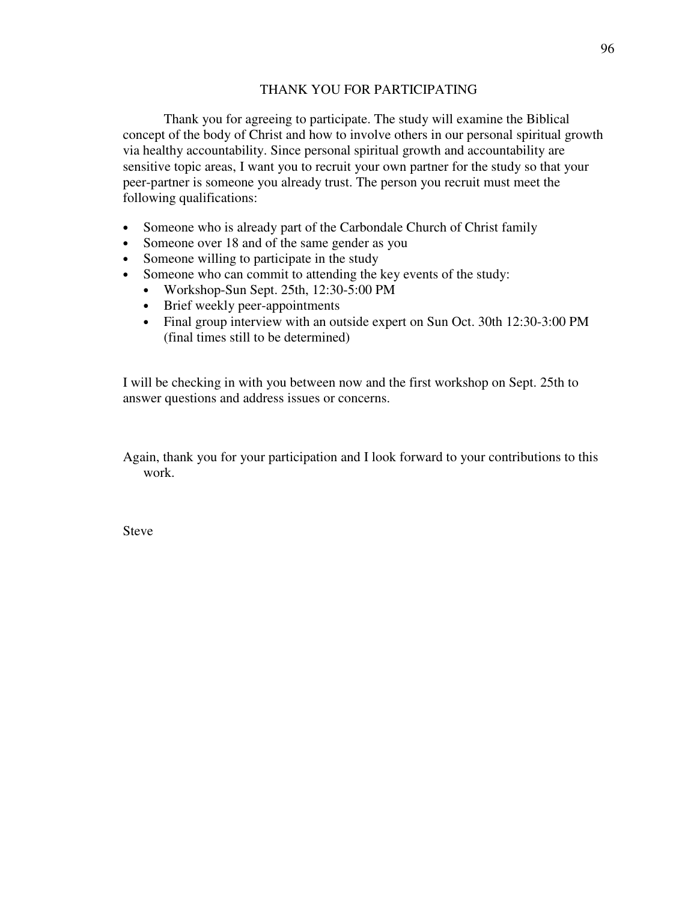## THANK YOU FOR PARTICIPATING

Thank you for agreeing to participate. The study will examine the Biblical concept of the body of Christ and how to involve others in our personal spiritual growth via healthy accountability. Since personal spiritual growth and accountability are sensitive topic areas, I want you to recruit your own partner for the study so that your peer-partner is someone you already trust. The person you recruit must meet the following qualifications:

- Someone who is already part of the Carbondale Church of Christ family
- Someone over 18 and of the same gender as you
- Someone willing to participate in the study
- Someone who can commit to attending the key events of the study:
	- Workshop-Sun Sept. 25th, 12:30-5:00 PM
	- Brief weekly peer-appointments
	- Final group interview with an outside expert on Sun Oct. 30th 12:30-3:00 PM (final times still to be determined)

I will be checking in with you between now and the first workshop on Sept. 25th to answer questions and address issues or concerns.

Again, thank you for your participation and I look forward to your contributions to this work.

Steve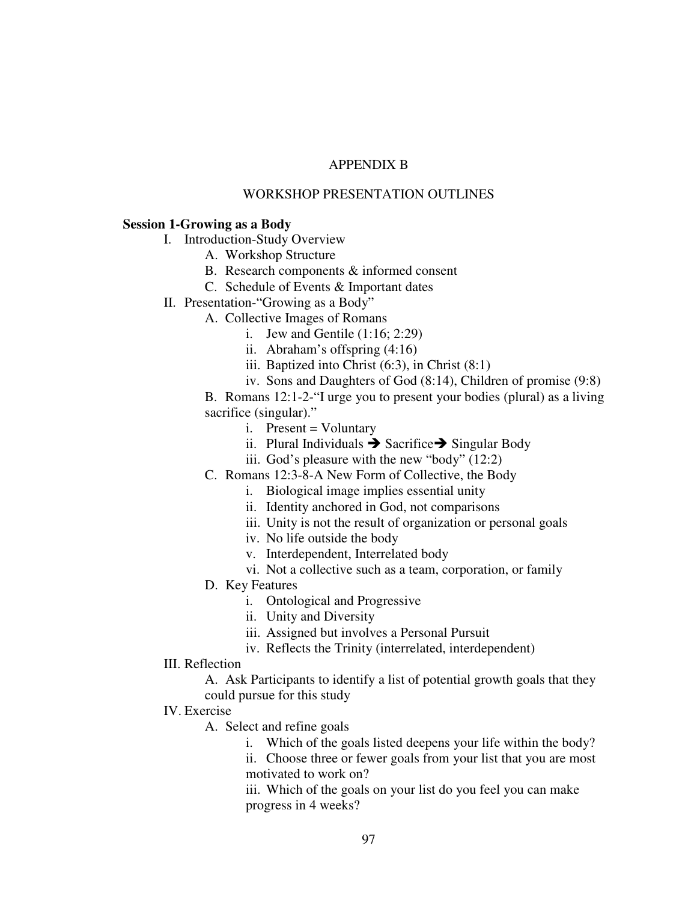# APPENDIX B

## WORKSHOP PRESENTATION OUTLINES

## **Session 1-Growing as a Body**

- I. Introduction-Study Overview
	- A. Workshop Structure
	- B. Research components & informed consent
	- C. Schedule of Events & Important dates
- II. Presentation-"Growing as a Body"
	- A. Collective Images of Romans
		- i. Jew and Gentile (1:16; 2:29)
		- ii. Abraham's offspring (4:16)
		- iii. Baptized into Christ (6:3), in Christ (8:1)
		- iv. Sons and Daughters of God (8:14), Children of promise (9:8)

B. Romans 12:1-2-"I urge you to present your bodies (plural) as a living sacrifice (singular)."

- $i.$  Present = Voluntary
- ii. Plural Individuals  $\rightarrow$  Sacrifice  $\rightarrow$  Singular Body
- iii. God's pleasure with the new "body" (12:2)
- C. Romans 12:3-8-A New Form of Collective, the Body
	- i. Biological image implies essential unity
	- ii. Identity anchored in God, not comparisons
	- iii. Unity is not the result of organization or personal goals
	- iv. No life outside the body
	- v. Interdependent, Interrelated body
	- vi. Not a collective such as a team, corporation, or family
- D. Key Features
	- i. Ontological and Progressive
	- ii. Unity and Diversity
	- iii. Assigned but involves a Personal Pursuit
	- iv. Reflects the Trinity (interrelated, interdependent)
- III. Reflection
	- A. Ask Participants to identify a list of potential growth goals that they could pursue for this study
- IV. Exercise
	- A. Select and refine goals
		- i. Which of the goals listed deepens your life within the body?

ii. Choose three or fewer goals from your list that you are most motivated to work on?

iii. Which of the goals on your list do you feel you can make progress in 4 weeks?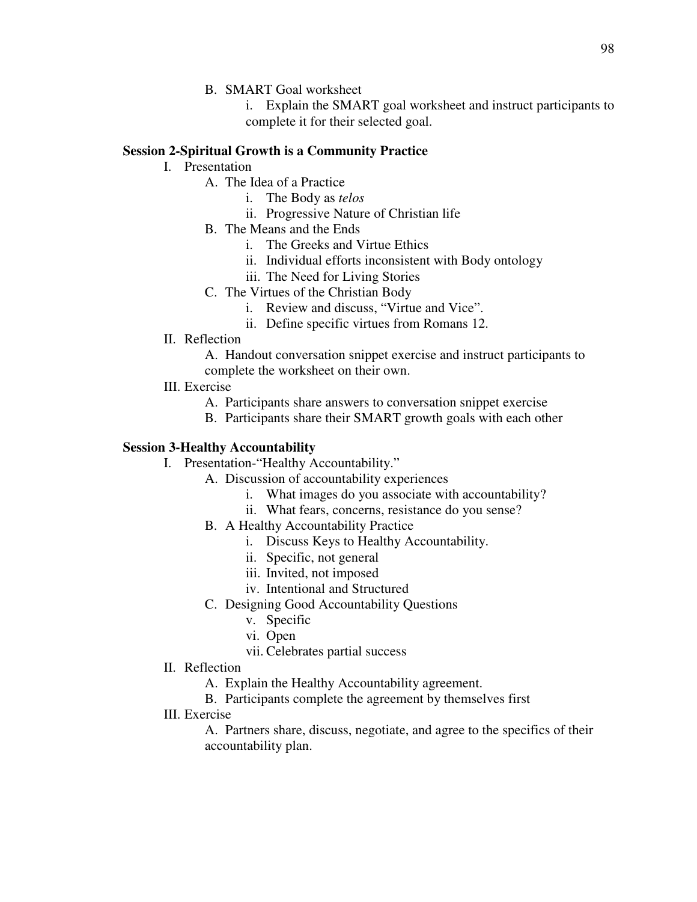B. SMART Goal worksheet

i. Explain the SMART goal worksheet and instruct participants to complete it for their selected goal.

# **Session 2-Spiritual Growth is a Community Practice**

- I. Presentation
	- A. The Idea of a Practice
		- i. The Body as *telos*
		- ii. Progressive Nature of Christian life
	- B. The Means and the Ends
		- i. The Greeks and Virtue Ethics
		- ii. Individual efforts inconsistent with Body ontology
		- iii. The Need for Living Stories
	- C. The Virtues of the Christian Body
		- i. Review and discuss, "Virtue and Vice".
		- ii. Define specific virtues from Romans 12.
- II. Reflection
	- A. Handout conversation snippet exercise and instruct participants to complete the worksheet on their own.
- III. Exercise
	- A. Participants share answers to conversation snippet exercise
	- B. Participants share their SMART growth goals with each other

# **Session 3-Healthy Accountability**

- I. Presentation-"Healthy Accountability."
	- A. Discussion of accountability experiences
		- i. What images do you associate with accountability?
		- ii. What fears, concerns, resistance do you sense?
	- B. A Healthy Accountability Practice
		- i. Discuss Keys to Healthy Accountability.
		- ii. Specific, not general
		- iii. Invited, not imposed
		- iv. Intentional and Structured
	- C. Designing Good Accountability Questions
		- v. Specific
		- vi. Open
		- vii. Celebrates partial success
- II. Reflection
	- A. Explain the Healthy Accountability agreement.
	- B. Participants complete the agreement by themselves first
- III. Exercise
	- A. Partners share, discuss, negotiate, and agree to the specifics of their accountability plan.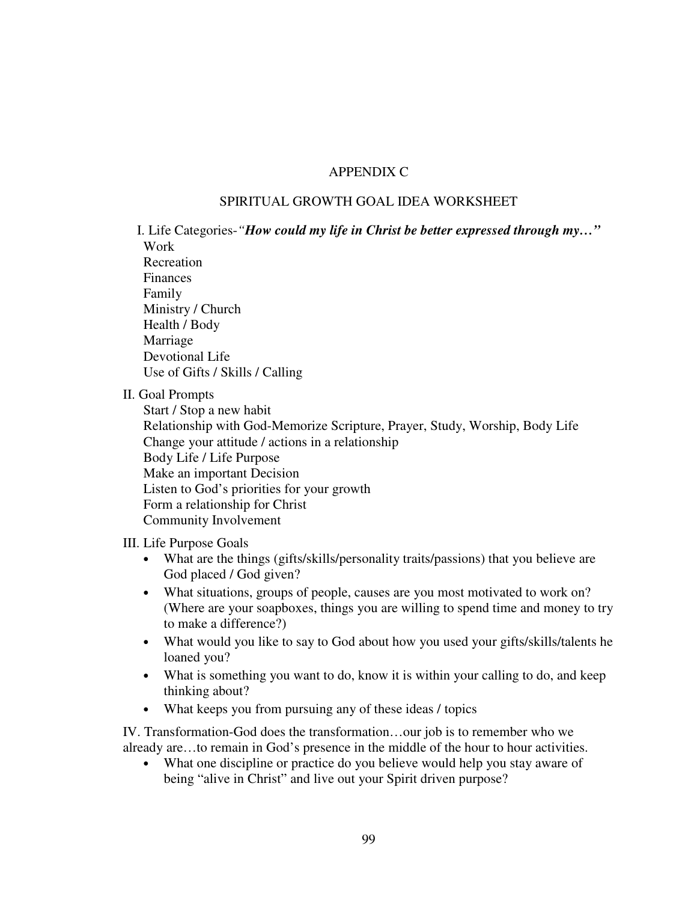# APPENDIX C

# SPIRITUAL GROWTH GOAL IDEA WORKSHEET

I. Life Categories-*"How could my life in Christ be better expressed through my…"* Work Recreation Finances Family Ministry / Church Health / Body Marriage Devotional Life Use of Gifts / Skills / Calling

II. Goal Prompts

Start / Stop a new habit Relationship with God-Memorize Scripture, Prayer, Study, Worship, Body Life Change your attitude / actions in a relationship Body Life / Life Purpose Make an important Decision Listen to God's priorities for your growth Form a relationship for Christ Community Involvement

III. Life Purpose Goals

- What are the things (gifts/skills/personality traits/passions) that you believe are God placed / God given?
- What situations, groups of people, causes are you most motivated to work on? (Where are your soapboxes, things you are willing to spend time and money to try to make a difference?)
- What would you like to say to God about how you used your gifts/skills/talents he loaned you?
- What is something you want to do, know it is within your calling to do, and keep thinking about?
- What keeps you from pursuing any of these ideas / topics

IV. Transformation-God does the transformation…our job is to remember who we already are…to remain in God's presence in the middle of the hour to hour activities.

• What one discipline or practice do you believe would help you stay aware of being "alive in Christ" and live out your Spirit driven purpose?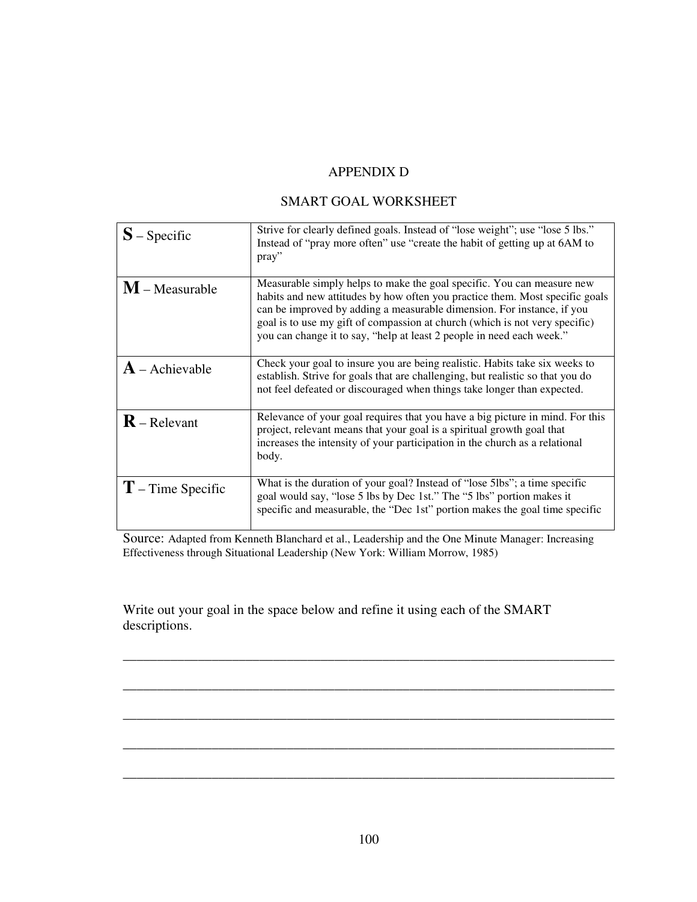# APPENDIX D

# SMART GOAL WORKSHEET

| $S$ – Specific          | Strive for clearly defined goals. Instead of "lose weight"; use "lose 5 lbs."<br>Instead of "pray more often" use "create the habit of getting up at 6AM to<br>pray"                                                                                                                                                                                                                     |
|-------------------------|------------------------------------------------------------------------------------------------------------------------------------------------------------------------------------------------------------------------------------------------------------------------------------------------------------------------------------------------------------------------------------------|
| $M$ – Measurable        | Measurable simply helps to make the goal specific. You can measure new<br>habits and new attitudes by how often you practice them. Most specific goals<br>can be improved by adding a measurable dimension. For instance, if you<br>goal is to use my gift of compassion at church (which is not very specific)<br>you can change it to say, "help at least 2 people in need each week." |
| $\bf{A}$ – Achievable   | Check your goal to insure you are being realistic. Habits take six weeks to<br>establish. Strive for goals that are challenging, but realistic so that you do<br>not feel defeated or discouraged when things take longer than expected.                                                                                                                                                 |
| $\mathbf{R}$ – Relevant | Relevance of your goal requires that you have a big picture in mind. For this<br>project, relevant means that your goal is a spiritual growth goal that<br>increases the intensity of your participation in the church as a relational<br>body.                                                                                                                                          |
| $T$ – Time Specific     | What is the duration of your goal? Instead of "lose 5lbs"; a time specific<br>goal would say, "lose 5 lbs by Dec 1st." The "5 lbs" portion makes it<br>specific and measurable, the "Dec 1st" portion makes the goal time specific                                                                                                                                                       |

Source: Adapted from Kenneth Blanchard et al., Leadership and the One Minute Manager: Increasing Effectiveness through Situational Leadership (New York: William Morrow, 1985)

\_\_\_\_\_\_\_\_\_\_\_\_\_\_\_\_\_\_\_\_\_\_\_\_\_\_\_\_\_\_\_\_\_\_\_\_\_\_\_\_\_\_\_\_\_\_\_\_\_\_\_\_\_\_\_\_\_\_\_\_\_\_\_\_\_\_\_\_\_\_\_\_

\_\_\_\_\_\_\_\_\_\_\_\_\_\_\_\_\_\_\_\_\_\_\_\_\_\_\_\_\_\_\_\_\_\_\_\_\_\_\_\_\_\_\_\_\_\_\_\_\_\_\_\_\_\_\_\_\_\_\_\_\_\_\_\_\_\_\_\_\_\_\_\_

\_\_\_\_\_\_\_\_\_\_\_\_\_\_\_\_\_\_\_\_\_\_\_\_\_\_\_\_\_\_\_\_\_\_\_\_\_\_\_\_\_\_\_\_\_\_\_\_\_\_\_\_\_\_\_\_\_\_\_\_\_\_\_\_\_\_\_\_\_\_\_\_

\_\_\_\_\_\_\_\_\_\_\_\_\_\_\_\_\_\_\_\_\_\_\_\_\_\_\_\_\_\_\_\_\_\_\_\_\_\_\_\_\_\_\_\_\_\_\_\_\_\_\_\_\_\_\_\_\_\_\_\_\_\_\_\_\_\_\_\_\_\_\_\_

\_\_\_\_\_\_\_\_\_\_\_\_\_\_\_\_\_\_\_\_\_\_\_\_\_\_\_\_\_\_\_\_\_\_\_\_\_\_\_\_\_\_\_\_\_\_\_\_\_\_\_\_\_\_\_\_\_\_\_\_\_\_\_\_\_\_\_\_\_\_\_\_

Write out your goal in the space below and refine it using each of the SMART descriptions.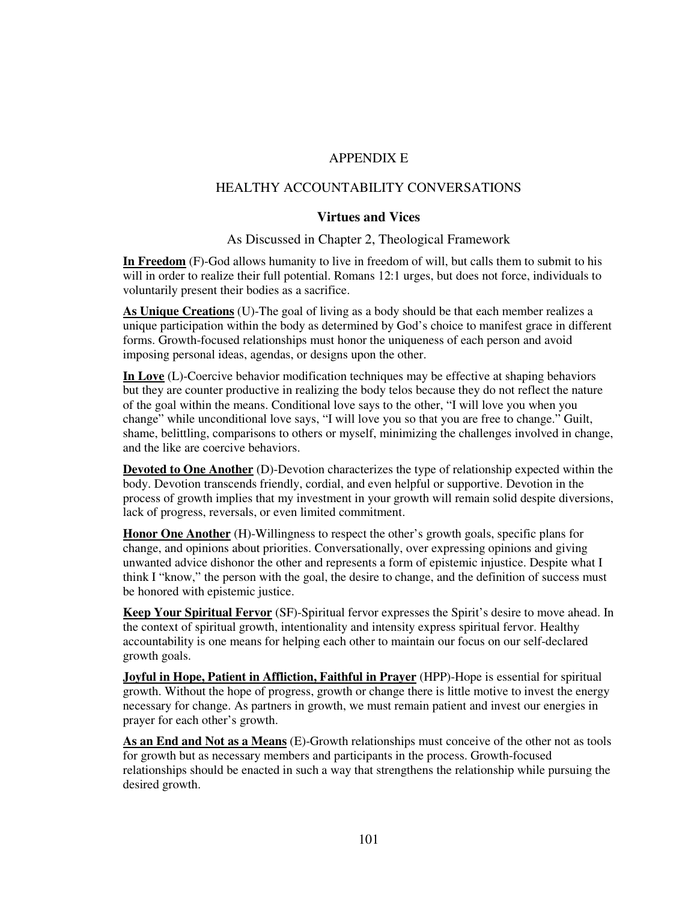## APPENDIX E

## HEALTHY ACCOUNTABILITY CONVERSATIONS

#### **Virtues and Vices**

#### As Discussed in Chapter 2, Theological Framework

**In Freedom** (F)-God allows humanity to live in freedom of will, but calls them to submit to his will in order to realize their full potential. Romans 12:1 urges, but does not force, individuals to voluntarily present their bodies as a sacrifice.

**As Unique Creations** (U)-The goal of living as a body should be that each member realizes a unique participation within the body as determined by God's choice to manifest grace in different forms. Growth-focused relationships must honor the uniqueness of each person and avoid imposing personal ideas, agendas, or designs upon the other.

**In Love** (L)-Coercive behavior modification techniques may be effective at shaping behaviors but they are counter productive in realizing the body telos because they do not reflect the nature of the goal within the means. Conditional love says to the other, "I will love you when you change" while unconditional love says, "I will love you so that you are free to change." Guilt, shame, belittling, comparisons to others or myself, minimizing the challenges involved in change, and the like are coercive behaviors.

**Devoted to One Another** (D)-Devotion characterizes the type of relationship expected within the body. Devotion transcends friendly, cordial, and even helpful or supportive. Devotion in the process of growth implies that my investment in your growth will remain solid despite diversions, lack of progress, reversals, or even limited commitment.

**Honor One Another** (H)-Willingness to respect the other's growth goals, specific plans for change, and opinions about priorities. Conversationally, over expressing opinions and giving unwanted advice dishonor the other and represents a form of epistemic injustice. Despite what I think I "know," the person with the goal, the desire to change, and the definition of success must be honored with epistemic justice.

**Keep Your Spiritual Fervor** (SF)-Spiritual fervor expresses the Spirit's desire to move ahead. In the context of spiritual growth, intentionality and intensity express spiritual fervor. Healthy accountability is one means for helping each other to maintain our focus on our self-declared growth goals.

**Joyful in Hope, Patient in Affliction, Faithful in Prayer** (HPP)-Hope is essential for spiritual growth. Without the hope of progress, growth or change there is little motive to invest the energy necessary for change. As partners in growth, we must remain patient and invest our energies in prayer for each other's growth.

**As an End and Not as a Means** (E)-Growth relationships must conceive of the other not as tools for growth but as necessary members and participants in the process. Growth-focused relationships should be enacted in such a way that strengthens the relationship while pursuing the desired growth.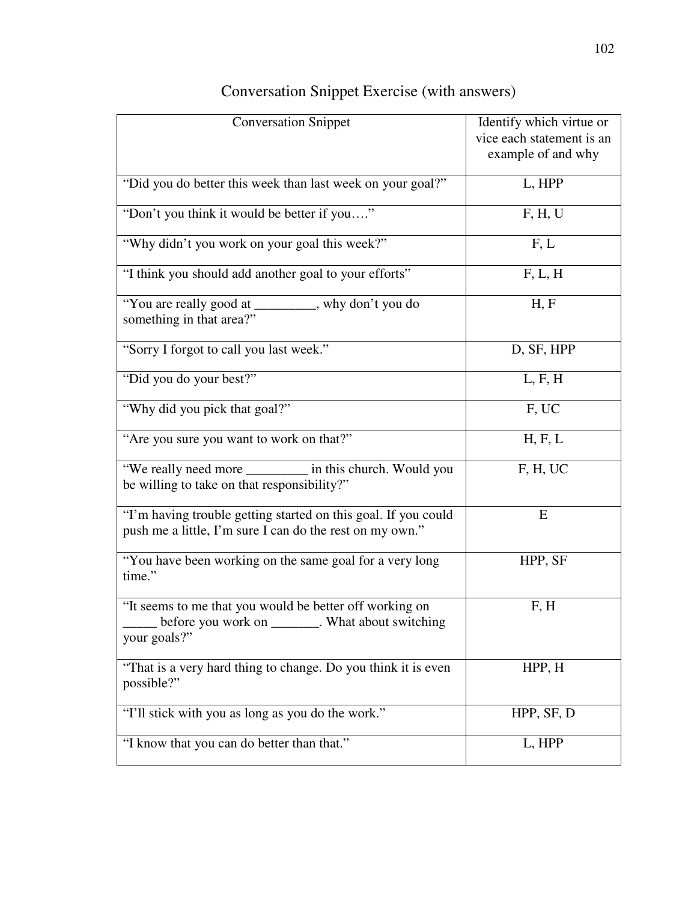| <b>Conversation Snippet</b>                                                                                                  | Identify which virtue or<br>vice each statement is an<br>example of and why |
|------------------------------------------------------------------------------------------------------------------------------|-----------------------------------------------------------------------------|
| "Did you do better this week than last week on your goal?"                                                                   | L, HPP                                                                      |
| "Don't you think it would be better if you"                                                                                  | F, H, U                                                                     |
| "Why didn't you work on your goal this week?"                                                                                | F, L                                                                        |
| "I think you should add another goal to your efforts"                                                                        | F, L, H                                                                     |
| "You are really good at ________, why don't you do<br>something in that area?"                                               | H, F                                                                        |
| "Sorry I forgot to call you last week."                                                                                      | D, SF, HPP                                                                  |
| "Did you do your best?"                                                                                                      | L, F, H                                                                     |
| "Why did you pick that goal?"                                                                                                | F, UC                                                                       |
| "Are you sure you want to work on that?"                                                                                     | H, F, L                                                                     |
| "We really need more ________ in this church. Would you<br>be willing to take on that responsibility?"                       | F, H, UC                                                                    |
| "I'm having trouble getting started on this goal. If you could<br>push me a little, I'm sure I can do the rest on my own."   | E                                                                           |
| "You have been working on the same goal for a very long"<br>time."                                                           | HPP, SF                                                                     |
| "It seems to me that you would be better off working on<br>before you work on ________. What about switching<br>your goals?" | F, H                                                                        |
| "That is a very hard thing to change. Do you think it is even<br>possible?"                                                  | HPP, H                                                                      |
| "I'll stick with you as long as you do the work."                                                                            | HPP, SF, D                                                                  |
| "I know that you can do better than that."                                                                                   | L, HPP                                                                      |

# Conversation Snippet Exercise (with answers)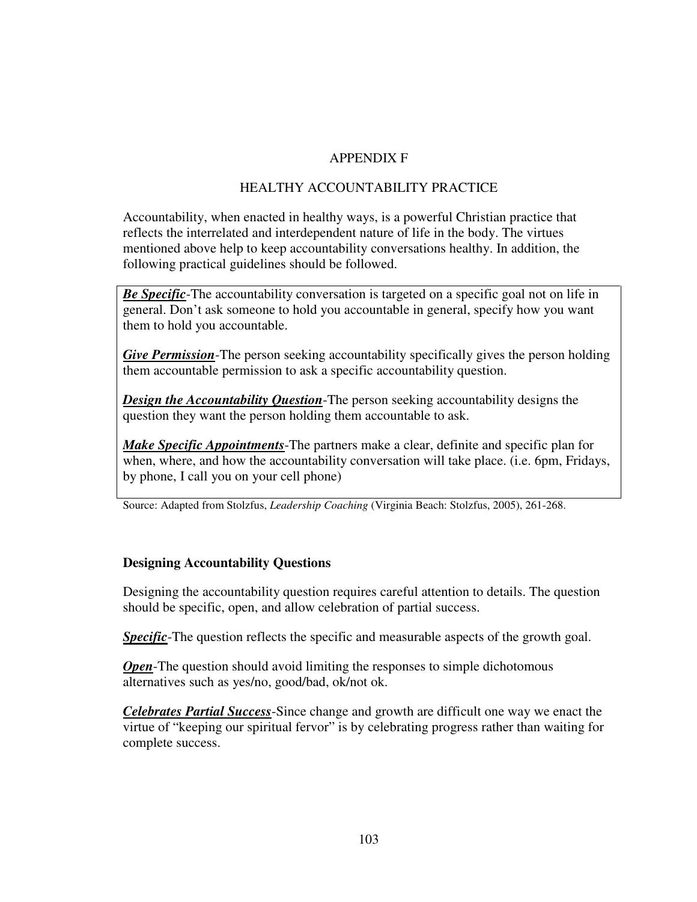### APPENDIX F

### HEALTHY ACCOUNTABILITY PRACTICE

Accountability, when enacted in healthy ways, is a powerful Christian practice that reflects the interrelated and interdependent nature of life in the body. The virtues mentioned above help to keep accountability conversations healthy. In addition, the following practical guidelines should be followed.

*Be Specific*-The accountability conversation is targeted on a specific goal not on life in general. Don't ask someone to hold you accountable in general, specify how you want them to hold you accountable.

*Give Permission*-The person seeking accountability specifically gives the person holding them accountable permission to ask a specific accountability question.

*Design the Accountability Question*-The person seeking accountability designs the question they want the person holding them accountable to ask.

*Make Specific Appointments*-The partners make a clear, definite and specific plan for when, where, and how the accountability conversation will take place. (i.e. 6pm, Fridays, by phone, I call you on your cell phone)

Source: Adapted from Stolzfus, *Leadership Coaching* (Virginia Beach: Stolzfus, 2005), 261-268.

### **Designing Accountability Questions**

Designing the accountability question requires careful attention to details. The question should be specific, open, and allow celebration of partial success.

**Specific**-The question reflects the specific and measurable aspects of the growth goal.

*Open*-The question should avoid limiting the responses to simple dichotomous alternatives such as yes/no, good/bad, ok/not ok.

*Celebrates Partial Success*-Since change and growth are difficult one way we enact the virtue of "keeping our spiritual fervor" is by celebrating progress rather than waiting for complete success.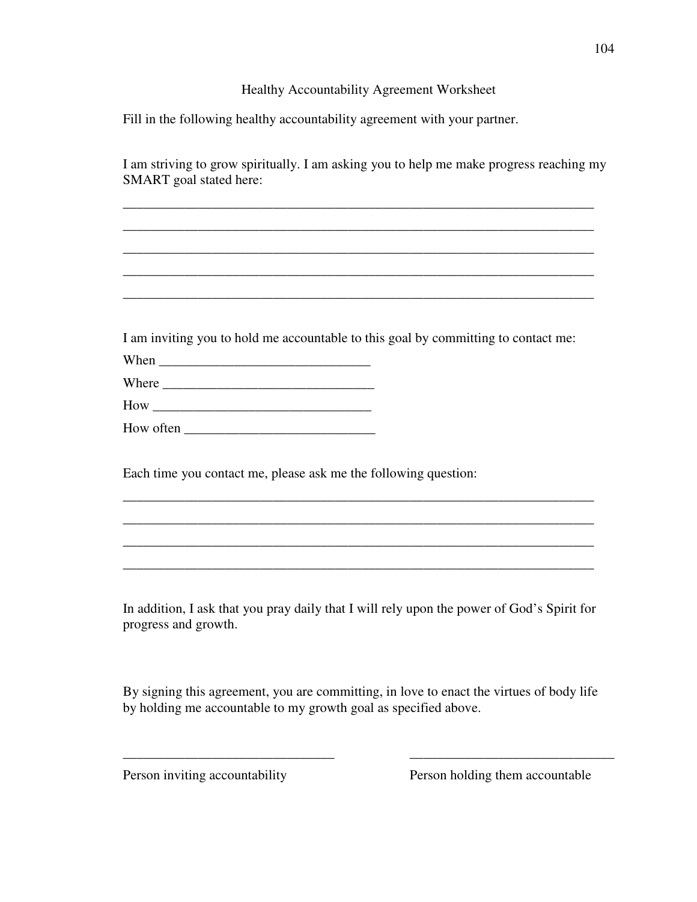#### Healthy Accountability Agreement Worksheet

Fill in the following healthy accountability agreement with your partner.

I am striving to grow spiritually. I am asking you to help me make progress reaching my SMART goal stated here:

\_\_\_\_\_\_\_\_\_\_\_\_\_\_\_\_\_\_\_\_\_\_\_\_\_\_\_\_\_\_\_\_\_\_\_\_\_\_\_\_\_\_\_\_\_\_\_\_\_\_\_\_\_\_\_\_\_\_\_\_\_\_\_\_\_\_\_\_\_ \_\_\_\_\_\_\_\_\_\_\_\_\_\_\_\_\_\_\_\_\_\_\_\_\_\_\_\_\_\_\_\_\_\_\_\_\_\_\_\_\_\_\_\_\_\_\_\_\_\_\_\_\_\_\_\_\_\_\_\_\_\_\_\_\_\_\_\_\_ \_\_\_\_\_\_\_\_\_\_\_\_\_\_\_\_\_\_\_\_\_\_\_\_\_\_\_\_\_\_\_\_\_\_\_\_\_\_\_\_\_\_\_\_\_\_\_\_\_\_\_\_\_\_\_\_\_\_\_\_\_\_\_\_\_\_\_\_\_ \_\_\_\_\_\_\_\_\_\_\_\_\_\_\_\_\_\_\_\_\_\_\_\_\_\_\_\_\_\_\_\_\_\_\_\_\_\_\_\_\_\_\_\_\_\_\_\_\_\_\_\_\_\_\_\_\_\_\_\_\_\_\_\_\_\_\_\_\_ \_\_\_\_\_\_\_\_\_\_\_\_\_\_\_\_\_\_\_\_\_\_\_\_\_\_\_\_\_\_\_\_\_\_\_\_\_\_\_\_\_\_\_\_\_\_\_\_\_\_\_\_\_\_\_\_\_\_\_\_\_\_\_\_\_\_\_\_\_

I am inviting you to hold me accountable to this goal by committing to contact me:

When \_\_\_\_\_\_\_\_\_\_\_\_\_\_\_\_\_\_\_\_\_\_\_\_\_\_\_\_\_\_\_

Where \_\_\_\_\_\_\_\_\_\_\_\_\_\_\_\_\_\_\_\_\_\_\_\_\_\_\_\_\_\_\_

How \_\_\_\_\_\_\_\_\_\_\_\_\_\_\_\_\_\_\_\_\_\_\_\_\_\_\_\_\_\_\_\_

How often

Each time you contact me, please ask me the following question:

In addition, I ask that you pray daily that I will rely upon the power of God's Spirit for progress and growth.

\_\_\_\_\_\_\_\_\_\_\_\_\_\_\_\_\_\_\_\_\_\_\_\_\_\_\_\_\_\_\_\_\_\_\_\_\_\_\_\_\_\_\_\_\_\_\_\_\_\_\_\_\_\_\_\_\_\_\_\_\_\_\_\_\_\_\_\_\_ \_\_\_\_\_\_\_\_\_\_\_\_\_\_\_\_\_\_\_\_\_\_\_\_\_\_\_\_\_\_\_\_\_\_\_\_\_\_\_\_\_\_\_\_\_\_\_\_\_\_\_\_\_\_\_\_\_\_\_\_\_\_\_\_\_\_\_\_\_ \_\_\_\_\_\_\_\_\_\_\_\_\_\_\_\_\_\_\_\_\_\_\_\_\_\_\_\_\_\_\_\_\_\_\_\_\_\_\_\_\_\_\_\_\_\_\_\_\_\_\_\_\_\_\_\_\_\_\_\_\_\_\_\_\_\_\_\_\_ \_\_\_\_\_\_\_\_\_\_\_\_\_\_\_\_\_\_\_\_\_\_\_\_\_\_\_\_\_\_\_\_\_\_\_\_\_\_\_\_\_\_\_\_\_\_\_\_\_\_\_\_\_\_\_\_\_\_\_\_\_\_\_\_\_\_\_\_\_

By signing this agreement, you are committing, in love to enact the virtues of body life by holding me accountable to my growth goal as specified above.

\_\_\_\_\_\_\_\_\_\_\_\_\_\_\_\_\_\_\_\_\_\_\_\_\_\_\_\_\_\_\_ \_\_\_\_\_\_\_\_\_\_\_\_\_\_\_\_\_\_\_\_\_\_\_\_\_\_\_\_\_\_

Person inviting accountability Person holding them accountable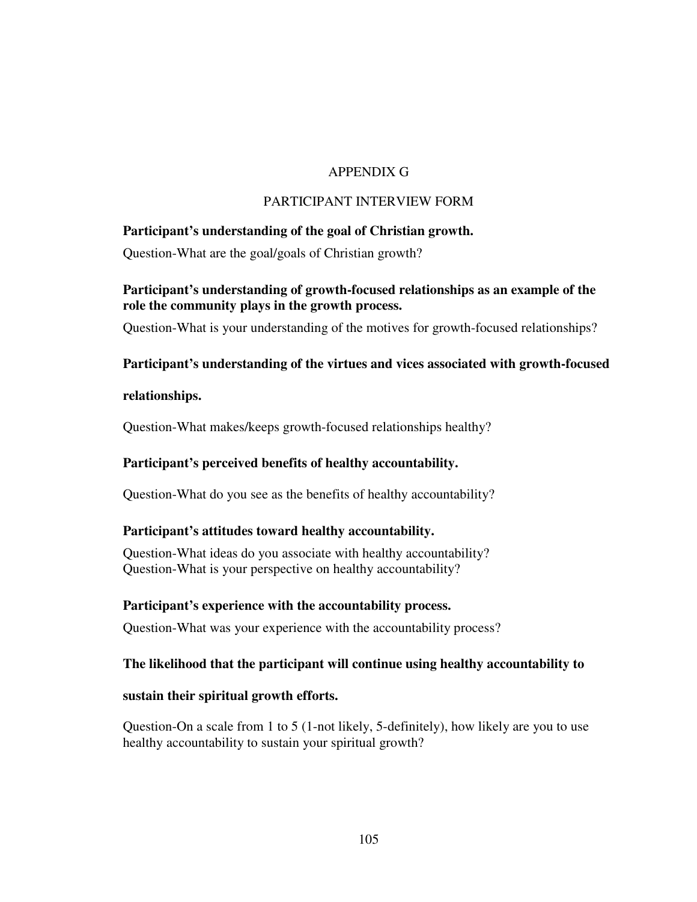### APPENDIX G

### PARTICIPANT INTERVIEW FORM

### **Participant's understanding of the goal of Christian growth.**

Question-What are the goal/goals of Christian growth?

### **Participant's understanding of growth-focused relationships as an example of the role the community plays in the growth process.**

Question-What is your understanding of the motives for growth-focused relationships?

### **Participant's understanding of the virtues and vices associated with growth-focused**

#### **relationships.**

Question-What makes/keeps growth-focused relationships healthy?

### **Participant's perceived benefits of healthy accountability.**

Question-What do you see as the benefits of healthy accountability?

### **Participant's attitudes toward healthy accountability.**

Question-What ideas do you associate with healthy accountability? Question-What is your perspective on healthy accountability?

#### **Participant's experience with the accountability process.**

Question-What was your experience with the accountability process?

#### **The likelihood that the participant will continue using healthy accountability to**

#### **sustain their spiritual growth efforts.**

Question-On a scale from 1 to 5 (1-not likely, 5-definitely), how likely are you to use healthy accountability to sustain your spiritual growth?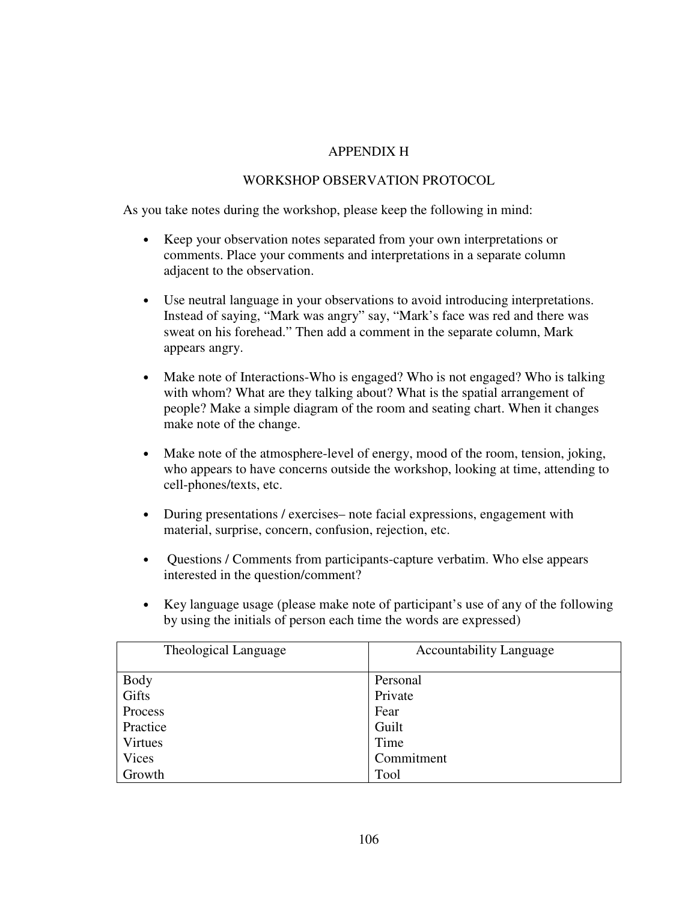### APPENDIX H

### WORKSHOP OBSERVATION PROTOCOL

As you take notes during the workshop, please keep the following in mind:

- Keep your observation notes separated from your own interpretations or comments. Place your comments and interpretations in a separate column adjacent to the observation.
- Use neutral language in your observations to avoid introducing interpretations. Instead of saying, "Mark was angry" say, "Mark's face was red and there was sweat on his forehead." Then add a comment in the separate column, Mark appears angry.
- Make note of Interactions-Who is engaged? Who is not engaged? Who is talking with whom? What are they talking about? What is the spatial arrangement of people? Make a simple diagram of the room and seating chart. When it changes make note of the change.
- Make note of the atmosphere-level of energy, mood of the room, tension, joking, who appears to have concerns outside the workshop, looking at time, attending to cell-phones/texts, etc.
- During presentations / exercises– note facial expressions, engagement with material, surprise, concern, confusion, rejection, etc.
- Questions / Comments from participants-capture verbatim. Who else appears interested in the question/comment?
- Key language usage (please make note of participant's use of any of the following by using the initials of person each time the words are expressed)

| Theological Language | <b>Accountability Language</b> |
|----------------------|--------------------------------|
| <b>Body</b>          | Personal                       |
| Gifts                | Private                        |
| Process              | Fear                           |
| Practice             | Guilt                          |
| Virtues              | Time                           |
| <b>Vices</b>         | Commitment                     |
| Growth               | Tool                           |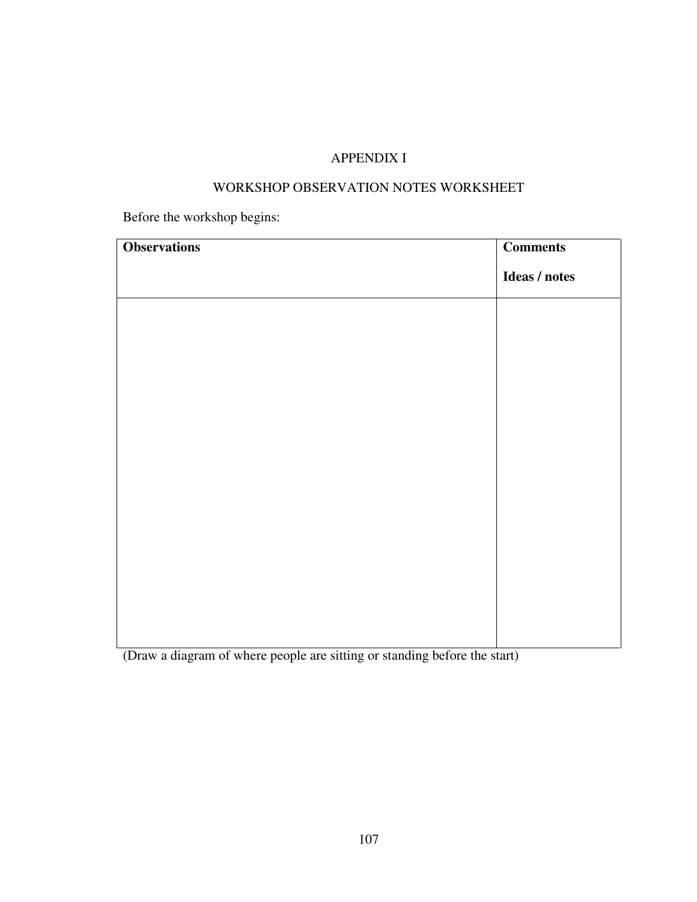## APPENDIX I

### WORKSHOP OBSERVATION NOTES WORKSHEET

Before the workshop begins:

| <b>Observations</b> | <b>Comments</b> |
|---------------------|-----------------|
|                     | Ideas / notes   |
|                     |                 |
|                     |                 |
|                     |                 |
|                     |                 |
|                     |                 |
|                     |                 |
|                     |                 |
|                     |                 |
|                     |                 |
|                     |                 |

(Draw a diagram of where people are sitting or standing before the start)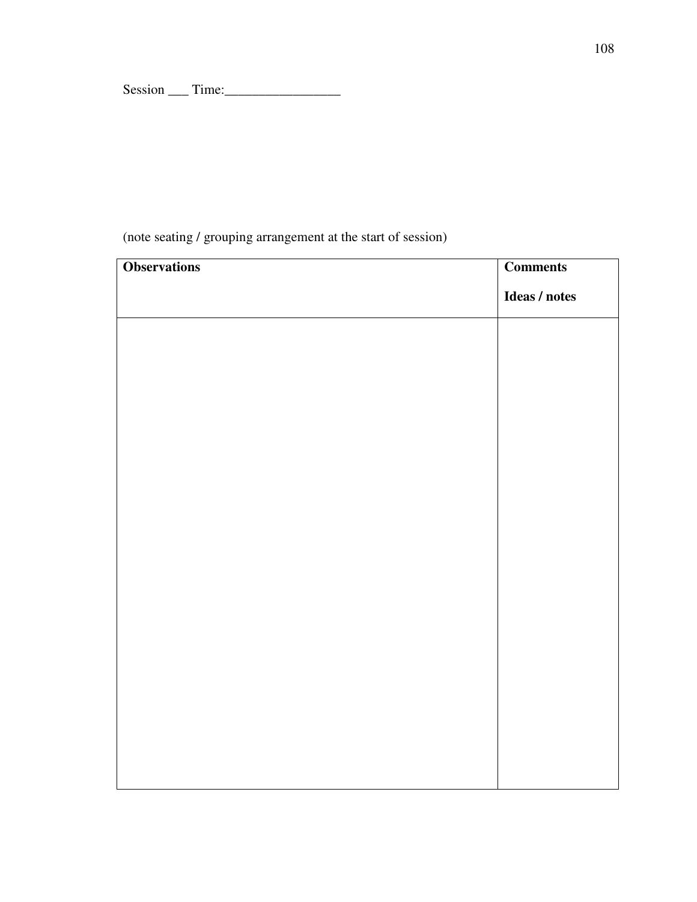Session \_\_\_ Time:\_\_\_\_\_\_\_\_\_\_\_\_\_\_\_\_\_

# (note seating / grouping arrangement at the start of session)

| <b>Observations</b> | <b>Comments</b> |
|---------------------|-----------------|
|                     | Ideas / notes   |
|                     |                 |
|                     |                 |
|                     |                 |
|                     |                 |
|                     |                 |
|                     |                 |
|                     |                 |
|                     |                 |
|                     |                 |
|                     |                 |
|                     |                 |
|                     |                 |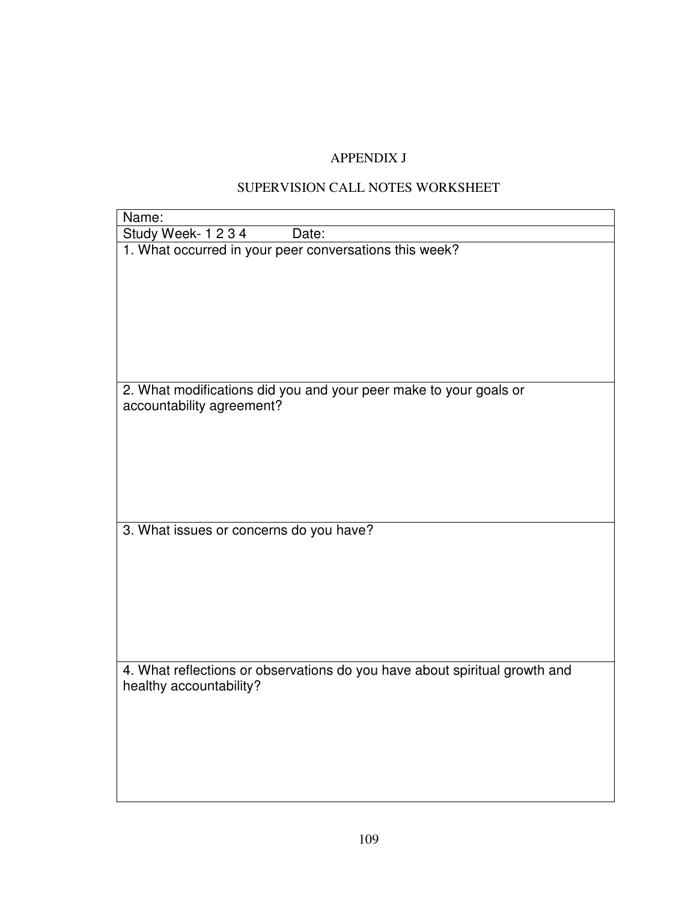# APPENDIX J

# SUPERVISION CALL NOTES WORKSHEET

| Name:                                                                                                 |
|-------------------------------------------------------------------------------------------------------|
| Study Week- 1 2 3 4<br>Date:                                                                          |
| 1. What occurred in your peer conversations this week?                                                |
| 2. What modifications did you and your peer make to your goals or<br>accountability agreement?        |
| 3. What issues or concerns do you have?                                                               |
| 4. What reflections or observations do you have about spiritual growth and<br>healthy accountability? |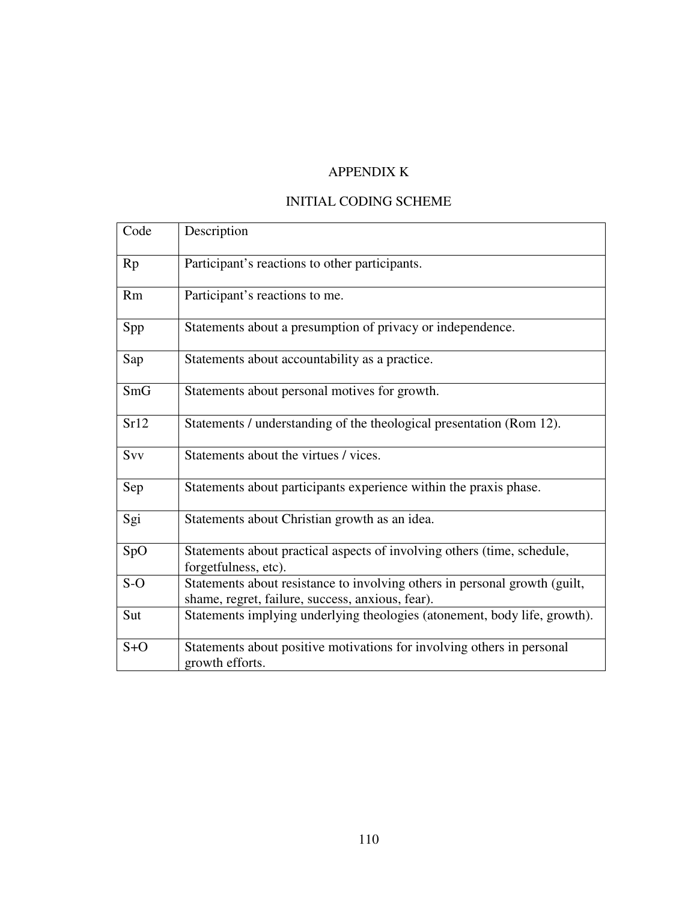# APPENDIX K

### INITIAL CODING SCHEME

| Code      | Description                                                                                                                    |
|-----------|--------------------------------------------------------------------------------------------------------------------------------|
| Rp        | Participant's reactions to other participants.                                                                                 |
| <b>Rm</b> | Participant's reactions to me.                                                                                                 |
| Spp       | Statements about a presumption of privacy or independence.                                                                     |
| Sap       | Statements about accountability as a practice.                                                                                 |
| SmG       | Statements about personal motives for growth.                                                                                  |
| Sr12      | Statements / understanding of the theological presentation (Rom 12).                                                           |
| Svv       | Statements about the virtues / vices.                                                                                          |
| Sep       | Statements about participants experience within the praxis phase.                                                              |
| Sgi       | Statements about Christian growth as an idea.                                                                                  |
| SpO       | Statements about practical aspects of involving others (time, schedule,<br>forgetfulness, etc).                                |
| $S-O$     | Statements about resistance to involving others in personal growth (guilt,<br>shame, regret, failure, success, anxious, fear). |
| Sut       | Statements implying underlying theologies (atonement, body life, growth).                                                      |
| $S+O$     | Statements about positive motivations for involving others in personal<br>growth efforts.                                      |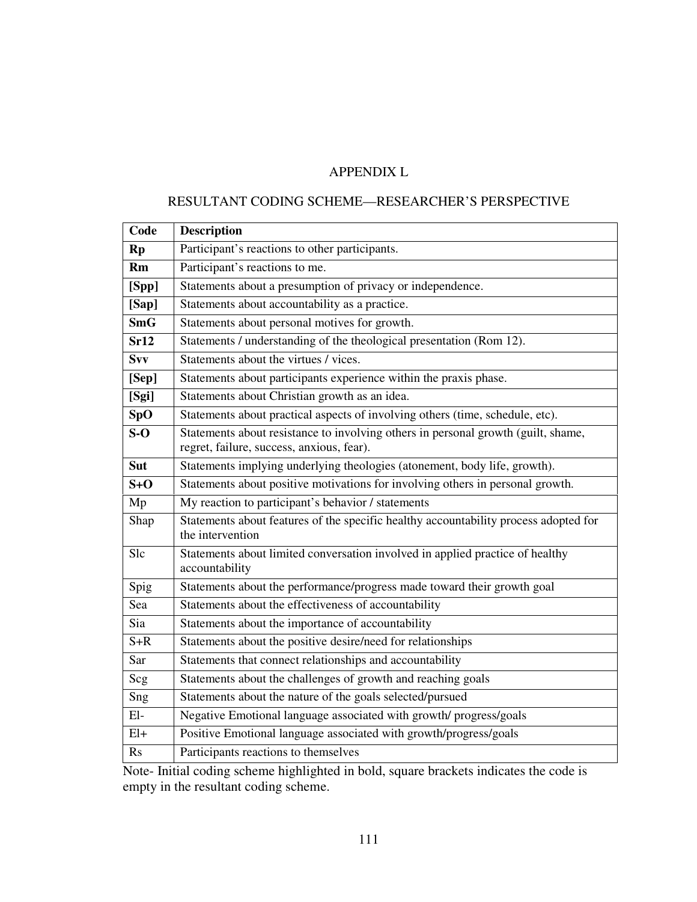# APPENDIX L

### RESULTANT CODING SCHEME—RESEARCHER'S PERSPECTIVE

| Code           | <b>Description</b>                                                                                                             |
|----------------|--------------------------------------------------------------------------------------------------------------------------------|
| <b>Rp</b>      | Participant's reactions to other participants.                                                                                 |
| Rm             | Participant's reactions to me.                                                                                                 |
| [Spp]          | Statements about a presumption of privacy or independence.                                                                     |
| [Sap]          | Statements about accountability as a practice.                                                                                 |
| <b>SmG</b>     | Statements about personal motives for growth.                                                                                  |
| Sr12           | Statements / understanding of the theological presentation (Rom 12).                                                           |
| <b>Svv</b>     | Statements about the virtues / vices.                                                                                          |
| [Sep]          | Statements about participants experience within the praxis phase.                                                              |
| [Sgi]          | Statements about Christian growth as an idea.                                                                                  |
| SpO            | Statements about practical aspects of involving others (time, schedule, etc).                                                  |
| $S-O$          | Statements about resistance to involving others in personal growth (guilt, shame,<br>regret, failure, success, anxious, fear). |
| Sut            | Statements implying underlying theologies (atonement, body life, growth).                                                      |
| $S+O$          | Statements about positive motivations for involving others in personal growth.                                                 |
| Mp             | My reaction to participant's behavior / statements                                                                             |
| Shap           | Statements about features of the specific healthy accountability process adopted for<br>the intervention                       |
| <b>Slc</b>     | Statements about limited conversation involved in applied practice of healthy<br>accountability                                |
| Spig           | Statements about the performance/progress made toward their growth goal                                                        |
| Sea            | Statements about the effectiveness of accountability                                                                           |
| Sia            | Statements about the importance of accountability                                                                              |
| $S+R$          | Statements about the positive desire/need for relationships                                                                    |
| Sar            | Statements that connect relationships and accountability                                                                       |
| Scg            | Statements about the challenges of growth and reaching goals                                                                   |
| Sng            | Statements about the nature of the goals selected/pursued                                                                      |
| $E1-$          | Negative Emotional language associated with growth/progress/goals                                                              |
| $E1+$          | Positive Emotional language associated with growth/progress/goals                                                              |
| R <sub>S</sub> | Participants reactions to themselves                                                                                           |

Note- Initial coding scheme highlighted in bold, square brackets indicates the code is empty in the resultant coding scheme.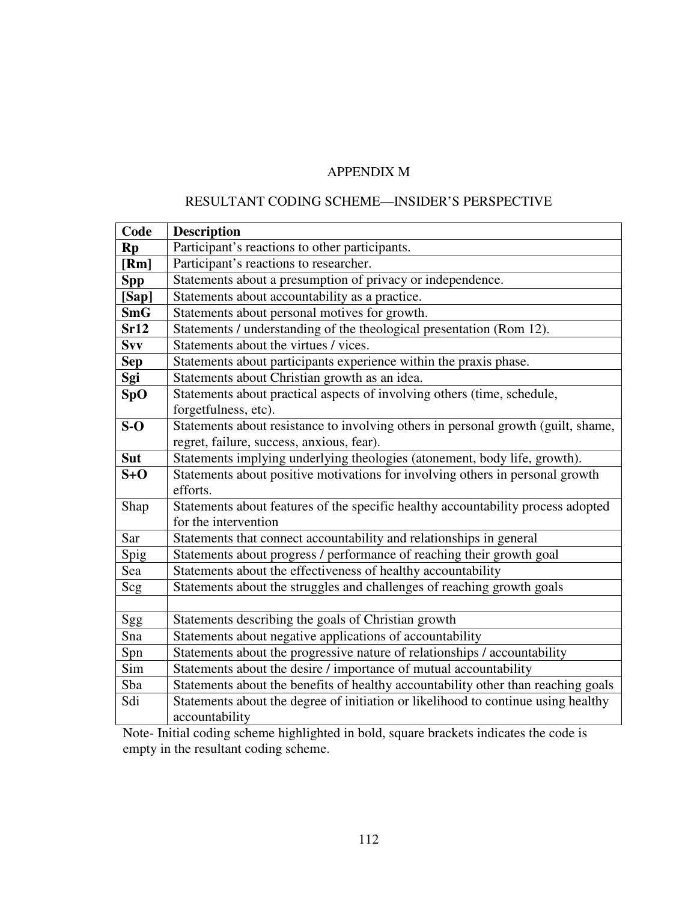# APPENDIX M

### RESULTANT CODING SCHEME—INSIDER'S PERSPECTIVE

| Code       | <b>Description</b>                                                                |
|------------|-----------------------------------------------------------------------------------|
| <b>Rp</b>  | Participant's reactions to other participants.                                    |
| [Rm]       | Participant's reactions to researcher.                                            |
| <b>Spp</b> | Statements about a presumption of privacy or independence.                        |
| [Sap]      | Statements about accountability as a practice.                                    |
| <b>SmG</b> | Statements about personal motives for growth.                                     |
| Sr12       | Statements / understanding of the theological presentation (Rom 12).              |
| Svv        | Statements about the virtues / vices.                                             |
| <b>Sep</b> | Statements about participants experience within the praxis phase.                 |
| Sgi        | Statements about Christian growth as an idea.                                     |
| SpO        | Statements about practical aspects of involving others (time, schedule,           |
|            | forgetfulness, etc).                                                              |
| $S-O$      | Statements about resistance to involving others in personal growth (guilt, shame, |
|            | regret, failure, success, anxious, fear).                                         |
| <b>Sut</b> | Statements implying underlying theologies (atonement, body life, growth).         |
| $S+O$      | Statements about positive motivations for involving others in personal growth     |
|            | efforts.                                                                          |
| Shap       | Statements about features of the specific healthy accountability process adopted  |
|            | for the intervention                                                              |
| Sar        | Statements that connect accountability and relationships in general               |
| Spig       | Statements about progress / performance of reaching their growth goal             |
| Sea        | Statements about the effectiveness of healthy accountability                      |
| Scg        | Statements about the struggles and challenges of reaching growth goals            |
|            |                                                                                   |
| Sgg        | Statements describing the goals of Christian growth                               |
| Sna        | Statements about negative applications of accountability                          |
| Spn        | Statements about the progressive nature of relationships / accountability         |
| Sim        | Statements about the desire / importance of mutual accountability                 |
| Sba        | Statements about the benefits of healthy accountability other than reaching goals |
| Sdi        | Statements about the degree of initiation or likelihood to continue using healthy |
|            | accountability                                                                    |

Note- Initial coding scheme highlighted in bold, square brackets indicates the code is empty in the resultant coding scheme.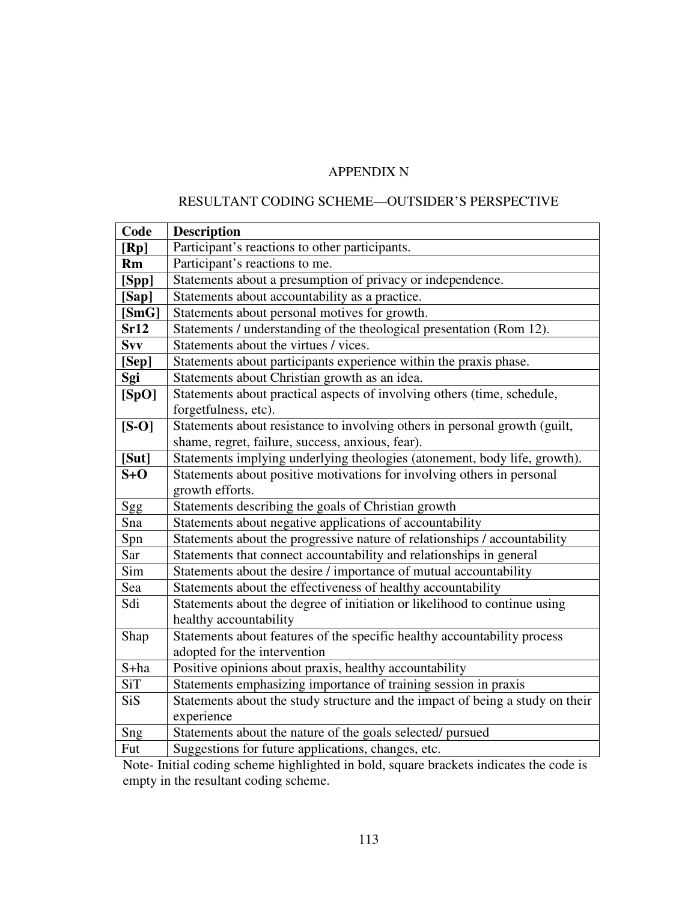# APPENDIX N

### RESULTANT CODING SCHEME—OUTSIDER'S PERSPECTIVE

| Code          | <b>Description</b>                                                            |
|---------------|-------------------------------------------------------------------------------|
| [Rp]          | Participant's reactions to other participants.                                |
| Rm            | Participant's reactions to me.                                                |
| $[{\rm Spp}]$ | Statements about a presumption of privacy or independence.                    |
| [Sap]         | Statements about accountability as a practice.                                |
| [SmG]         | Statements about personal motives for growth.                                 |
| Sr12          | Statements / understanding of the theological presentation (Rom 12).          |
| Svv           | Statements about the virtues / vices.                                         |
| [Sep]         | Statements about participants experience within the praxis phase.             |
| Sgi           | Statements about Christian growth as an idea.                                 |
| [SpO]         | Statements about practical aspects of involving others (time, schedule,       |
|               | forgetfulness, etc).                                                          |
| $[S-O]$       | Statements about resistance to involving others in personal growth (guilt,    |
|               | shame, regret, failure, success, anxious, fear).                              |
| [Sut]         | Statements implying underlying theologies (atonement, body life, growth).     |
| $S+O$         | Statements about positive motivations for involving others in personal        |
|               | growth efforts.                                                               |
| Sgg           | Statements describing the goals of Christian growth                           |
| Sna           | Statements about negative applications of accountability                      |
| Spn           | Statements about the progressive nature of relationships / accountability     |
| Sar           | Statements that connect accountability and relationships in general           |
| Sim           | Statements about the desire / importance of mutual accountability             |
| Sea           | Statements about the effectiveness of healthy accountability                  |
| Sdi           | Statements about the degree of initiation or likelihood to continue using     |
|               | healthy accountability                                                        |
| Shap          | Statements about features of the specific healthy accountability process      |
|               | adopted for the intervention                                                  |
| S+ha          | Positive opinions about praxis, healthy accountability                        |
| <b>SiT</b>    | Statements emphasizing importance of training session in praxis               |
| <b>SiS</b>    | Statements about the study structure and the impact of being a study on their |
|               | experience                                                                    |
| Sng           | Statements about the nature of the goals selected/ pursued                    |
| Fut           | Suggestions for future applications, changes, etc.                            |

Note- Initial coding scheme highlighted in bold, square brackets indicates the code is empty in the resultant coding scheme.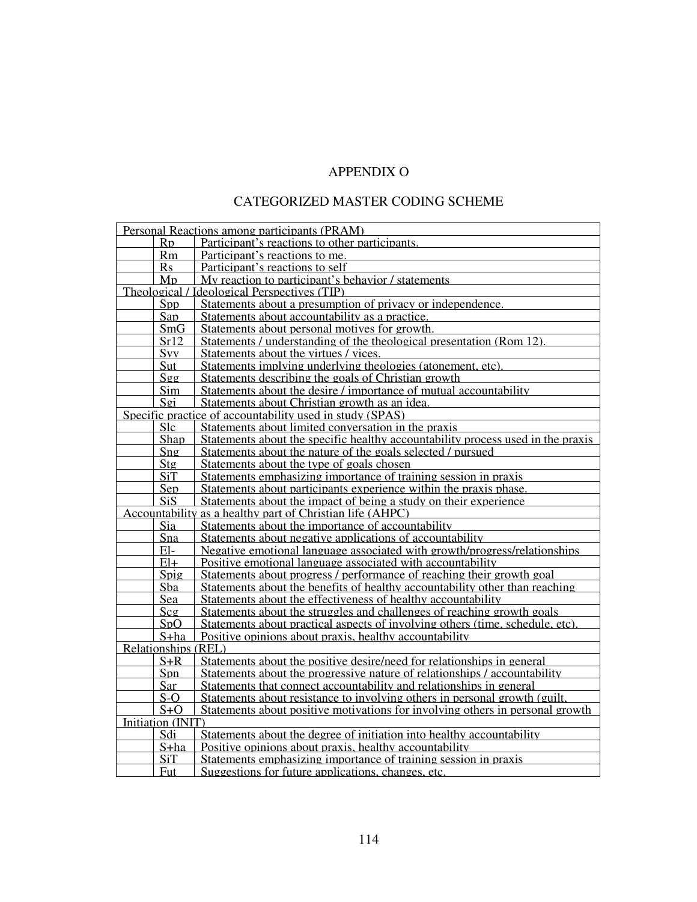# APPENDIX O

### CATEGORIZED MASTER CODING SCHEME

| Personal Reactions among participants (PRAM) |                  |                                                                                 |
|----------------------------------------------|------------------|---------------------------------------------------------------------------------|
|                                              | R <sub>D</sub>   | Participant's reactions to other participants.                                  |
|                                              | <b>Rm</b>        | Participant's reactions to me.                                                  |
|                                              | <b>Rs</b>        | Participant's reactions to self                                                 |
|                                              | M <sub>D</sub>   | My reaction to participant's behavior / statements                              |
|                                              |                  | Theological / Ideological Perspectives (TIP)                                    |
|                                              | Spp              | Statements about a presumption of privacy or independence.                      |
|                                              | Sap              | Statements about accountability as a practice.                                  |
|                                              | SmG              | Statements about personal motives for growth.                                   |
|                                              | Sr12             | Statements / understanding of the theological presentation (Rom 12)             |
|                                              | S <sub>vv</sub>  | Statements about the virtues / vices.                                           |
|                                              | <u>Sut</u>       | Statements implying underlying theologies (atonement, etc)                      |
|                                              | $Sg$ g           | Statements describing the goals of Christian growth                             |
|                                              | Sim              | Statements about the desire / importance of mutual accountability               |
|                                              | Sgi              | Statements about Christian growth as an idea.                                   |
|                                              |                  | Specific practice of accountability used in study (SPAS)                        |
|                                              | <b>Slc</b>       | Statements about limited conversation in the praxis                             |
|                                              | Shap             | Statements about the specific healthy accountability process used in the praxis |
|                                              | Sng              | Statements about the nature of the goals selected / pursued                     |
|                                              | Stg              | Statements about the type of goals chosen                                       |
|                                              | <b>SiT</b>       | Statements emphasizing importance of training session in praxis                 |
|                                              | Sep              | Statements about participants experience within the praxis phase.               |
|                                              | SiS.             | Statements about the impact of being a study on their experience                |
|                                              |                  | Accountability as a healthy part of Christian life (AHPC)                       |
|                                              | Sia              | Statements about the importance of accountability                               |
|                                              | Sna              | Statements about negative applications of accountability                        |
|                                              | El-              | Negative emotional language associated with growth/progress/relationships       |
|                                              | El+              | Positive emotional language associated with accountability                      |
|                                              | $S$ pig          | Statements about progress / performance of reaching their growth goal           |
|                                              | Sba              | Statements about the benefits of healthy accountability other than reaching     |
|                                              | Sea              | Statements about the effectiveness of healthy accountability                    |
|                                              | Scq              | Statements about the struggles and challenges of reaching growth goals          |
|                                              | S <sub>D</sub> O | Statements about practical aspects of involving others (time, schedule, etc)    |
|                                              | S+ha             | Positive opinions about praxis, healthy accountability                          |
| <b>Relationships (REL)</b>                   |                  |                                                                                 |
|                                              | $S+R$            | Statements about the positive desire/need for relationships in general          |
|                                              | Spn              | Statements about the progressive nature of relationships / accountability       |
|                                              | Sar              | Statements that connect accountability and relationships in general             |
|                                              | S-O              | Statements about resistance to involving others in personal growth (guilt,      |
|                                              | $S + O$          | Statements about positive motivations for involving others in personal growth   |
| Initiation (INIT)                            |                  |                                                                                 |
|                                              | Sdi              | Statements about the degree of initiation into healthy accountability           |
|                                              | S+ha             | Positive opinions about praxis, healthy accountability                          |
|                                              | SiT              | Statements emphasizing importance of training session in praxis                 |
|                                              | Fut              | Suggestions for future applications, changes, etc.                              |